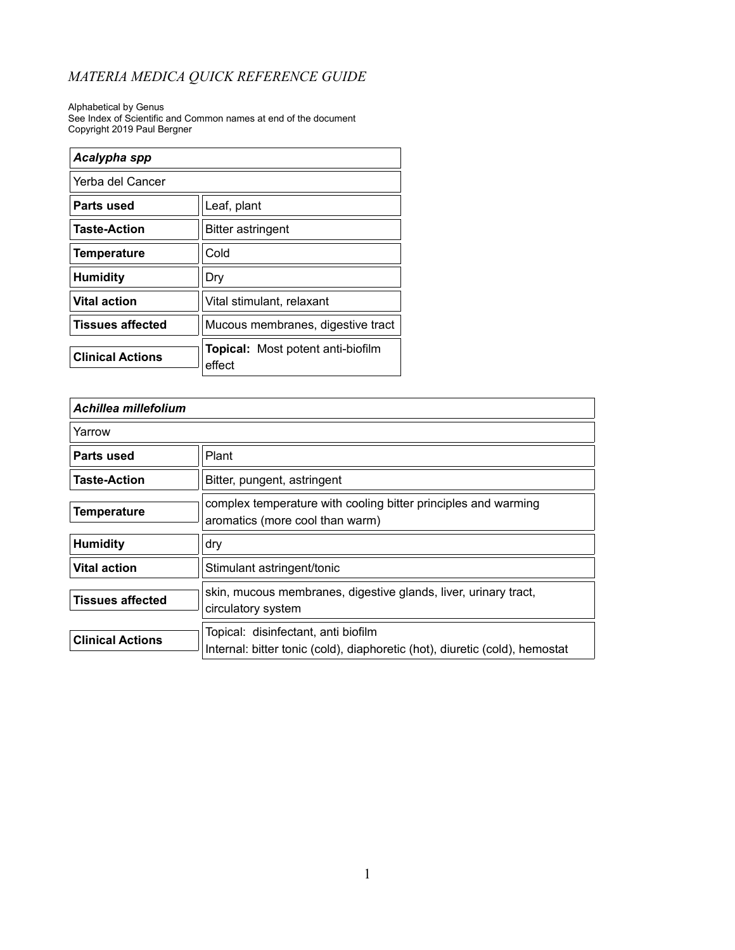Alphabetical by Genus See Index of Scientific and Common names at end of the document Copyright 2019 Paul Bergner

| Acalypha spp            |                                                    |
|-------------------------|----------------------------------------------------|
| Yerba del Cancer        |                                                    |
| Parts used              | Leaf, plant                                        |
| <b>Taste-Action</b>     | <b>Bitter astringent</b>                           |
| <b>Temperature</b>      | Cold                                               |
| <b>Humidity</b>         | Dry                                                |
| <b>Vital action</b>     | Vital stimulant, relaxant                          |
| <b>Tissues affected</b> | Mucous membranes, digestive tract                  |
| <b>Clinical Actions</b> | <b>Topical:</b> Most potent anti-biofilm<br>effect |

| Achillea millefolium    |                                                                                                                    |
|-------------------------|--------------------------------------------------------------------------------------------------------------------|
| Yarrow                  |                                                                                                                    |
| Parts used              | Plant                                                                                                              |
| <b>Taste-Action</b>     | Bitter, pungent, astringent                                                                                        |
| <b>Temperature</b>      | complex temperature with cooling bitter principles and warming<br>aromatics (more cool than warm)                  |
| <b>Humidity</b>         | dry                                                                                                                |
| <b>Vital action</b>     | Stimulant astringent/tonic                                                                                         |
| Tissues affected        | skin, mucous membranes, digestive glands, liver, urinary tract,<br>circulatory system                              |
| <b>Clinical Actions</b> | Topical: disinfectant, anti biofilm<br>Internal: bitter tonic (cold), diaphoretic (hot), diuretic (cold), hemostat |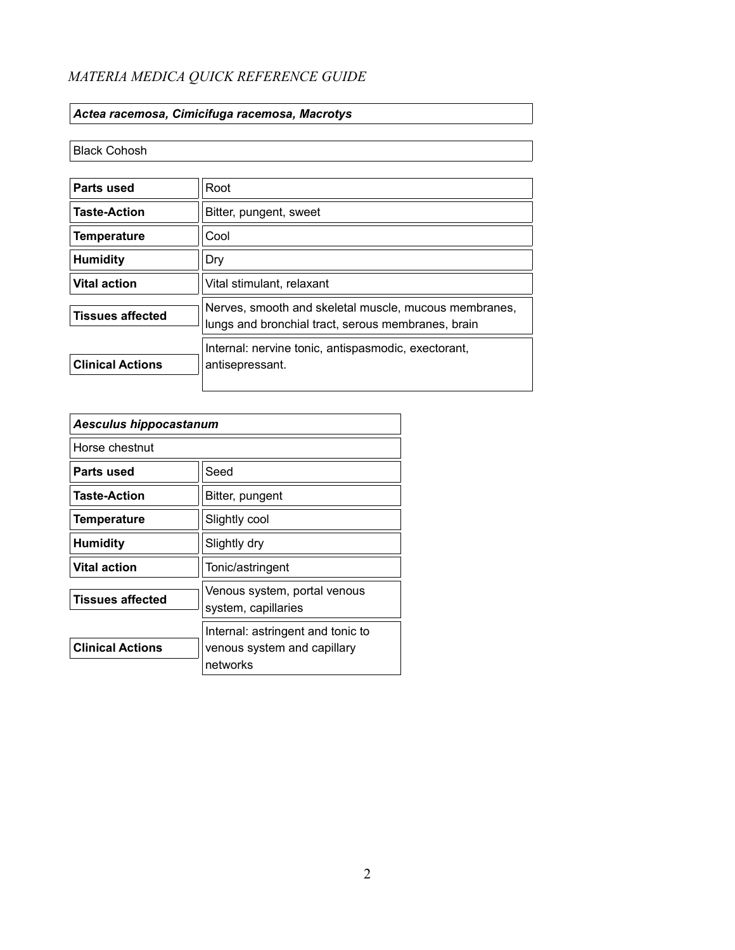#### *Actea racemosa, Cimicifuga racemosa, Macrotys*

#### Black Cohosh

| Parts used              | Root                                                                                                        |  |
|-------------------------|-------------------------------------------------------------------------------------------------------------|--|
| <b>Taste-Action</b>     | Bitter, pungent, sweet                                                                                      |  |
| <b>Temperature</b>      | Cool                                                                                                        |  |
| <b>Humidity</b>         | Dry                                                                                                         |  |
| <b>Vital action</b>     | Vital stimulant, relaxant                                                                                   |  |
| <b>Tissues affected</b> | Nerves, smooth and skeletal muscle, mucous membranes,<br>lungs and bronchial tract, serous membranes, brain |  |
| <b>Clinical Actions</b> | Internal: nervine tonic, antispasmodic, exectorant,<br>antisepressant.                                      |  |

| <b>Aesculus hippocastanum</b> |                                                                              |
|-------------------------------|------------------------------------------------------------------------------|
| Horse chestnut                |                                                                              |
| Parts used                    | Seed                                                                         |
| <b>Taste-Action</b>           | Bitter, pungent                                                              |
| <b>Temperature</b>            | Slightly cool                                                                |
| <b>Humidity</b>               | Slightly dry                                                                 |
| <b>Vital action</b>           | Tonic/astringent                                                             |
| <b>Tissues affected</b>       | Venous system, portal venous<br>system, capillaries                          |
| <b>Clinical Actions</b>       | Internal: astringent and tonic to<br>venous system and capillary<br>networks |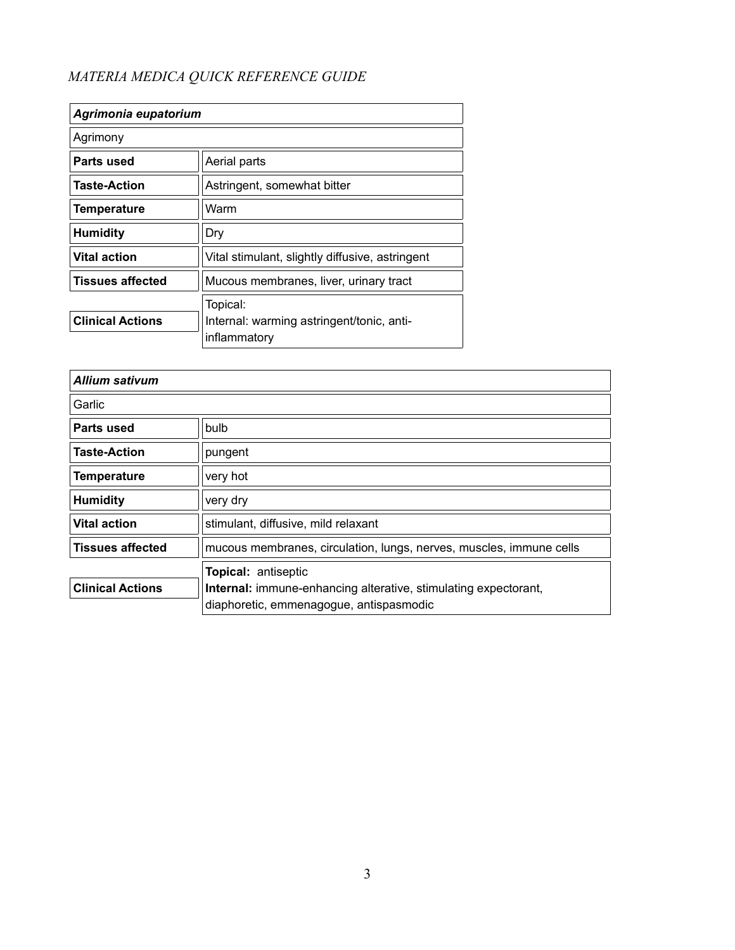| Agrimonia eupatorium    |                                                                       |
|-------------------------|-----------------------------------------------------------------------|
| Agrimony                |                                                                       |
| Parts used              | Aerial parts                                                          |
| <b>Taste-Action</b>     | Astringent, somewhat bitter                                           |
| Temperature             | Warm                                                                  |
| <b>Humidity</b>         | Dry                                                                   |
| <b>Vital action</b>     | Vital stimulant, slightly diffusive, astringent                       |
| <b>Tissues affected</b> | Mucous membranes, liver, urinary tract                                |
| <b>Clinical Actions</b> | Topical:<br>Internal: warming astringent/tonic, anti-<br>inflammatory |

| <b>Allium sativum</b>   |                                                                                                                   |
|-------------------------|-------------------------------------------------------------------------------------------------------------------|
| Garlic                  |                                                                                                                   |
| Parts used              | bulb                                                                                                              |
| <b>Taste-Action</b>     | pungent                                                                                                           |
| <b>Temperature</b>      | very hot                                                                                                          |
| <b>Humidity</b>         | very dry                                                                                                          |
| <b>Vital action</b>     | stimulant, diffusive, mild relaxant                                                                               |
| <b>Tissues affected</b> | mucous membranes, circulation, lungs, nerves, muscles, immune cells                                               |
|                         | Topical: antiseptic                                                                                               |
| <b>Clinical Actions</b> | <b>Internal:</b> immune-enhancing alterative, stimulating expectorant,<br>diaphoretic, emmenagogue, antispasmodic |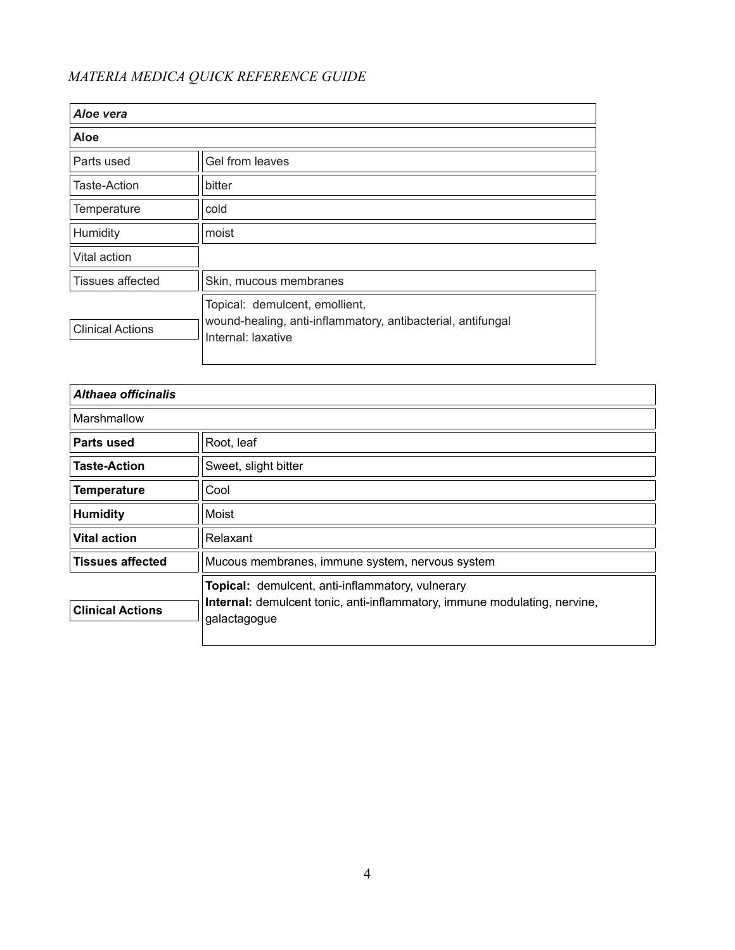| Aloe vera               |                                                                                                                     |
|-------------------------|---------------------------------------------------------------------------------------------------------------------|
| Aloe                    |                                                                                                                     |
| Parts used              | Gel from leaves                                                                                                     |
| Taste-Action            | bitter                                                                                                              |
| Temperature             | cold                                                                                                                |
| Humidity                | moist                                                                                                               |
| Vital action            |                                                                                                                     |
| <b>Tissues affected</b> | Skin, mucous membranes                                                                                              |
| <b>Clinical Actions</b> | Topical: demulcent, emollient,<br>wound-healing, anti-inflammatory, antibacterial, antifungal<br>Internal: laxative |

| Althaea officinalis     |                                                                                                                                                      |
|-------------------------|------------------------------------------------------------------------------------------------------------------------------------------------------|
| Marshmallow             |                                                                                                                                                      |
| Parts used              | Root, leaf                                                                                                                                           |
| <b>Taste-Action</b>     | Sweet, slight bitter                                                                                                                                 |
| <b>Temperature</b>      | Cool                                                                                                                                                 |
| <b>Humidity</b>         | Moist                                                                                                                                                |
| <b>Vital action</b>     | Relaxant                                                                                                                                             |
| <b>Tissues affected</b> | Mucous membranes, immune system, nervous system                                                                                                      |
| <b>Clinical Actions</b> | Topical: demulcent, anti-inflammatory, vulnerary<br><b>Internal:</b> demulcent tonic, anti-inflammatory, immune modulating, nervine,<br>galactagogue |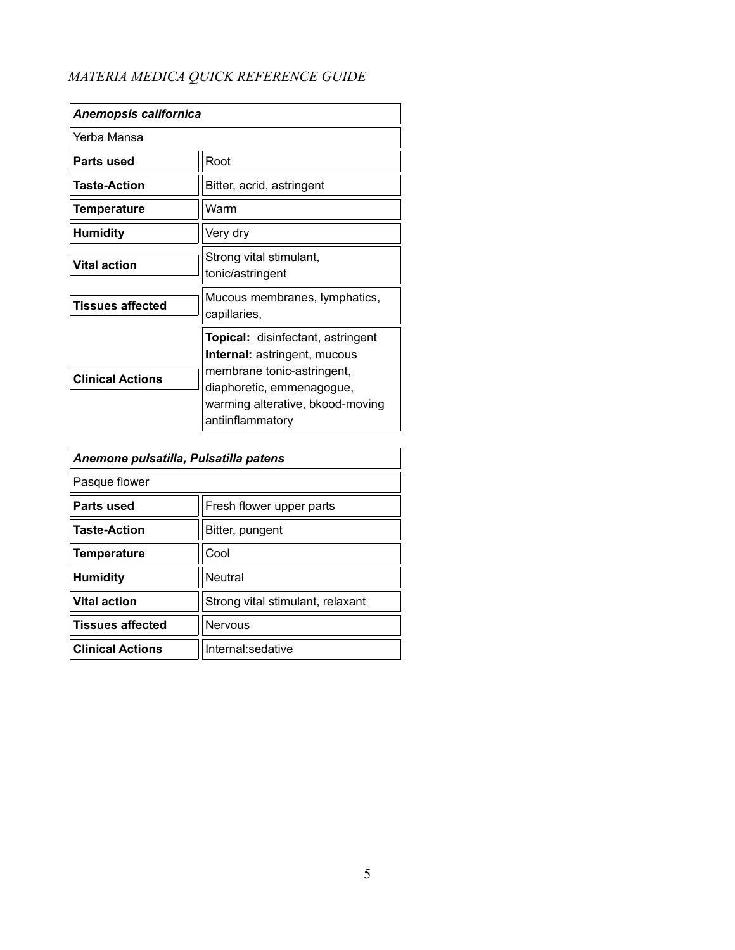| <b>Anemopsis californica</b> |                                                                                                                                                                                                    |
|------------------------------|----------------------------------------------------------------------------------------------------------------------------------------------------------------------------------------------------|
| Yerba Mansa                  |                                                                                                                                                                                                    |
| Parts used                   | Root                                                                                                                                                                                               |
| <b>Taste-Action</b>          | Bitter, acrid, astringent                                                                                                                                                                          |
| Temperature                  | Warm                                                                                                                                                                                               |
| <b>Humidity</b>              | Very dry                                                                                                                                                                                           |
| <b>Vital action</b>          | Strong vital stimulant,<br>tonic/astringent                                                                                                                                                        |
| <b>Tissues affected</b>      | Mucous membranes, lymphatics,<br>capillaries,                                                                                                                                                      |
| <b>Clinical Actions</b>      | <b>Topical:</b> disinfectant, astringent<br><b>Internal:</b> astringent, mucous<br>membrane tonic-astringent,<br>diaphoretic, emmenagogue,<br>warming alterative, bkood-moving<br>antiinflammatory |

| Anemone pulsatilla, Pulsatilla patens |                                  |
|---------------------------------------|----------------------------------|
| Pasque flower                         |                                  |
| Parts used                            | Fresh flower upper parts         |
| <b>Taste-Action</b>                   | Bitter, pungent                  |
| <b>Temperature</b>                    | Cool                             |
| <b>Humidity</b>                       | Neutral                          |
| <b>Vital action</b>                   | Strong vital stimulant, relaxant |
| <b>Tissues affected</b>               | Nervous                          |
| <b>Clinical Actions</b>               | Internal: sedative               |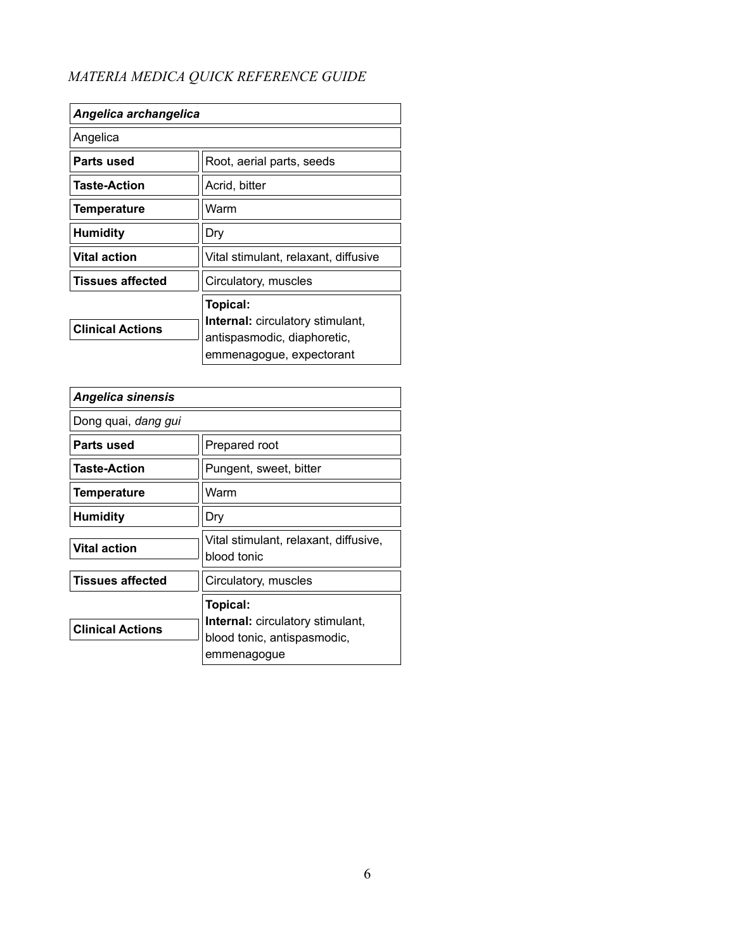| Angelica archangelica   |                                                                        |
|-------------------------|------------------------------------------------------------------------|
| Angelica                |                                                                        |
| Parts used              | Root, aerial parts, seeds                                              |
| <b>Taste-Action</b>     | Acrid, bitter                                                          |
| Temperature             | Warm                                                                   |
| <b>Humidity</b>         | Dry                                                                    |
| <b>Vital action</b>     | Vital stimulant, relaxant, diffusive                                   |
| <b>Tissues affected</b> | Circulatory, muscles                                                   |
|                         | Topical:                                                               |
| <b>Clinical Actions</b> | <b>Internal:</b> circulatory stimulant,<br>antispasmodic, diaphoretic, |
|                         | emmenagogue, expectorant                                               |

| <b>Angelica sinensis</b> |                                                                                                   |
|--------------------------|---------------------------------------------------------------------------------------------------|
| Dong quai, dang gui      |                                                                                                   |
| Parts used               | Prepared root                                                                                     |
| <b>Taste-Action</b>      | Pungent, sweet, bitter                                                                            |
| <b>Temperature</b>       | Warm                                                                                              |
| Humidity                 | Dry                                                                                               |
| <b>Vital action</b>      | Vital stimulant, relaxant, diffusive,<br>blood tonic                                              |
| <b>Tissues affected</b>  | Circulatory, muscles                                                                              |
| <b>Clinical Actions</b>  | Topical:<br><b>Internal:</b> circulatory stimulant,<br>blood tonic, antispasmodic,<br>emmenagogue |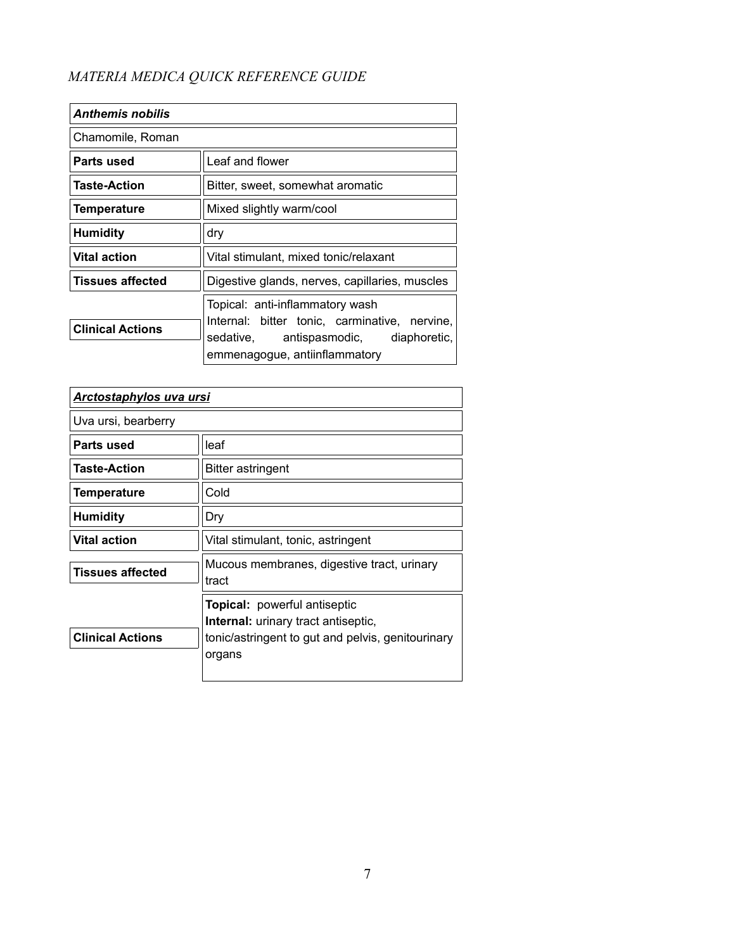| <b>Anthemis nobilis</b> |                                                                                  |
|-------------------------|----------------------------------------------------------------------------------|
| Chamomile, Roman        |                                                                                  |
| Parts used              | Leaf and flower                                                                  |
| <b>Taste-Action</b>     | Bitter, sweet, somewhat aromatic                                                 |
| Temperature             | Mixed slightly warm/cool                                                         |
| <b>Humidity</b>         | dry                                                                              |
| <b>Vital action</b>     | Vital stimulant, mixed tonic/relaxant                                            |
| <b>Tissues affected</b> | Digestive glands, nerves, capillaries, muscles                                   |
|                         | Topical: anti-inflammatory wash<br>Internal: bitter tonic, carminative, nervine, |
| <b>Clinical Actions</b> | sedative, antispasmodic, diaphoretic,<br>emmenagogue, antiinflammatory           |

| <b>Arctostaphylos uva ursi</b> |                                                                            |
|--------------------------------|----------------------------------------------------------------------------|
| Uva ursi, bearberry            |                                                                            |
| Parts used                     | leaf                                                                       |
| <b>Taste-Action</b>            | Bitter astringent                                                          |
| <b>Temperature</b>             | Cold                                                                       |
| <b>Humidity</b>                | Dry                                                                        |
| <b>Vital action</b>            | Vital stimulant, tonic, astringent                                         |
| <b>Tissues affected</b>        | Mucous membranes, digestive tract, urinary<br>tract                        |
|                                | Topical: powerful antiseptic<br><b>Internal:</b> urinary tract antiseptic, |
| <b>Clinical Actions</b>        | tonic/astringent to gut and pelvis, genitourinary<br>organs                |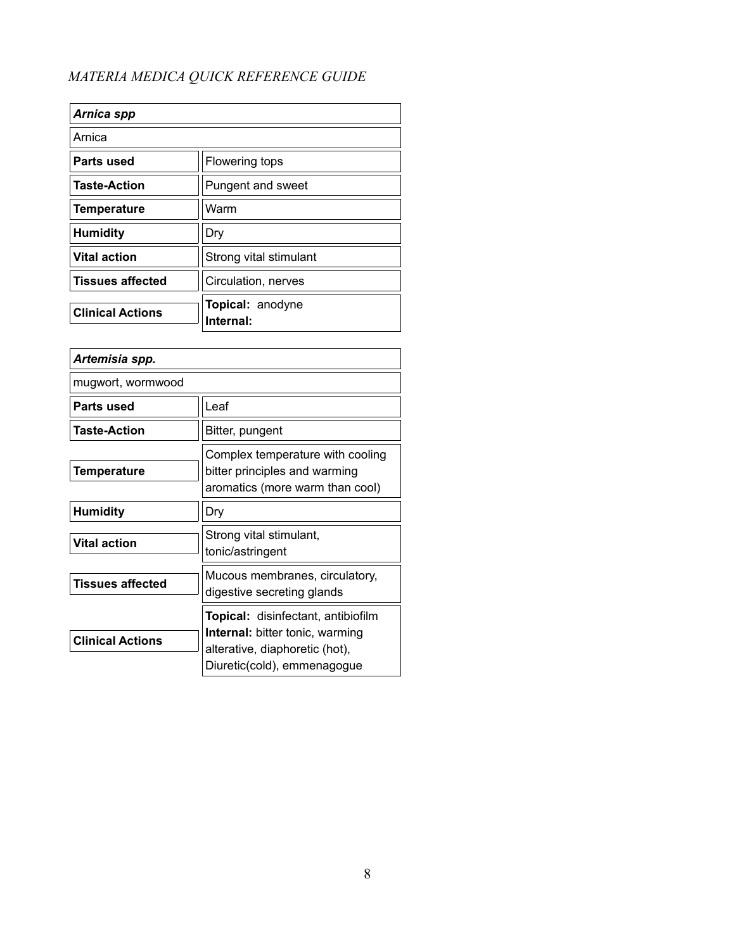| Arnica spp              |                               |
|-------------------------|-------------------------------|
| Arnica                  |                               |
| Parts used              | Flowering tops                |
| <b>Taste-Action</b>     | Pungent and sweet             |
| <b>Temperature</b>      | Warm                          |
| <b>Humidity</b>         | Dry                           |
| <b>Vital action</b>     | Strong vital stimulant        |
| <b>Tissues affected</b> | Circulation, nerves           |
| <b>Clinical Actions</b> | Topical: anodyne<br>Internal: |

| Artemisia spp.          |                                                                                                                                                      |
|-------------------------|------------------------------------------------------------------------------------------------------------------------------------------------------|
|                         |                                                                                                                                                      |
| mugwort, wormwood       |                                                                                                                                                      |
| Parts used              | Leaf                                                                                                                                                 |
| <b>Taste-Action</b>     | Bitter, pungent                                                                                                                                      |
| Temperature             | Complex temperature with cooling<br>bitter principles and warming<br>aromatics (more warm than cool)                                                 |
| <b>Humidity</b>         | Dry                                                                                                                                                  |
| <b>Vital action</b>     | Strong vital stimulant,<br>tonic/astringent                                                                                                          |
| <b>Tissues affected</b> | Mucous membranes, circulatory,<br>digestive secreting glands                                                                                         |
| <b>Clinical Actions</b> | <b>Topical:</b> disinfectant, antibiofilm<br><b>Internal:</b> bitter tonic, warming<br>alterative, diaphoretic (hot),<br>Diuretic(cold), emmenagogue |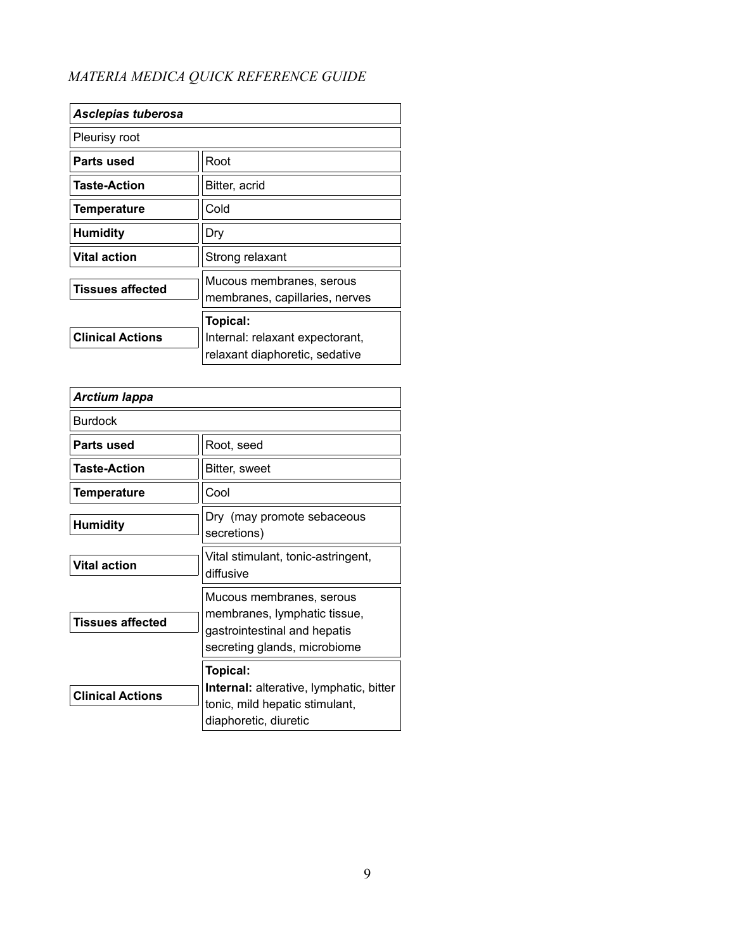| Asclepias tuberosa      |                                                            |
|-------------------------|------------------------------------------------------------|
| Pleurisy root           |                                                            |
| Parts used              | Root                                                       |
| <b>Taste-Action</b>     | Bitter, acrid                                              |
| <b>Temperature</b>      | Cold                                                       |
| <b>Humidity</b>         | Dry                                                        |
| <b>Vital action</b>     | Strong relaxant                                            |
| <b>Tissues affected</b> | Mucous membranes, serous<br>membranes, capillaries, nerves |
|                         | Topical:                                                   |
| <b>Clinical Actions</b> | Internal: relaxant expectorant,                            |
|                         | relaxant diaphoretic, sedative                             |

| <b>Arctium lappa</b>    |                                                                                                                          |
|-------------------------|--------------------------------------------------------------------------------------------------------------------------|
| <b>Burdock</b>          |                                                                                                                          |
| Parts used              | Root, seed                                                                                                               |
| <b>Taste-Action</b>     | Bitter, sweet                                                                                                            |
| <b>Temperature</b>      | Cool                                                                                                                     |
| <b>Humidity</b>         | Dry (may promote sebaceous<br>secretions)                                                                                |
| <b>Vital action</b>     | Vital stimulant, tonic-astringent,<br>diffusive                                                                          |
| <b>Tissues affected</b> | Mucous membranes, serous<br>membranes, lymphatic tissue,<br>gastrointestinal and hepatis<br>secreting glands, microbiome |
| <b>Clinical Actions</b> | Topical:<br>Internal: alterative, lymphatic, bitter<br>tonic, mild hepatic stimulant,<br>diaphoretic, diuretic           |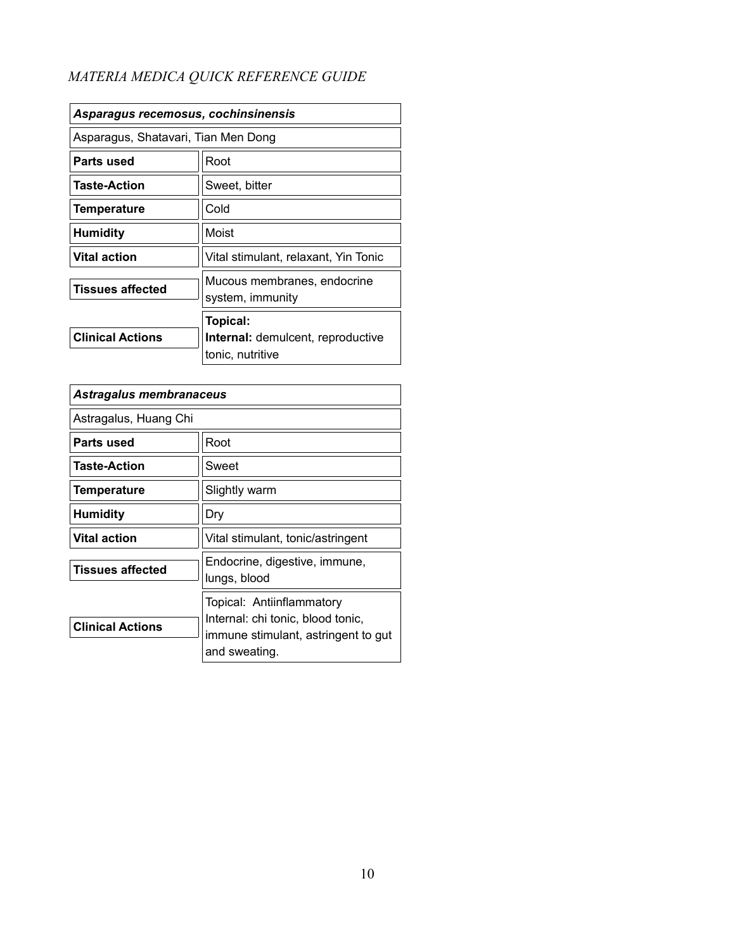| Asparagus recemosus, cochinsinensis |                                                              |
|-------------------------------------|--------------------------------------------------------------|
| Asparagus, Shatavari, Tian Men Dong |                                                              |
| Parts used                          | Root                                                         |
| Taste-Action                        | Sweet, bitter                                                |
| <b>Temperature</b>                  | Cold                                                         |
| <b>Humidity</b>                     | Moist                                                        |
| <b>Vital action</b>                 | Vital stimulant, relaxant, Yin Tonic                         |
| <b>Tissues affected</b>             | Mucous membranes, endocrine<br>system, immunity              |
|                                     | Topical:                                                     |
| <b>Clinical Actions</b>             | <b>Internal:</b> demulcent, reproductive<br>tonic, nutritive |

| Astragalus membranaceus |                                                                                                                        |
|-------------------------|------------------------------------------------------------------------------------------------------------------------|
| Astragalus, Huang Chi   |                                                                                                                        |
| Parts used              | Root                                                                                                                   |
| <b>Taste-Action</b>     | Sweet                                                                                                                  |
| <b>Temperature</b>      | Slightly warm                                                                                                          |
| <b>Humidity</b>         | Dry                                                                                                                    |
| Vital action            | Vital stimulant, tonic/astringent                                                                                      |
| <b>Tissues affected</b> | Endocrine, digestive, immune,<br>lungs, blood                                                                          |
| <b>Clinical Actions</b> | Topical: Antiinflammatory<br>Internal: chi tonic, blood tonic,<br>immune stimulant, astringent to gut<br>and sweating. |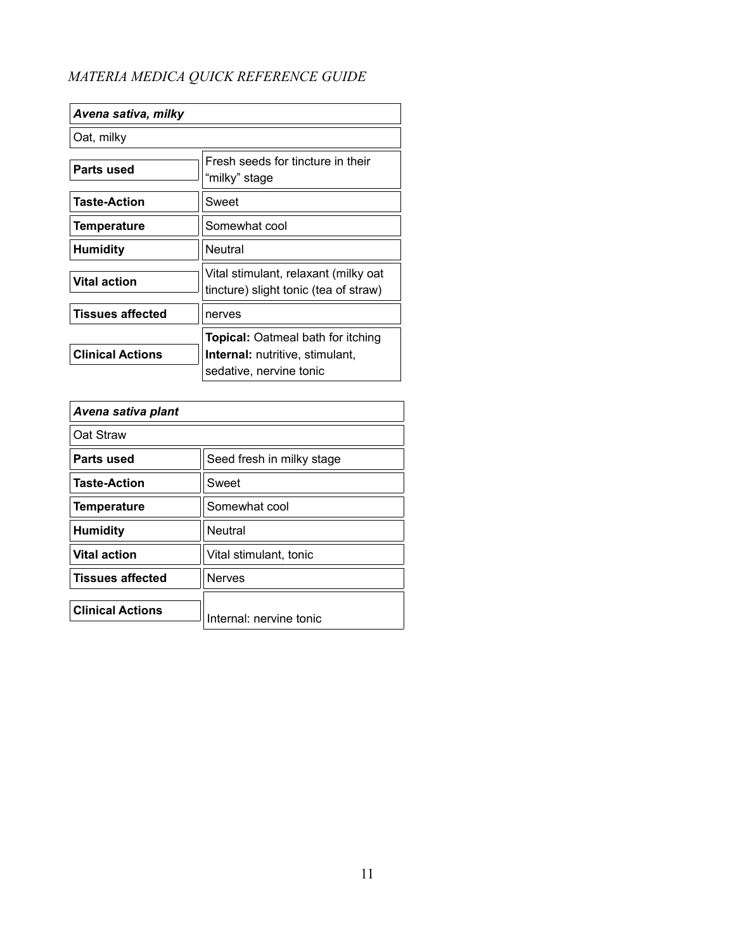| Fresh seeds for tincture in their<br>"milky" stage                                                            |
|---------------------------------------------------------------------------------------------------------------|
| Sweet                                                                                                         |
| Somewhat cool                                                                                                 |
| Neutral                                                                                                       |
| Vital stimulant, relaxant (milky oat<br>tincture) slight tonic (tea of straw)                                 |
| nerves                                                                                                        |
| <b>Topical: Oatmeal bath for itching</b><br><b>Internal:</b> nutritive, stimulant,<br>sedative, nervine tonic |
|                                                                                                               |

| Avena sativa plant      |                           |
|-------------------------|---------------------------|
| Oat Straw               |                           |
| Parts used              | Seed fresh in milky stage |
| <b>Taste-Action</b>     | Sweet                     |
| <b>Temperature</b>      | Somewhat cool             |
| <b>Humidity</b>         | <b>Neutral</b>            |
| <b>Vital action</b>     | Vital stimulant, tonic    |
| <b>Tissues affected</b> | <b>Nerves</b>             |
| <b>Clinical Actions</b> | Internal: nervine tonic   |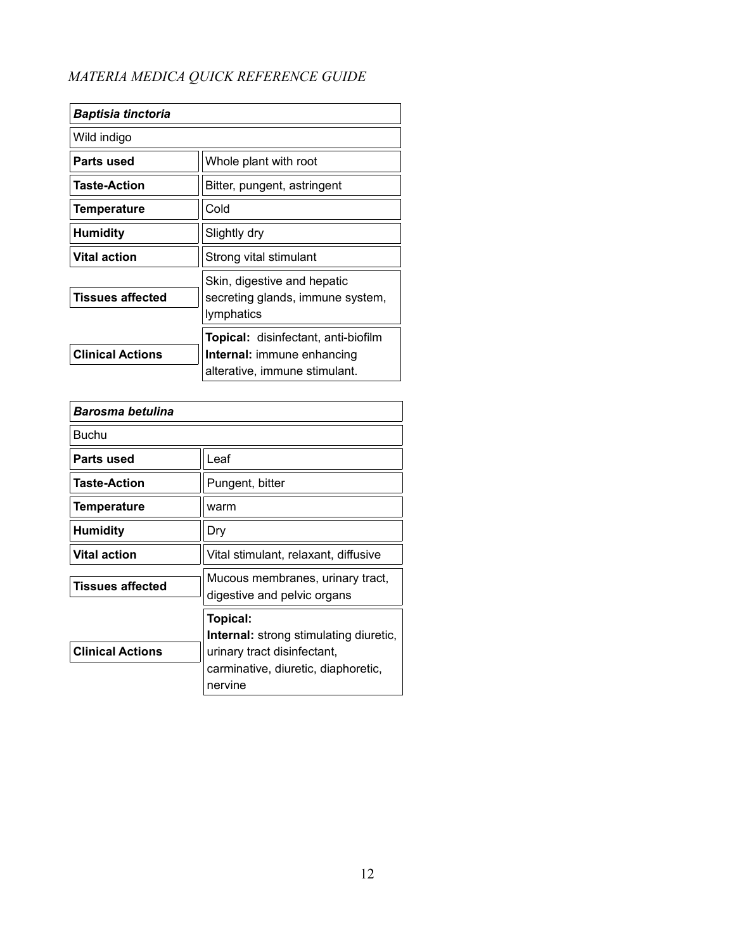| <b>Baptisia tinctoria</b> |                                                                                                                  |
|---------------------------|------------------------------------------------------------------------------------------------------------------|
| Wild indigo               |                                                                                                                  |
| Parts used                | Whole plant with root                                                                                            |
| <b>Taste-Action</b>       | Bitter, pungent, astringent                                                                                      |
| Temperature               | Cold                                                                                                             |
| Humidity                  | Slightly dry                                                                                                     |
| <b>Vital action</b>       | Strong vital stimulant                                                                                           |
| <b>Tissues affected</b>   | Skin, digestive and hepatic<br>secreting glands, immune system,<br>lymphatics                                    |
| <b>Clinical Actions</b>   | <b>Topical:</b> disinfectant, anti-biofilm<br><b>Internal: immune enhancing</b><br>alterative, immune stimulant. |

| Barosma betulina        |                                                                                                                                            |
|-------------------------|--------------------------------------------------------------------------------------------------------------------------------------------|
| Buchu                   |                                                                                                                                            |
| Parts used              | Leaf                                                                                                                                       |
| <b>Taste-Action</b>     | Pungent, bitter                                                                                                                            |
| <b>Temperature</b>      | warm                                                                                                                                       |
| <b>Humidity</b>         | Dry                                                                                                                                        |
| <b>Vital action</b>     | Vital stimulant, relaxant, diffusive                                                                                                       |
| <b>Tissues affected</b> | Mucous membranes, urinary tract,<br>digestive and pelvic organs                                                                            |
| <b>Clinical Actions</b> | Topical:<br><b>Internal:</b> strong stimulating diuretic,<br>urinary tract disinfectant,<br>carminative, diuretic, diaphoretic,<br>nervine |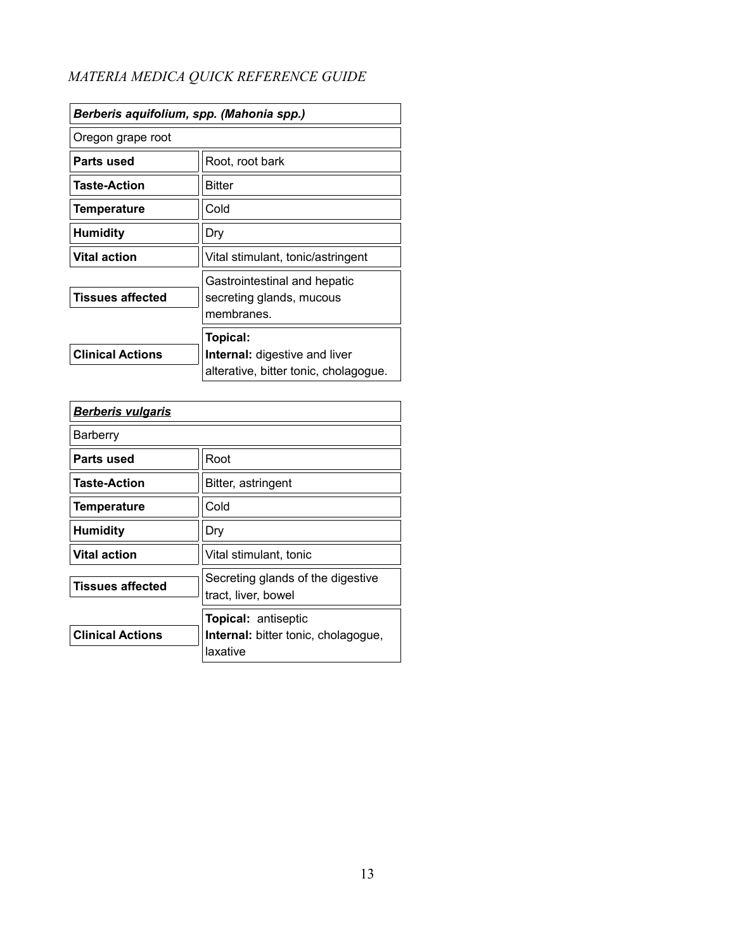| Berberis aquifolium, spp. (Mahonia spp.) |                                                                                           |
|------------------------------------------|-------------------------------------------------------------------------------------------|
| Oregon grape root                        |                                                                                           |
| Parts used                               | Root, root bark                                                                           |
| <b>Taste-Action</b>                      | <b>Bitter</b>                                                                             |
| Temperature                              | Cold                                                                                      |
| <b>Humidity</b>                          | Dry                                                                                       |
| <b>Vital action</b>                      | Vital stimulant, tonic/astringent                                                         |
| <b>Tissues affected</b>                  | Gastrointestinal and hepatic<br>secreting glands, mucous<br>membranes.                    |
| <b>Clinical Actions</b>                  | Topical:<br><b>Internal:</b> digestive and liver<br>alterative, bitter tonic, cholagogue. |

| <b>Berberis vulgaris</b> |                                                                               |
|--------------------------|-------------------------------------------------------------------------------|
| Barberry                 |                                                                               |
| Parts used               | Root                                                                          |
| <b>Taste-Action</b>      | Bitter, astringent                                                            |
| <b>Temperature</b>       | Cold                                                                          |
| <b>Humidity</b>          | Dry                                                                           |
| <b>Vital action</b>      | Vital stimulant, tonic                                                        |
| <b>Tissues affected</b>  | Secreting glands of the digestive<br>tract, liver, bowel                      |
| <b>Clinical Actions</b>  | <b>Topical: antiseptic</b><br>Internal: bitter tonic, cholagogue,<br>laxative |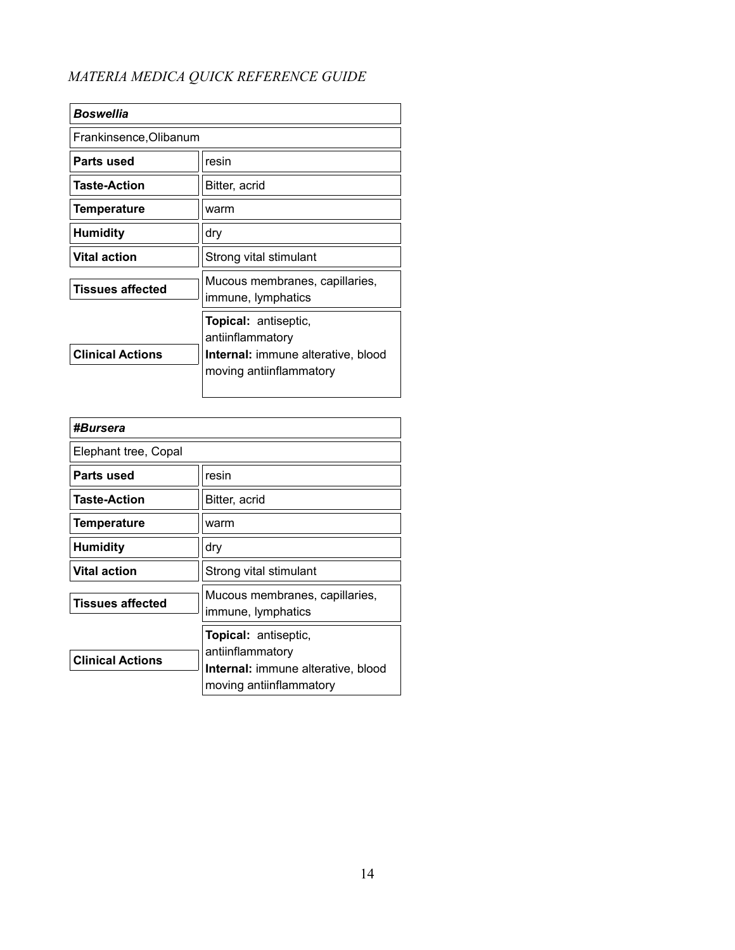| <b>Boswellia</b>        |                                                                                                                         |
|-------------------------|-------------------------------------------------------------------------------------------------------------------------|
| Frankinsence, Olibanum  |                                                                                                                         |
| Parts used              | resin                                                                                                                   |
| <b>Taste-Action</b>     | Bitter, acrid                                                                                                           |
| Temperature             | warm                                                                                                                    |
| <b>Humidity</b>         | dry                                                                                                                     |
| <b>Vital action</b>     | Strong vital stimulant                                                                                                  |
| <b>Tissues affected</b> | Mucous membranes, capillaries,<br>immune, lymphatics                                                                    |
| <b>Clinical Actions</b> | <b>Topical:</b> antiseptic,<br>antiinflammatory<br><b>Internal:</b> immune alterative, blood<br>moving antiinflammatory |

| #Bursera                |                                                                                                                         |
|-------------------------|-------------------------------------------------------------------------------------------------------------------------|
| Elephant tree, Copal    |                                                                                                                         |
| Parts used              | resin                                                                                                                   |
| <b>Taste-Action</b>     | Bitter, acrid                                                                                                           |
| <b>Temperature</b>      | warm                                                                                                                    |
| <b>Humidity</b>         | dry                                                                                                                     |
| <b>Vital action</b>     | Strong vital stimulant                                                                                                  |
| <b>Tissues affected</b> | Mucous membranes, capillaries,<br>immune, lymphatics                                                                    |
| <b>Clinical Actions</b> | <b>Topical:</b> antiseptic,<br>antiinflammatory<br><b>Internal:</b> immune alterative, blood<br>moving antiinflammatory |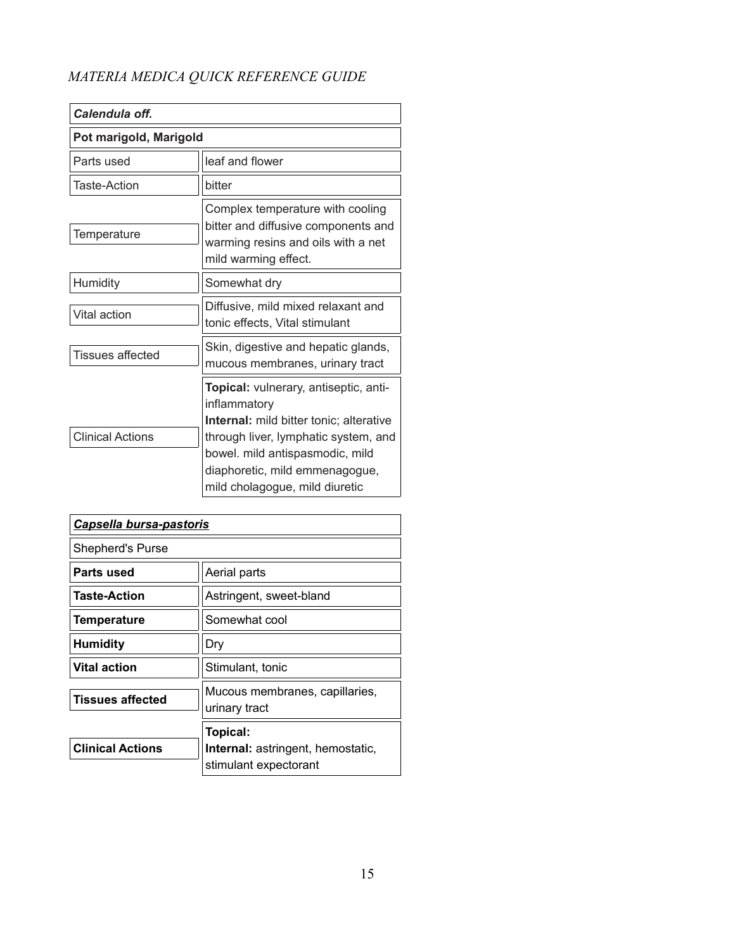| Calendula off.          |                                                                                                                                                                                                                                                        |
|-------------------------|--------------------------------------------------------------------------------------------------------------------------------------------------------------------------------------------------------------------------------------------------------|
| Pot marigold, Marigold  |                                                                                                                                                                                                                                                        |
| Parts used              | leaf and flower                                                                                                                                                                                                                                        |
| <b>Taste-Action</b>     | bitter                                                                                                                                                                                                                                                 |
| Temperature             | Complex temperature with cooling<br>bitter and diffusive components and<br>warming resins and oils with a net<br>mild warming effect.                                                                                                                  |
| Humidity                | Somewhat dry                                                                                                                                                                                                                                           |
| Vital action            | Diffusive, mild mixed relaxant and<br>tonic effects, Vital stimulant                                                                                                                                                                                   |
| Tissues affected        | Skin, digestive and hepatic glands,<br>mucous membranes, urinary tract                                                                                                                                                                                 |
| <b>Clinical Actions</b> | Topical: vulnerary, antiseptic, anti-<br>inflammatory<br><b>Internal:</b> mild bitter tonic; alterative<br>through liver, lymphatic system, and<br>bowel. mild antispasmodic, mild<br>diaphoretic, mild emmenagogue,<br>mild cholagogue, mild diuretic |

| Capsella bursa-pastoris |                                                                               |
|-------------------------|-------------------------------------------------------------------------------|
| Shepherd's Purse        |                                                                               |
| Parts used              | Aerial parts                                                                  |
| <b>Taste-Action</b>     | Astringent, sweet-bland                                                       |
| <b>Temperature</b>      | Somewhat cool                                                                 |
| <b>Humidity</b>         | Dry                                                                           |
| <b>Vital action</b>     | Stimulant, tonic                                                              |
| <b>Tissues affected</b> | Mucous membranes, capillaries,<br>urinary tract                               |
| <b>Clinical Actions</b> | Topical:<br><b>Internal:</b> astringent, hemostatic,<br>stimulant expectorant |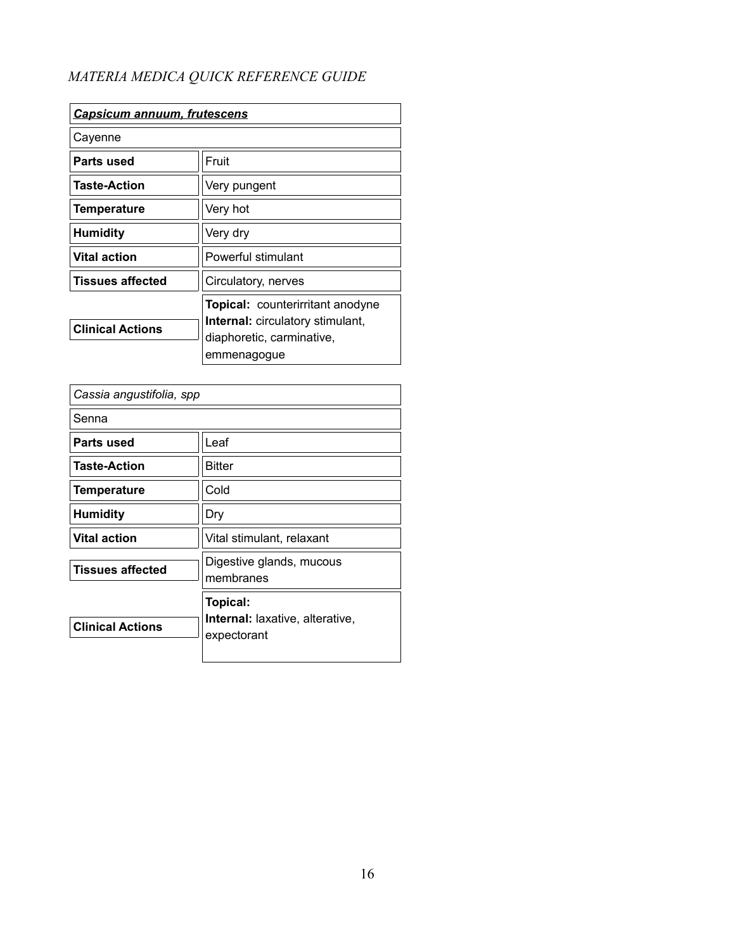| <u>Capsicum annuum, frutescens</u> |                                                                                                                                |
|------------------------------------|--------------------------------------------------------------------------------------------------------------------------------|
| Cayenne                            |                                                                                                                                |
| Parts used                         | Fruit                                                                                                                          |
| <b>Taste-Action</b>                | Very pungent                                                                                                                   |
| <b>Temperature</b>                 | Very hot                                                                                                                       |
| <b>Humidity</b>                    | Very dry                                                                                                                       |
| <b>Vital action</b>                | Powerful stimulant                                                                                                             |
| <b>Tissues affected</b>            | Circulatory, nerves                                                                                                            |
| <b>Clinical Actions</b>            | <b>Topical:</b> counterirritant anodyne<br><b>Internal:</b> circulatory stimulant,<br>diaphoretic, carminative,<br>emmenagogue |

| Cassia angustifolia, spp |                                                                   |
|--------------------------|-------------------------------------------------------------------|
| Senna                    |                                                                   |
| Parts used               | Leaf                                                              |
| <b>Taste-Action</b>      | <b>Bitter</b>                                                     |
| <b>Temperature</b>       | Cold                                                              |
| <b>Humidity</b>          | Dry                                                               |
| <b>Vital action</b>      | Vital stimulant, relaxant                                         |
| <b>Tissues affected</b>  | Digestive glands, mucous<br>membranes                             |
| <b>Clinical Actions</b>  | Topical:<br><b>Internal:</b> laxative, alterative,<br>expectorant |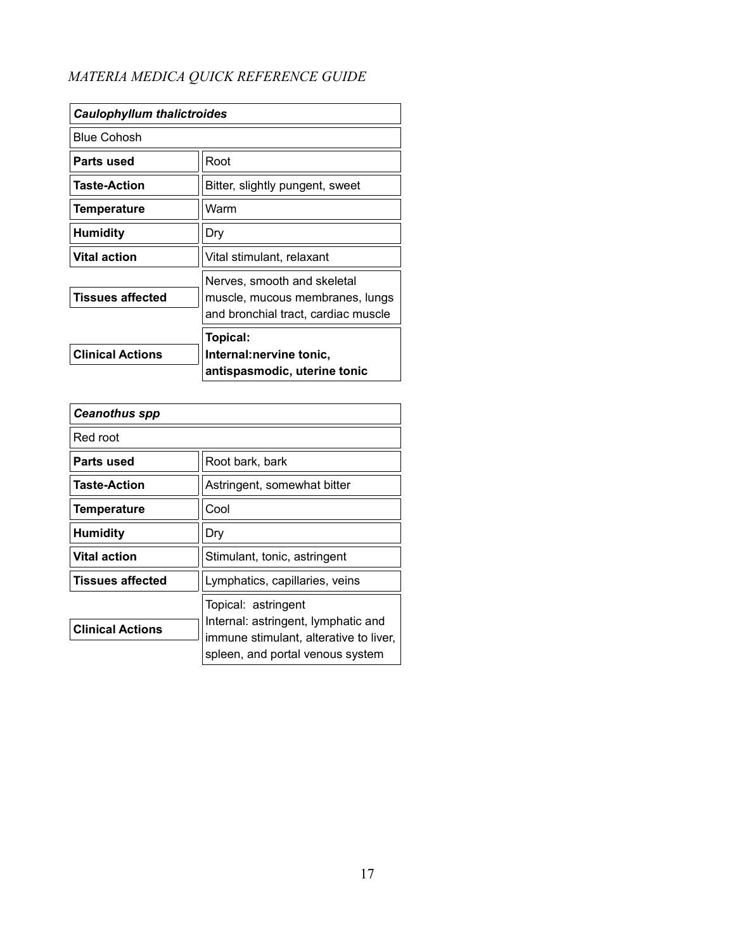| <b>Caulophyllum thalictroides</b> |                                                                                                       |
|-----------------------------------|-------------------------------------------------------------------------------------------------------|
| <b>Blue Cohosh</b>                |                                                                                                       |
| Parts used                        | Root                                                                                                  |
| <b>Taste-Action</b>               | Bitter, slightly pungent, sweet                                                                       |
| Temperature                       | Warm                                                                                                  |
| <b>Humidity</b>                   | Dry                                                                                                   |
| <b>Vital action</b>               | Vital stimulant, relaxant                                                                             |
| <b>Tissues affected</b>           | Nerves, smooth and skeletal<br>muscle, mucous membranes, lungs<br>and bronchial tract, cardiac muscle |
| <b>Clinical Actions</b>           | Topical:<br>Internal: nervine tonic,<br>antispasmodic, uterine tonic                                  |

| <b>Ceanothus spp</b>    |                                                                                                                                          |
|-------------------------|------------------------------------------------------------------------------------------------------------------------------------------|
| Red root                |                                                                                                                                          |
| Parts used              | Root bark, bark                                                                                                                          |
| <b>Taste-Action</b>     | Astringent, somewhat bitter                                                                                                              |
| <b>Temperature</b>      | Cool                                                                                                                                     |
| <b>Humidity</b>         | Dry                                                                                                                                      |
| <b>Vital action</b>     | Stimulant, tonic, astringent                                                                                                             |
| <b>Tissues affected</b> | Lymphatics, capillaries, veins                                                                                                           |
| <b>Clinical Actions</b> | Topical: astringent<br>Internal: astringent, lymphatic and<br>immune stimulant, alterative to liver,<br>spleen, and portal venous system |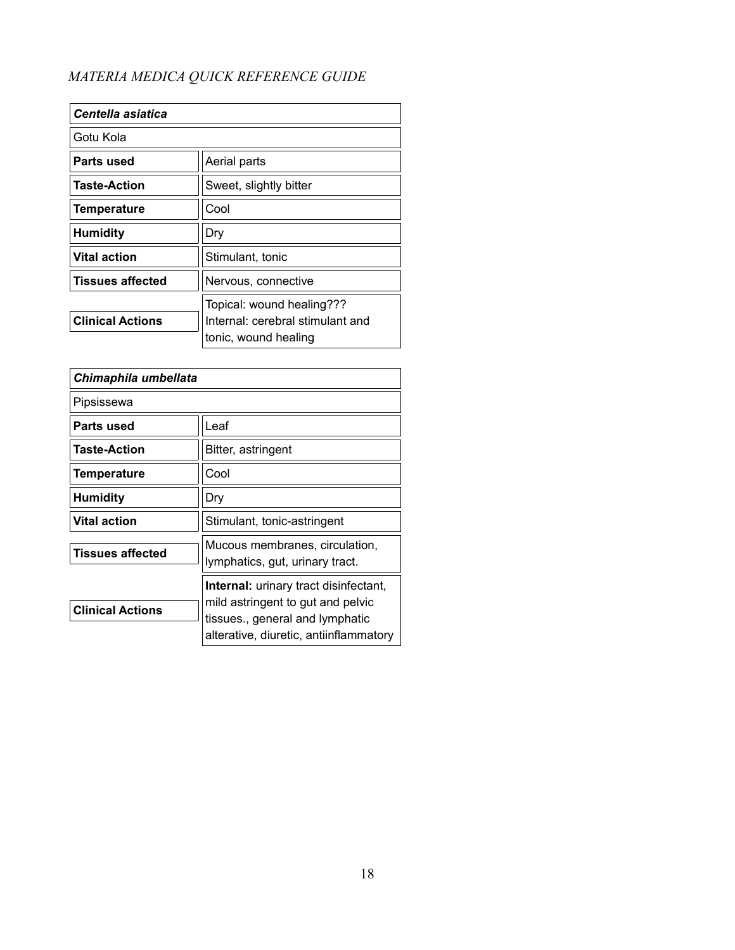| Centella asiatica       |                                                               |
|-------------------------|---------------------------------------------------------------|
| Gotu Kola               |                                                               |
| Parts used              | Aerial parts                                                  |
| <b>Taste-Action</b>     | Sweet, slightly bitter                                        |
| <b>Temperature</b>      | Cool                                                          |
| <b>Humidity</b>         | Dry                                                           |
| <b>Vital action</b>     | Stimulant, tonic                                              |
| <b>Tissues affected</b> | Nervous, connective                                           |
| <b>Clinical Actions</b> | Topical: wound healing???<br>Internal; cerebral stimulant and |
|                         | tonic, wound healing                                          |

| Chimaphila umbellata    |                                                                                                                                                                |
|-------------------------|----------------------------------------------------------------------------------------------------------------------------------------------------------------|
| Pipsissewa              |                                                                                                                                                                |
| Parts used              | Leaf                                                                                                                                                           |
| <b>Taste-Action</b>     | Bitter, astringent                                                                                                                                             |
| <b>Temperature</b>      | Cool                                                                                                                                                           |
| <b>Humidity</b>         | Dry                                                                                                                                                            |
| <b>Vital action</b>     | Stimulant, tonic-astringent                                                                                                                                    |
| <b>Tissues affected</b> | Mucous membranes, circulation,<br>lymphatics, gut, urinary tract.                                                                                              |
| <b>Clinical Actions</b> | <b>Internal:</b> urinary tract disinfectant,<br>mild astringent to gut and pelvic<br>tissues., general and lymphatic<br>alterative, diuretic, antiinflammatory |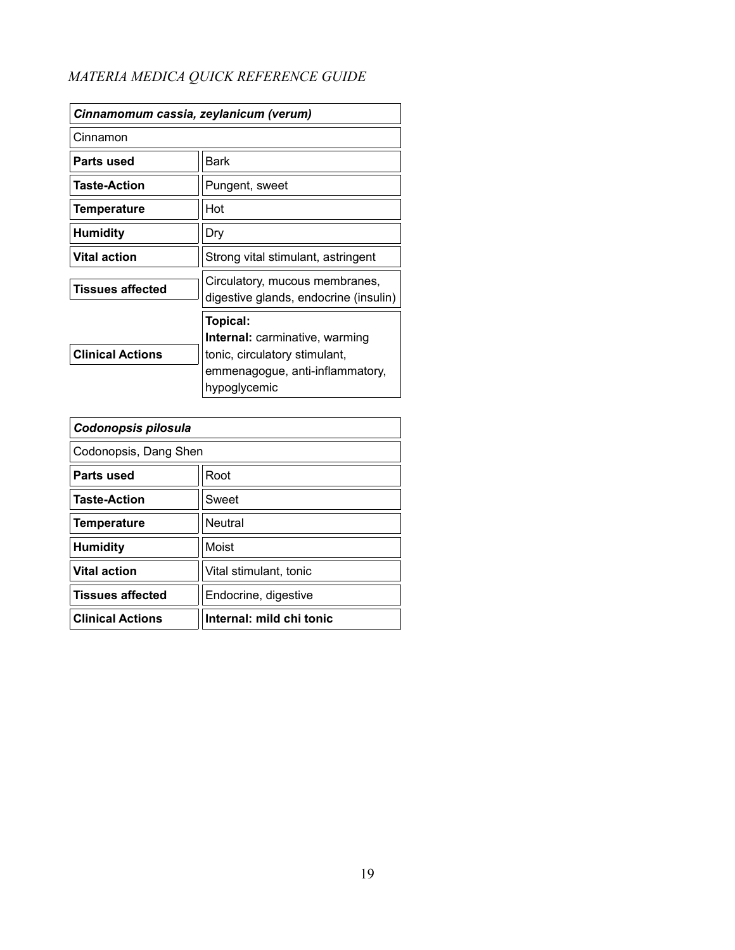| Cinnamomum cassia, zeylanicum (verum) |                                                                                                                                       |
|---------------------------------------|---------------------------------------------------------------------------------------------------------------------------------------|
| Cinnamon                              |                                                                                                                                       |
| Parts used                            | Bark                                                                                                                                  |
| Taste-Action                          | Pungent, sweet                                                                                                                        |
| <b>Temperature</b>                    | Hot                                                                                                                                   |
| <b>Humidity</b>                       | Dry                                                                                                                                   |
| <b>Vital action</b>                   | Strong vital stimulant, astringent                                                                                                    |
| Tissues affected                      | Circulatory, mucous membranes,<br>digestive glands, endocrine (insulin)                                                               |
| <b>Clinical Actions</b>               | Topical:<br><b>Internal:</b> carminative, warming<br>tonic, circulatory stimulant,<br>emmenagogue, anti-inflammatory,<br>hypoglycemic |

| Codonopsis pilosula     |                          |
|-------------------------|--------------------------|
| Codonopsis, Dang Shen   |                          |
| Parts used              | Root                     |
| <b>Taste-Action</b>     | Sweet                    |
| <b>Temperature</b>      | <b>Neutral</b>           |
| <b>Humidity</b>         | Moist                    |
| <b>Vital action</b>     | Vital stimulant, tonic   |
| <b>Tissues affected</b> | Endocrine, digestive     |
| <b>Clinical Actions</b> | Internal: mild chi tonic |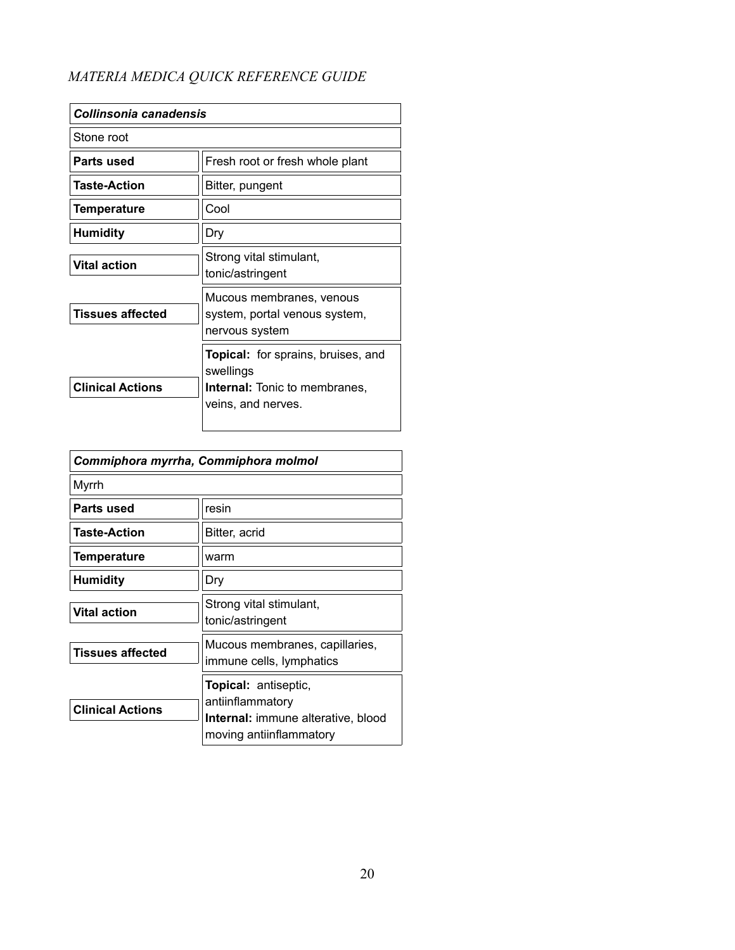| Collinsonia canadensis  |                                                                                                                      |
|-------------------------|----------------------------------------------------------------------------------------------------------------------|
| Stone root              |                                                                                                                      |
| Parts used              | Fresh root or fresh whole plant                                                                                      |
| <b>Taste-Action</b>     | Bitter, pungent                                                                                                      |
| <b>Temperature</b>      | Cool                                                                                                                 |
| <b>Humidity</b>         | Dry                                                                                                                  |
| <b>Vital action</b>     | Strong vital stimulant,<br>tonic/astringent                                                                          |
| Tissues affected        | Mucous membranes, venous<br>system, portal venous system,<br>nervous system                                          |
| <b>Clinical Actions</b> | <b>Topical:</b> for sprains, bruises, and<br>swellings<br><b>Internal:</b> Tonic to membranes,<br>veins, and nerves. |

| Commiphora myrrha, Commiphora molmol |                                                                                                                         |
|--------------------------------------|-------------------------------------------------------------------------------------------------------------------------|
| Myrrh                                |                                                                                                                         |
| Parts used                           | resin                                                                                                                   |
| <b>Taste-Action</b>                  | Bitter, acrid                                                                                                           |
| <b>Temperature</b>                   | warm                                                                                                                    |
| <b>Humidity</b>                      | Dry                                                                                                                     |
| <b>Vital action</b>                  | Strong vital stimulant,<br>tonic/astringent                                                                             |
| <b>Tissues affected</b>              | Mucous membranes, capillaries,<br>immune cells, lymphatics                                                              |
| <b>Clinical Actions</b>              | <b>Topical:</b> antiseptic,<br>antiinflammatory<br><b>Internal:</b> immune alterative, blood<br>moving antiinflammatory |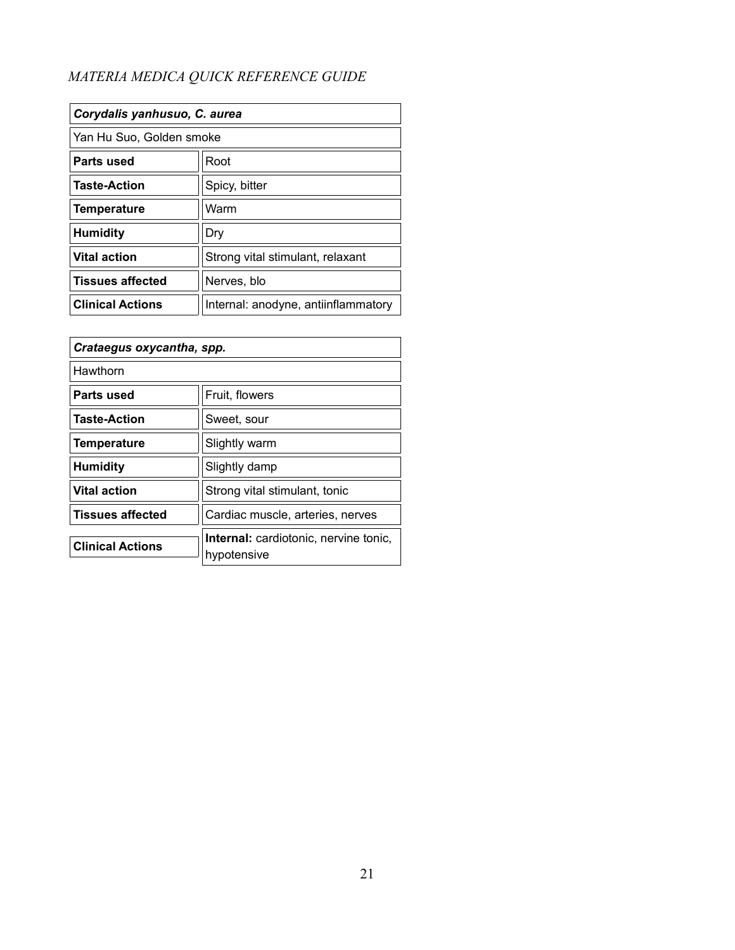| Corydalis yanhusuo, C. aurea |                                     |
|------------------------------|-------------------------------------|
| Yan Hu Suo, Golden smoke     |                                     |
| Parts used                   | Root                                |
| <b>Taste-Action</b>          | Spicy, bitter                       |
| Temperature                  | Warm                                |
| <b>Humidity</b>              | Dry                                 |
| <b>Vital action</b>          | Strong vital stimulant, relaxant    |
| <b>Tissues affected</b>      | Nerves, blo                         |
| <b>Clinical Actions</b>      | Internal: anodyne, antiinflammatory |

| Crataegus oxycantha, spp. |                                                             |
|---------------------------|-------------------------------------------------------------|
| Hawthorn                  |                                                             |
| Parts used                | Fruit, flowers                                              |
| <b>Taste-Action</b>       | Sweet, sour                                                 |
| <b>Temperature</b>        | Slightly warm                                               |
| <b>Humidity</b>           | Slightly damp                                               |
| <b>Vital action</b>       | Strong vital stimulant, tonic                               |
| <b>Tissues affected</b>   | Cardiac muscle, arteries, nerves                            |
| <b>Clinical Actions</b>   | <b>Internal:</b> cardiotonic, nervine tonic,<br>hypotensive |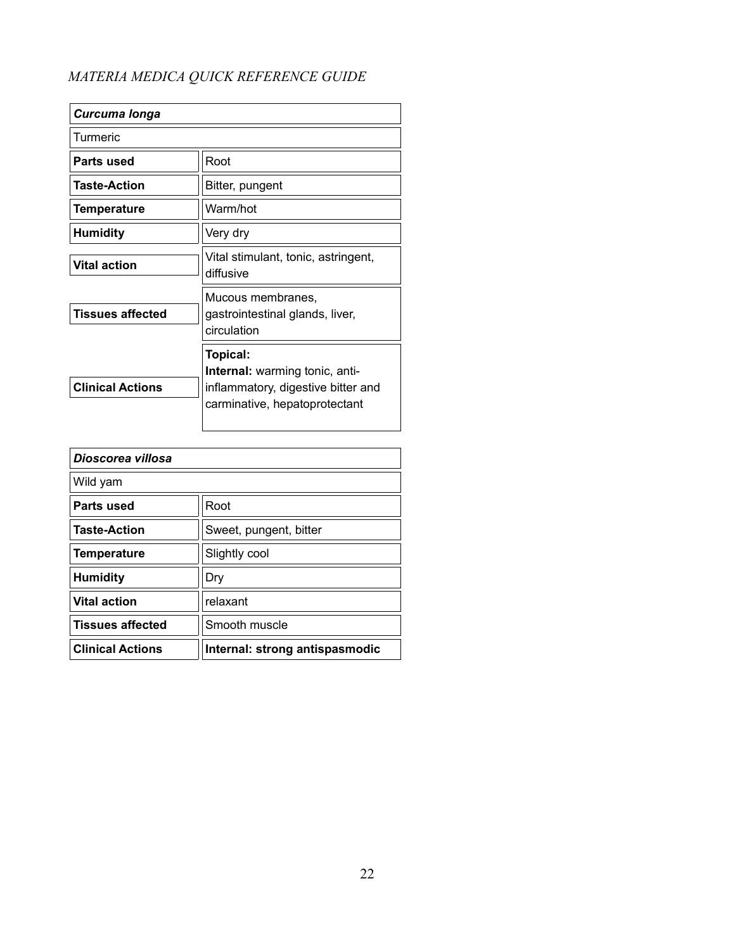| Curcuma longa           |                                                                                                                          |
|-------------------------|--------------------------------------------------------------------------------------------------------------------------|
| Turmeric                |                                                                                                                          |
| Parts used              | Root                                                                                                                     |
| <b>Taste-Action</b>     | Bitter, pungent                                                                                                          |
| Temperature             | Warm/hot                                                                                                                 |
| <b>Humidity</b>         | Very dry                                                                                                                 |
| <b>Vital action</b>     | Vital stimulant, tonic, astringent,<br>diffusive                                                                         |
| Tissues affected        | Mucous membranes,<br>gastrointestinal glands, liver,<br>circulation                                                      |
| <b>Clinical Actions</b> | Topical:<br><b>Internal:</b> warming tonic, anti-<br>inflammatory, digestive bitter and<br>carminative, hepatoprotectant |

| Dioscorea villosa       |                                |
|-------------------------|--------------------------------|
| Wild yam                |                                |
| Parts used              | Root                           |
| <b>Taste-Action</b>     | Sweet, pungent, bitter         |
| Temperature             | Slightly cool                  |
| <b>Humidity</b>         | Dry                            |
| <b>Vital action</b>     | relaxant                       |
| <b>Tissues affected</b> | Smooth muscle                  |
| <b>Clinical Actions</b> | Internal: strong antispasmodic |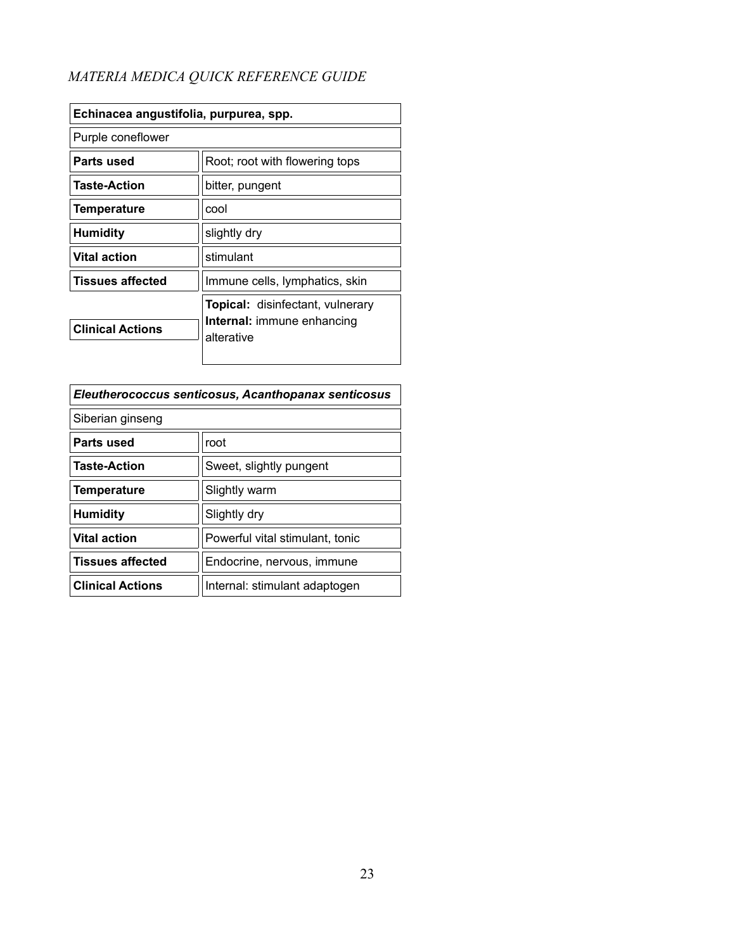| Echinacea angustifolia, purpurea, spp. |                                                                                     |
|----------------------------------------|-------------------------------------------------------------------------------------|
| Purple coneflower                      |                                                                                     |
| Parts used                             | Root; root with flowering tops                                                      |
| <b>Taste-Action</b>                    | bitter, pungent                                                                     |
| <b>Temperature</b>                     | cool                                                                                |
| <b>Humidity</b>                        | slightly dry                                                                        |
| <b>Vital action</b>                    | stimulant                                                                           |
| <b>Tissues affected</b>                | Immune cells, lymphatics, skin                                                      |
| <b>Clinical Actions</b>                | <b>Topical:</b> disinfectant, vulnerary<br>Internal: immune enhancing<br>alterative |

| Eleutherococcus senticosus, Acanthopanax senticosus |                                 |
|-----------------------------------------------------|---------------------------------|
| Siberian ginseng                                    |                                 |
| Parts used                                          | root                            |
| <b>Taste-Action</b>                                 | Sweet, slightly pungent         |
| <b>Temperature</b>                                  | Slightly warm                   |
| <b>Humidity</b>                                     | Slightly dry                    |
| <b>Vital action</b>                                 | Powerful vital stimulant, tonic |
| <b>Tissues affected</b>                             | Endocrine, nervous, immune      |
| <b>Clinical Actions</b>                             | Internal: stimulant adaptogen   |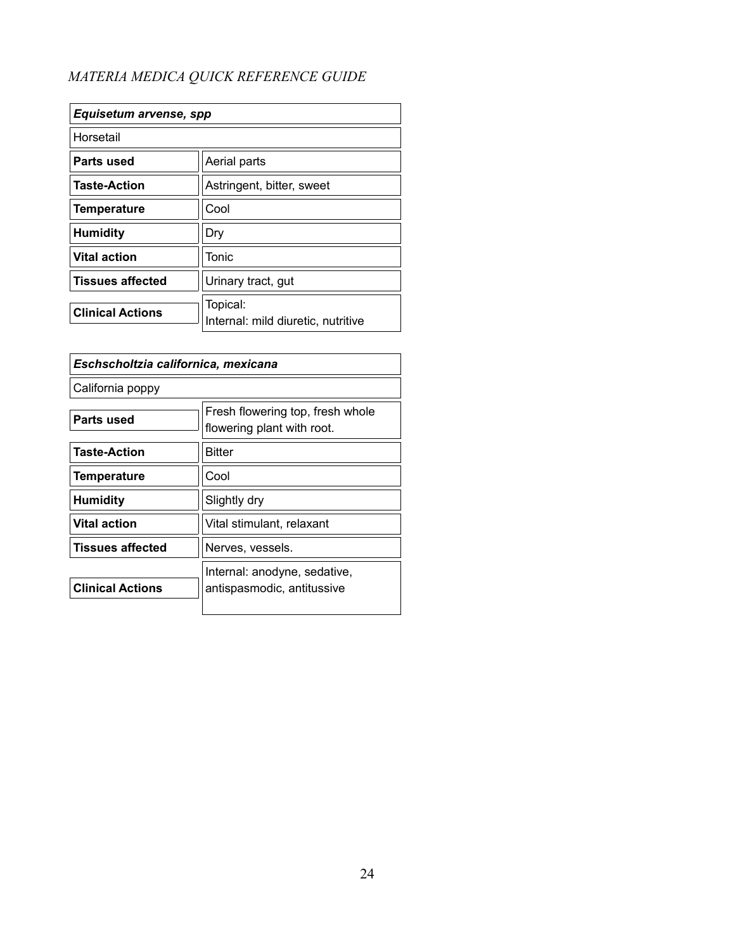| Equisetum arvense, spp  |                                                |
|-------------------------|------------------------------------------------|
| Horsetail               |                                                |
| Parts used              | Aerial parts                                   |
| <b>Taste-Action</b>     | Astringent, bitter, sweet                      |
| <b>Temperature</b>      | Cool                                           |
| <b>Humidity</b>         | Dry                                            |
| <b>Vital action</b>     | Tonic                                          |
| <b>Tissues affected</b> | Urinary tract, gut                             |
| <b>Clinical Actions</b> | Topical:<br>Internal: mild diuretic, nutritive |

| Eschscholtzia californica, mexicana |                                                                |
|-------------------------------------|----------------------------------------------------------------|
| California poppy                    |                                                                |
| Parts used                          | Fresh flowering top, fresh whole<br>flowering plant with root. |
| <b>Taste-Action</b>                 | Bitter                                                         |
| <b>Temperature</b>                  | Cool                                                           |
| <b>Humidity</b>                     | Slightly dry                                                   |
| <b>Vital action</b>                 | Vital stimulant, relaxant                                      |
| <b>Tissues affected</b>             | Nerves, vessels.                                               |
| <b>Clinical Actions</b>             | Internal: anodyne, sedative,<br>antispasmodic, antitussive     |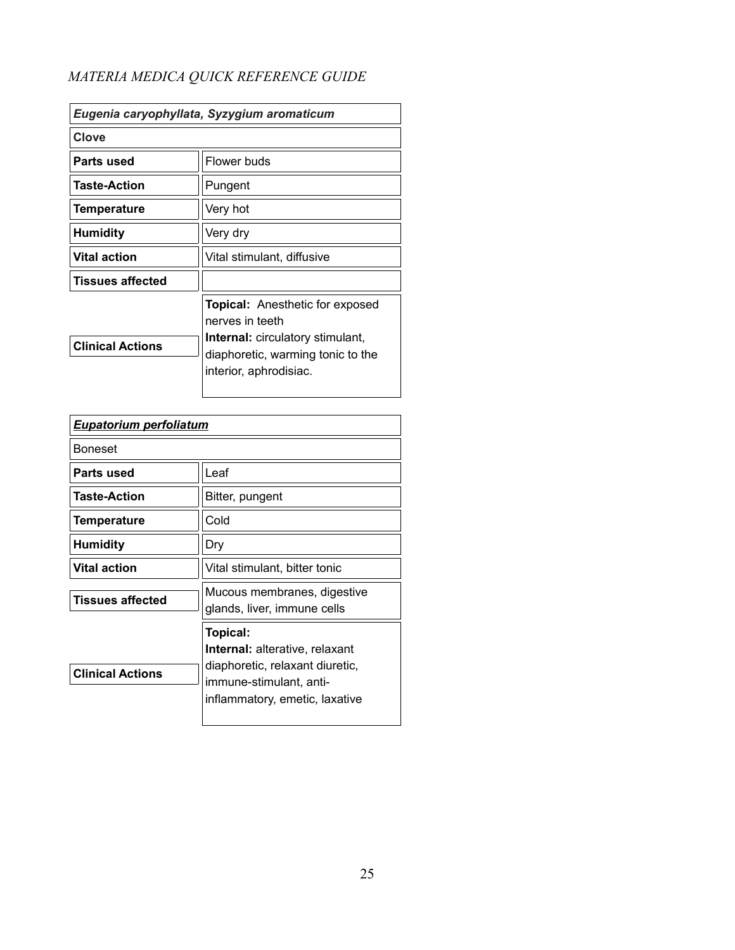| Eugenia caryophyllata, Syzygium aromaticum |                                                                                                                                                                     |
|--------------------------------------------|---------------------------------------------------------------------------------------------------------------------------------------------------------------------|
| Clove                                      |                                                                                                                                                                     |
| Parts used                                 | Flower buds                                                                                                                                                         |
| <b>Taste-Action</b>                        | Pungent                                                                                                                                                             |
| Temperature                                | Very hot                                                                                                                                                            |
| <b>Humidity</b>                            | Very dry                                                                                                                                                            |
| <b>Vital action</b>                        | Vital stimulant, diffusive                                                                                                                                          |
| Tissues affected                           |                                                                                                                                                                     |
| <b>Clinical Actions</b>                    | <b>Topical:</b> Anesthetic for exposed<br>nerves in teeth<br><b>Internal:</b> circulatory stimulant,<br>diaphoretic, warming tonic to the<br>interior, aphrodisiac. |

| <b>Eupatorium perfoliatum</b> |                                                                                                                                                   |
|-------------------------------|---------------------------------------------------------------------------------------------------------------------------------------------------|
| <b>Boneset</b>                |                                                                                                                                                   |
| Parts used                    | Leaf                                                                                                                                              |
| <b>Taste-Action</b>           | Bitter, pungent                                                                                                                                   |
| <b>Temperature</b>            | Cold                                                                                                                                              |
| <b>Humidity</b>               | Dry                                                                                                                                               |
| <b>Vital action</b>           | Vital stimulant, bitter tonic                                                                                                                     |
| <b>Tissues affected</b>       | Mucous membranes, digestive<br>glands, liver, immune cells                                                                                        |
| <b>Clinical Actions</b>       | Topical:<br><b>Internal:</b> alterative, relaxant<br>diaphoretic, relaxant diuretic,<br>immune-stimulant, anti-<br>inflammatory, emetic, laxative |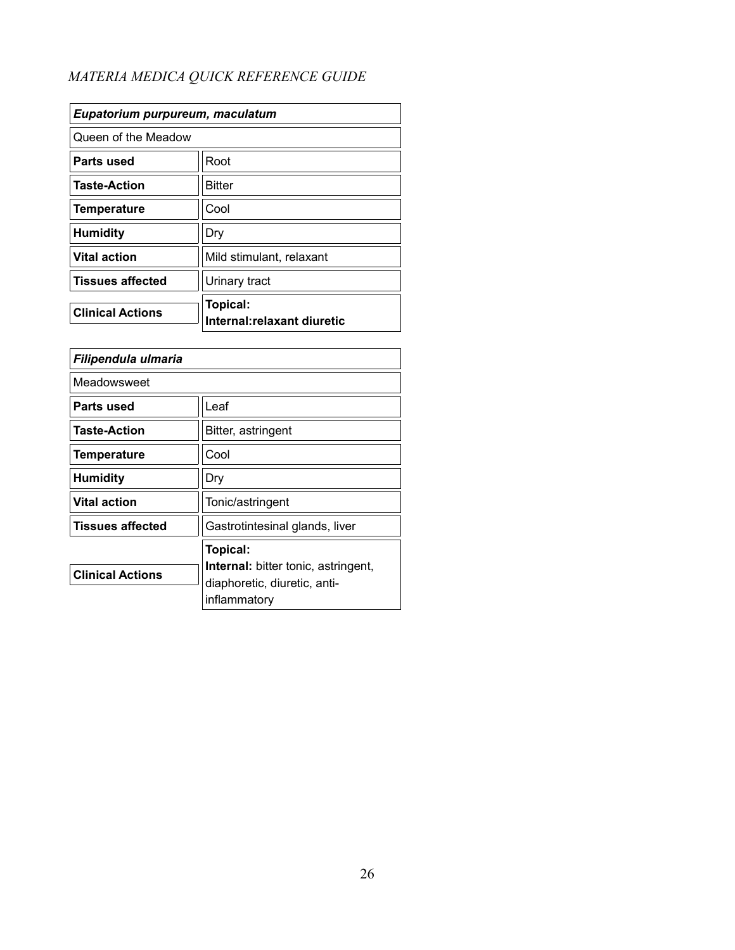| Eupatorium purpureum, maculatum |                                                |
|---------------------------------|------------------------------------------------|
| Queen of the Meadow             |                                                |
| Parts used                      | Root                                           |
| <b>Taste-Action</b>             | <b>Bitter</b>                                  |
| <b>Temperature</b>              | Cool                                           |
| <b>Humidity</b>                 | Dry                                            |
| <b>Vital action</b>             | Mild stimulant, relaxant                       |
| <b>Tissues affected</b>         | Urinary tract                                  |
| <b>Clinical Actions</b>         | <b>Topical:</b><br>Internal: relaxant diuretic |

| Filipendula ulmaria     |                                                                                                               |
|-------------------------|---------------------------------------------------------------------------------------------------------------|
| Meadowsweet             |                                                                                                               |
| Parts used              | Leaf                                                                                                          |
| <b>Taste-Action</b>     | Bitter, astringent                                                                                            |
| <b>Temperature</b>      | Cool                                                                                                          |
| <b>Humidity</b>         | Dry                                                                                                           |
| <b>Vital action</b>     | Tonic/astringent                                                                                              |
| <b>Tissues affected</b> | Gastrotintesinal glands, liver                                                                                |
| <b>Clinical Actions</b> | <b>Topical:</b><br><b>Internal:</b> bitter tonic, astringent,<br>diaphoretic, diuretic, anti-<br>inflammatory |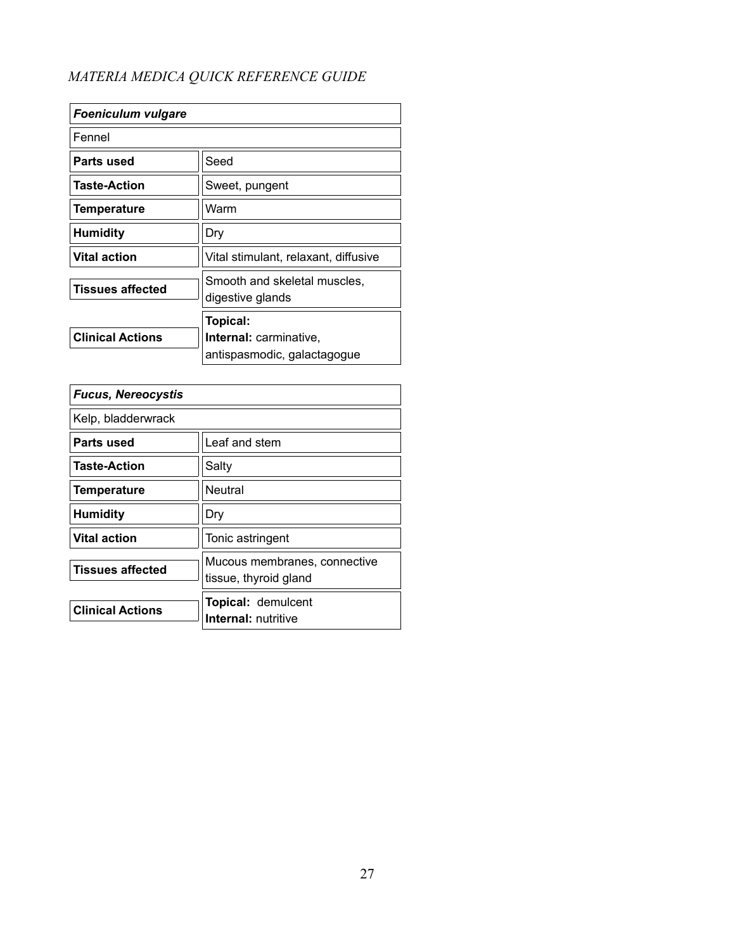| <b>Foeniculum vulgare</b> |                                                  |
|---------------------------|--------------------------------------------------|
| Fennel                    |                                                  |
| Parts used                | Seed                                             |
| <b>Taste-Action</b>       | Sweet, pungent                                   |
| Temperature               | Warm                                             |
| <b>Humidity</b>           | Dry                                              |
| <b>Vital action</b>       | Vital stimulant, relaxant, diffusive             |
| <b>Tissues affected</b>   | Smooth and skeletal muscles,<br>digestive glands |
|                           | Topical:                                         |
| <b>Clinical Actions</b>   | Internal: carminative,                           |
|                           | antispasmodic, galactagogue                      |

| <b>Fucus, Nereocystis</b> |                                                       |
|---------------------------|-------------------------------------------------------|
| Kelp, bladderwrack        |                                                       |
| Parts used                | Leaf and stem                                         |
| <b>Taste-Action</b>       | Salty                                                 |
| <b>Temperature</b>        | Neutral                                               |
| <b>Humidity</b>           | Dry                                                   |
| <b>Vital action</b>       | Tonic astringent                                      |
| <b>Tissues affected</b>   | Mucous membranes, connective<br>tissue, thyroid gland |
| <b>Clinical Actions</b>   | <b>Topical: demulcent</b><br>Internal: nutritive      |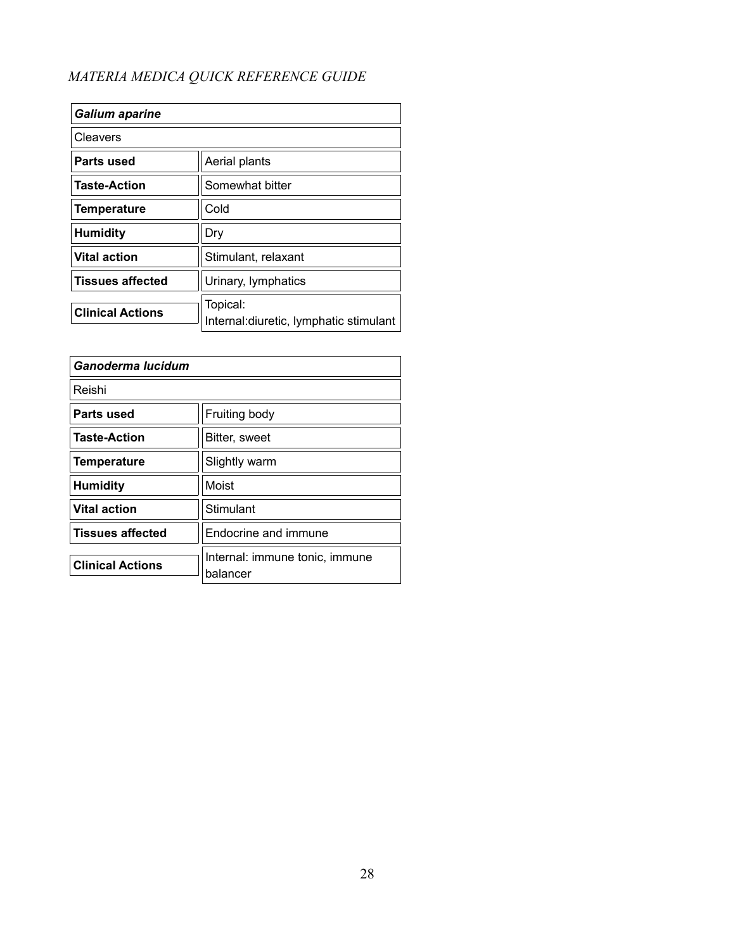| <b>Galium aparine</b>   |                                                     |
|-------------------------|-----------------------------------------------------|
| Cleavers                |                                                     |
| Parts used              | Aerial plants                                       |
| <b>Taste-Action</b>     | Somewhat bitter                                     |
| <b>Temperature</b>      | Cold                                                |
| <b>Humidity</b>         | Dry                                                 |
| <b>Vital action</b>     | Stimulant, relaxant                                 |
| <b>Tissues affected</b> | Urinary, lymphatics                                 |
| <b>Clinical Actions</b> | Topical:<br>Internal: diuretic, lymphatic stimulant |

| Ganoderma lucidum       |                                            |
|-------------------------|--------------------------------------------|
| Reishi                  |                                            |
| Parts used              | Fruiting body                              |
| <b>Taste-Action</b>     | Bitter, sweet                              |
| <b>Temperature</b>      | Slightly warm                              |
| <b>Humidity</b>         | Moist                                      |
| <b>Vital action</b>     | Stimulant                                  |
| <b>Tissues affected</b> | Endocrine and immune                       |
| <b>Clinical Actions</b> | Internal: immune tonic, immune<br>balancer |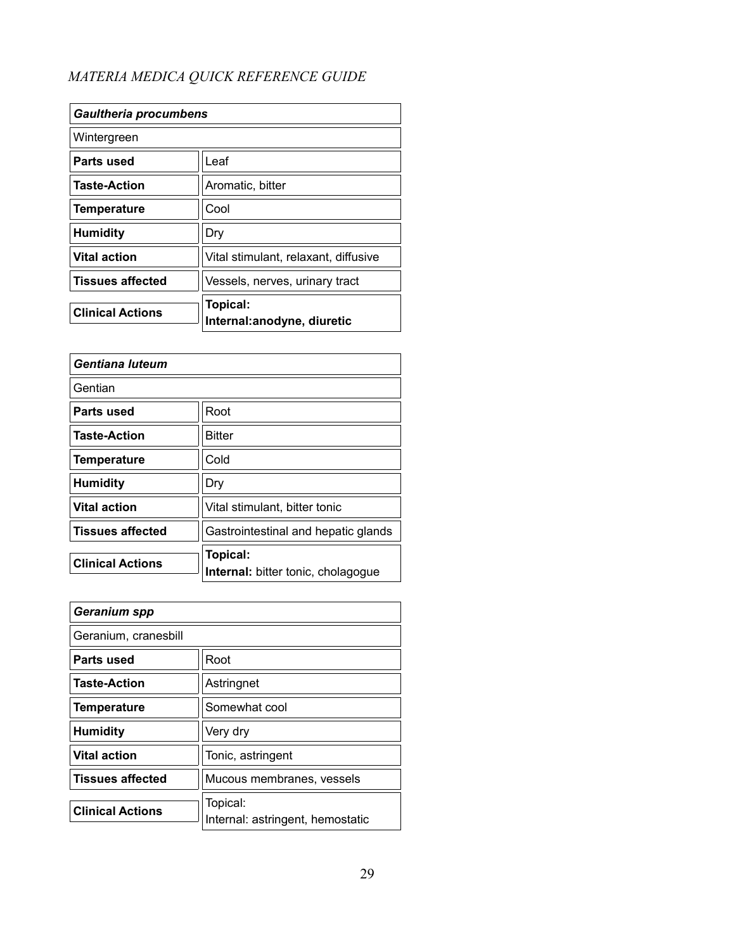| <b>Gaultheria procumbens</b> |                                         |
|------------------------------|-----------------------------------------|
| Wintergreen                  |                                         |
| Parts used                   | Leaf                                    |
| <b>Taste-Action</b>          | Aromatic, bitter                        |
| <b>Temperature</b>           | Cool                                    |
| <b>Humidity</b>              | Dry                                     |
| <b>Vital action</b>          | Vital stimulant, relaxant, diffusive    |
| <b>Tissues affected</b>      | Vessels, nerves, urinary tract          |
| <b>Clinical Actions</b>      | Topical:<br>Internal: anodyne, diuretic |

| Gentiana luteum         |                                                       |
|-------------------------|-------------------------------------------------------|
| Gentian                 |                                                       |
| Parts used              | Root                                                  |
| <b>Taste-Action</b>     | <b>Bitter</b>                                         |
| Temperature             | Cold                                                  |
| <b>Humidity</b>         | Dry                                                   |
| <b>Vital action</b>     | Vital stimulant, bitter tonic                         |
| <b>Tissues affected</b> | Gastrointestinal and hepatic glands                   |
| <b>Clinical Actions</b> | <b>Topical:</b><br>Internal: bitter tonic, cholagogue |

| Geranium spp            |                                              |
|-------------------------|----------------------------------------------|
| Geranium, cranesbill    |                                              |
| Parts used              | Root                                         |
| <b>Taste-Action</b>     | Astringnet                                   |
| <b>Temperature</b>      | Somewhat cool                                |
| <b>Humidity</b>         | Very dry                                     |
| <b>Vital action</b>     | Tonic, astringent                            |
| <b>Tissues affected</b> | Mucous membranes, vessels                    |
| <b>Clinical Actions</b> | Topical:<br>Internal: astringent, hemostatic |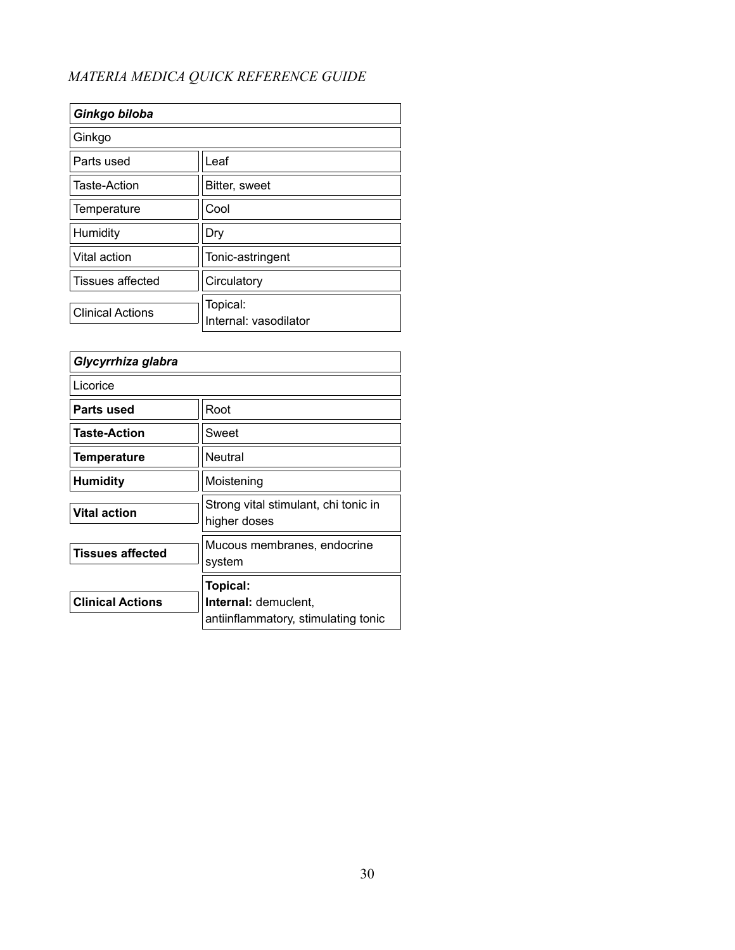| Ginkgo biloba           |                                   |
|-------------------------|-----------------------------------|
| Ginkgo                  |                                   |
| Parts used              | Leaf                              |
| Taste-Action            | Bitter, sweet                     |
| Temperature             | Cool                              |
| Humidity                | Dry                               |
| Vital action            | Tonic-astringent                  |
| Tissues affected        | Circulatory                       |
| <b>Clinical Actions</b> | Topical:<br>Internal: vasodilator |

| Glycyrrhiza glabra      |                                                      |
|-------------------------|------------------------------------------------------|
| Licorice                |                                                      |
| Parts used              | Root                                                 |
| <b>Taste-Action</b>     | Sweet                                                |
| Temperature             | Neutral                                              |
| Humidity                | Moistening                                           |
| <b>Vital action</b>     | Strong vital stimulant, chi tonic in<br>higher doses |
| <b>Tissues affected</b> | Mucous membranes, endocrine<br>system                |
|                         | Topical:                                             |
| <b>Clinical Actions</b> | <b>Internal: demuclent,</b>                          |
|                         | antiinflammatory, stimulating tonic                  |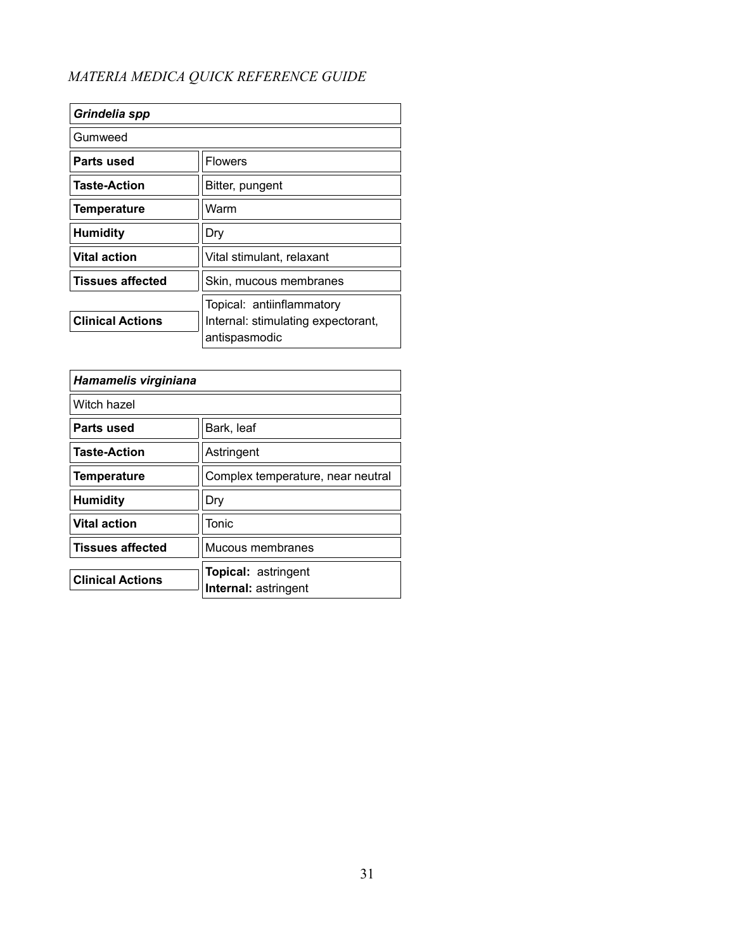| Grindelia spp           |                                                                                  |
|-------------------------|----------------------------------------------------------------------------------|
| Gumweed                 |                                                                                  |
| Parts used              | <b>Flowers</b>                                                                   |
| <b>Taste-Action</b>     | Bitter, pungent                                                                  |
| <b>Temperature</b>      | Warm                                                                             |
| <b>Humidity</b>         | Dry                                                                              |
| <b>Vital action</b>     | Vital stimulant, relaxant                                                        |
| <b>Tissues affected</b> | Skin, mucous membranes                                                           |
| <b>Clinical Actions</b> | Topical: antiinflammatory<br>Internal: stimulating expectorant,<br>antispasmodic |

| Hamamelis virginiana    |                                                           |
|-------------------------|-----------------------------------------------------------|
| Witch hazel             |                                                           |
| Parts used              | Bark, leaf                                                |
| <b>Taste-Action</b>     | Astringent                                                |
| <b>Temperature</b>      | Complex temperature, near neutral                         |
| <b>Humidity</b>         | Dry                                                       |
| <b>Vital action</b>     | Tonic                                                     |
| <b>Tissues affected</b> | Mucous membranes                                          |
| <b>Clinical Actions</b> | <b>Topical: astringent</b><br><b>Internal: astringent</b> |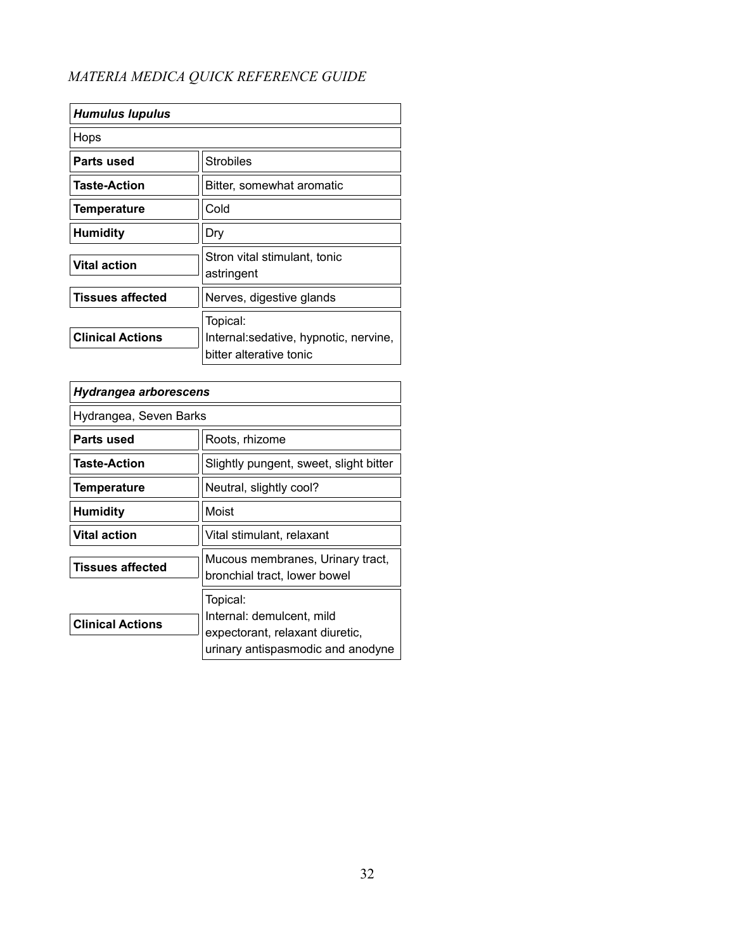| <b>Humulus lupulus</b>  |                                                                               |
|-------------------------|-------------------------------------------------------------------------------|
| Hops                    |                                                                               |
| Parts used              | <b>Strobiles</b>                                                              |
| <b>Taste-Action</b>     | Bitter, somewhat aromatic                                                     |
| <b>Temperature</b>      | Cold                                                                          |
| <b>Humidity</b>         | Dry                                                                           |
| <b>Vital action</b>     | Stron vital stimulant, tonic<br>astringent                                    |
| <b>Tissues affected</b> | Nerves, digestive glands                                                      |
| <b>Clinical Actions</b> | Topical:<br>Internal: sedative, hypnotic, nervine,<br>bitter alterative tonic |

| Hydrangea arborescens   |                                                                                                               |
|-------------------------|---------------------------------------------------------------------------------------------------------------|
| Hydrangea, Seven Barks  |                                                                                                               |
| Parts used              | Roots, rhizome                                                                                                |
| <b>Taste-Action</b>     | Slightly pungent, sweet, slight bitter                                                                        |
| <b>Temperature</b>      | Neutral, slightly cool?                                                                                       |
| Humidity                | Moist                                                                                                         |
| <b>Vital action</b>     | Vital stimulant, relaxant                                                                                     |
| <b>Tissues affected</b> | Mucous membranes, Urinary tract,<br>bronchial tract, lower bowel                                              |
| <b>Clinical Actions</b> | Topical:<br>Internal: demulcent, mild<br>expectorant, relaxant diuretic,<br>urinary antispasmodic and anodyne |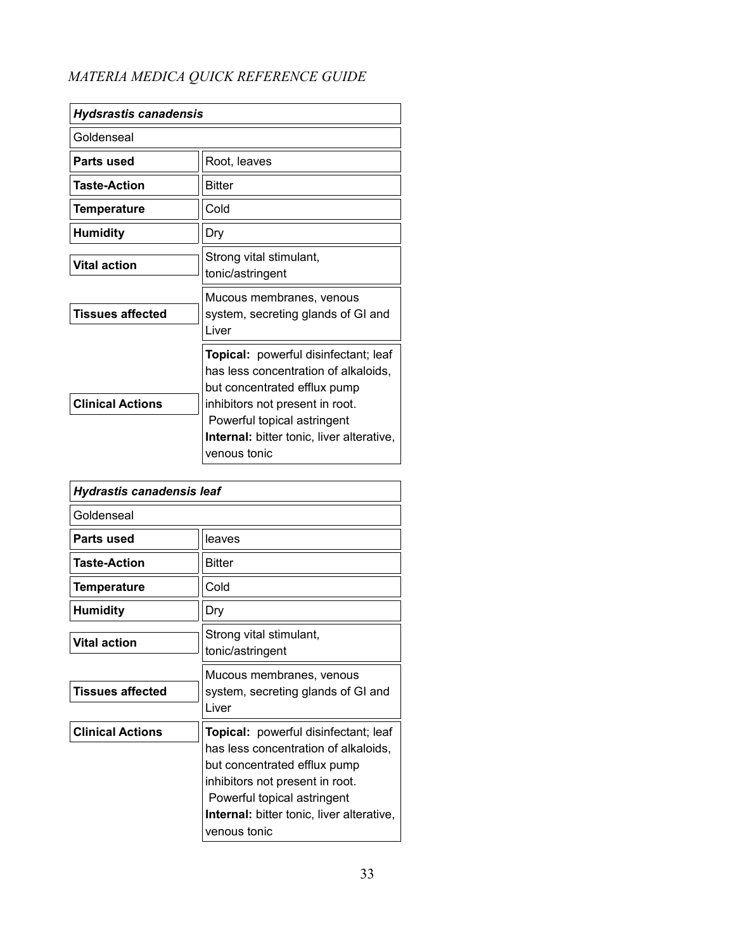| <b>Hydsrastis canadensis</b> |                                                                                                                                                                                                                                                           |
|------------------------------|-----------------------------------------------------------------------------------------------------------------------------------------------------------------------------------------------------------------------------------------------------------|
| Goldenseal                   |                                                                                                                                                                                                                                                           |
| Parts used                   | Root, leaves                                                                                                                                                                                                                                              |
| <b>Taste-Action</b>          | <b>Bitter</b>                                                                                                                                                                                                                                             |
| Temperature                  | Cold                                                                                                                                                                                                                                                      |
| <b>Humidity</b>              | Dry                                                                                                                                                                                                                                                       |
| <b>Vital action</b>          | Strong vital stimulant,<br>tonic/astringent                                                                                                                                                                                                               |
| <b>Tissues affected</b>      | Mucous membranes, venous<br>system, secreting glands of GI and<br>Liver                                                                                                                                                                                   |
| <b>Clinical Actions</b>      | <b>Topical:</b> powerful disinfectant; leaf<br>has less concentration of alkaloids,<br>but concentrated efflux pump<br>inhibitors not present in root.<br>Powerful topical astringent<br><b>Internal:</b> bitter tonic, liver alterative,<br>venous tonic |

| Hydrastis canadensis leaf |                                                                                                                                                                                                                                                    |
|---------------------------|----------------------------------------------------------------------------------------------------------------------------------------------------------------------------------------------------------------------------------------------------|
| Goldenseal                |                                                                                                                                                                                                                                                    |
| Parts used                | leaves                                                                                                                                                                                                                                             |
| <b>Taste-Action</b>       | Bitter                                                                                                                                                                                                                                             |
| Temperature               | Cold                                                                                                                                                                                                                                               |
| <b>Humidity</b>           | Dry                                                                                                                                                                                                                                                |
| <b>Vital action</b>       | Strong vital stimulant,<br>tonic/astringent                                                                                                                                                                                                        |
| <b>Tissues affected</b>   | Mucous membranes, venous<br>system, secreting glands of GI and<br>I iver                                                                                                                                                                           |
| <b>Clinical Actions</b>   | Topical: powerful disinfectant; leaf<br>has less concentration of alkaloids,<br>but concentrated efflux pump<br>inhibitors not present in root.<br>Powerful topical astringent<br><b>Internal:</b> bitter tonic, liver alterative,<br>venous tonic |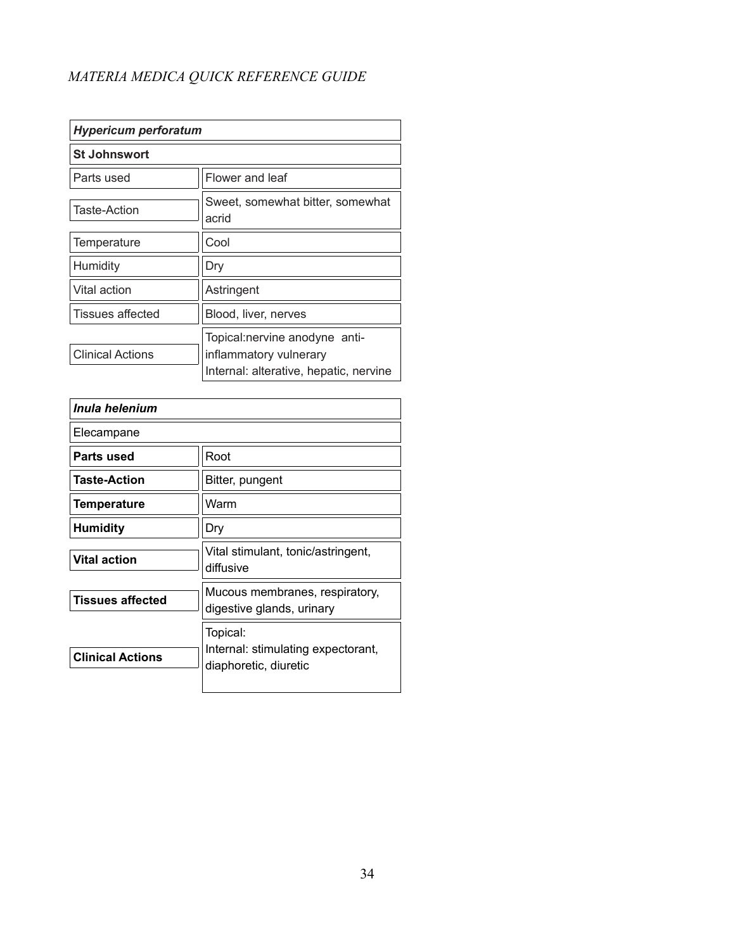| <b>Hypericum perforatum</b> |                                                                                                   |
|-----------------------------|---------------------------------------------------------------------------------------------------|
| <b>St Johnswort</b>         |                                                                                                   |
| Parts used                  | Flower and leaf                                                                                   |
| <b>Taste-Action</b>         | Sweet, somewhat bitter, somewhat<br>acrid                                                         |
| Temperature                 | Cool                                                                                              |
| Humidity                    | Dry                                                                                               |
| Vital action                | Astringent                                                                                        |
| <b>Tissues affected</b>     | Blood, liver, nerves                                                                              |
| <b>Clinical Actions</b>     | Topical:nervine anodyne anti-<br>inflammatory vulnerary<br>Internal: alterative, hepatic, nervine |

| Inula helenium          |                                                                         |
|-------------------------|-------------------------------------------------------------------------|
| Elecampane              |                                                                         |
| Parts used              | Root                                                                    |
| <b>Taste-Action</b>     | Bitter, pungent                                                         |
| <b>Temperature</b>      | Warm                                                                    |
| <b>Humidity</b>         | Dry                                                                     |
| <b>Vital action</b>     | Vital stimulant, tonic/astringent,<br>diffusive                         |
| <b>Tissues affected</b> | Mucous membranes, respiratory,<br>digestive glands, urinary             |
| <b>Clinical Actions</b> | Topical:<br>Internal: stimulating expectorant,<br>diaphoretic, diuretic |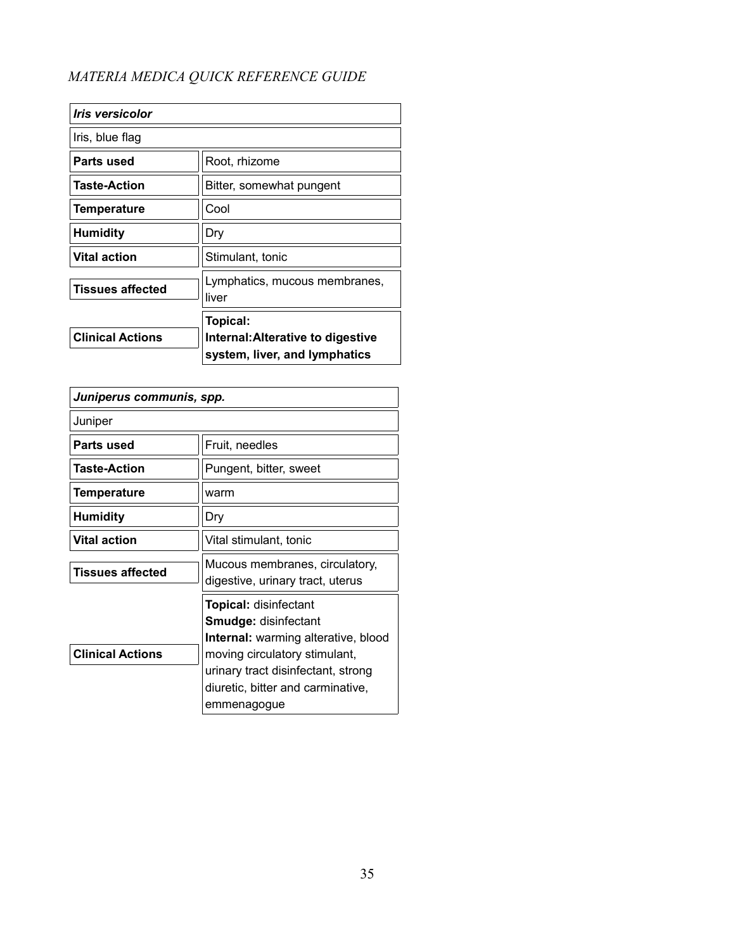| <i><u><b>Iris versicolor</b></u></i> |                                                                                |
|--------------------------------------|--------------------------------------------------------------------------------|
| Iris, blue flag                      |                                                                                |
| Parts used                           | Root, rhizome                                                                  |
| <b>Taste-Action</b>                  | Bitter, somewhat pungent                                                       |
| <b>Temperature</b>                   | Cool                                                                           |
| <b>Humidity</b>                      | Dry                                                                            |
| <b>Vital action</b>                  | Stimulant, tonic                                                               |
| <b>Tissues affected</b>              | Lymphatics, mucous membranes,<br>liver                                         |
| <b>Clinical Actions</b>              | Topical:<br>Internal: Alterative to digestive<br>system, liver, and lymphatics |

| Juniperus communis, spp. |                                                                                                                                                                                                                                      |
|--------------------------|--------------------------------------------------------------------------------------------------------------------------------------------------------------------------------------------------------------------------------------|
| Juniper                  |                                                                                                                                                                                                                                      |
| Parts used               | Fruit, needles                                                                                                                                                                                                                       |
| <b>Taste-Action</b>      | Pungent, bitter, sweet                                                                                                                                                                                                               |
| <b>Temperature</b>       | warm                                                                                                                                                                                                                                 |
| <b>Humidity</b>          | Dry                                                                                                                                                                                                                                  |
| <b>Vital action</b>      | Vital stimulant, tonic                                                                                                                                                                                                               |
| <b>Tissues affected</b>  | Mucous membranes, circulatory,<br>digestive, urinary tract, uterus                                                                                                                                                                   |
| <b>Clinical Actions</b>  | <b>Topical: disinfectant</b><br><b>Smudge: disinfectant</b><br><b>Internal:</b> warming alterative, blood<br>moving circulatory stimulant,<br>urinary tract disinfectant, strong<br>diuretic, bitter and carminative,<br>emmenagogue |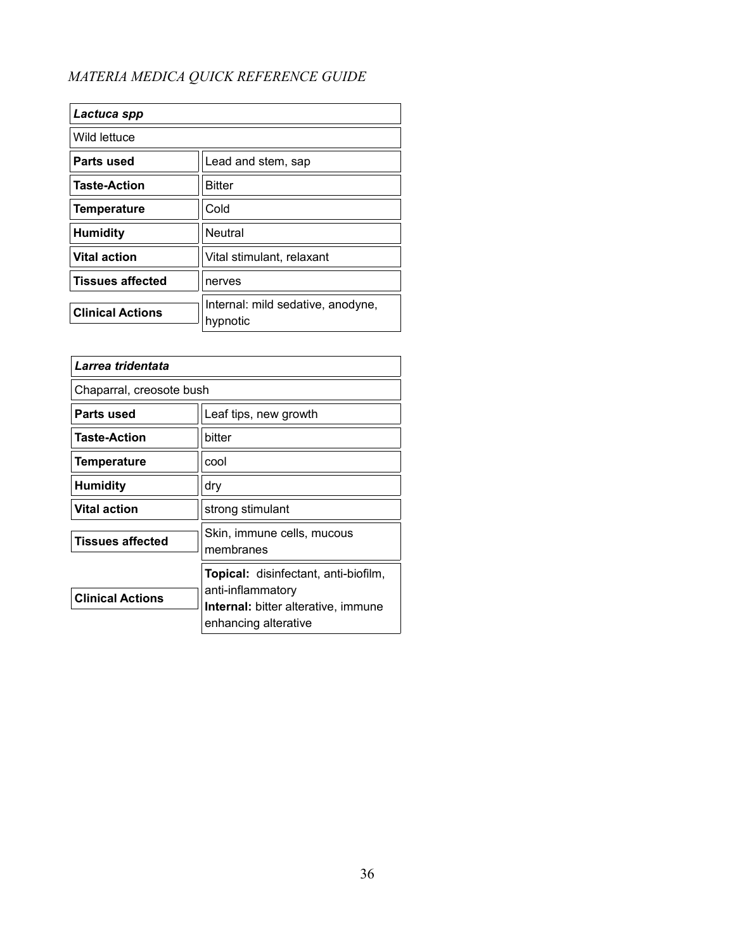| Lactuca spp             |                                               |
|-------------------------|-----------------------------------------------|
| Wild lettuce            |                                               |
| Parts used              | Lead and stem, sap                            |
| <b>Taste-Action</b>     | <b>Bitter</b>                                 |
| <b>Temperature</b>      | Cold                                          |
| <b>Humidity</b>         | Neutral                                       |
| <b>Vital action</b>     | Vital stimulant, relaxant                     |
| <b>Tissues affected</b> | nerves                                        |
| <b>Clinical Actions</b> | Internal: mild sedative, anodyne,<br>hypnotic |

| Larrea tridentata        |                                                                                                                                        |
|--------------------------|----------------------------------------------------------------------------------------------------------------------------------------|
| Chaparral, creosote bush |                                                                                                                                        |
| Parts used               | Leaf tips, new growth                                                                                                                  |
| <b>Taste-Action</b>      | bitter                                                                                                                                 |
| <b>Temperature</b>       | cool                                                                                                                                   |
| <b>Humidity</b>          | dry                                                                                                                                    |
| <b>Vital action</b>      | strong stimulant                                                                                                                       |
| <b>Tissues affected</b>  | Skin, immune cells, mucous<br>membranes                                                                                                |
| <b>Clinical Actions</b>  | <b>Topical:</b> disinfectant, anti-biofilm,<br>anti-inflammatory<br><b>Internal:</b> bitter alterative, immune<br>enhancing alterative |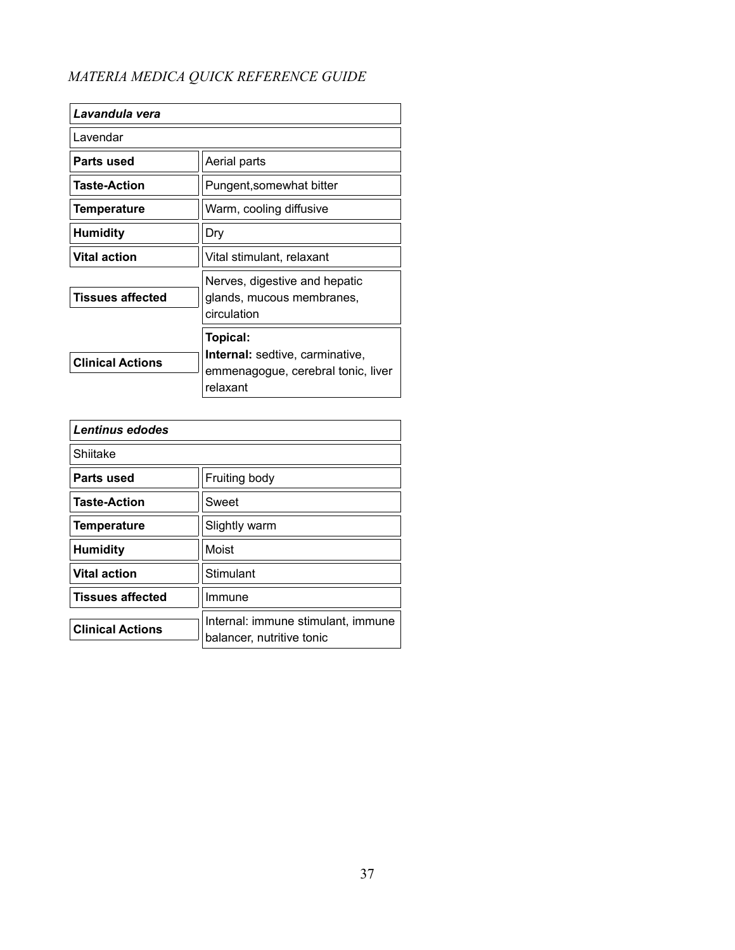| Lavandula vera          |                                                                                                      |
|-------------------------|------------------------------------------------------------------------------------------------------|
| Lavendar                |                                                                                                      |
| Parts used              | Aerial parts                                                                                         |
| <b>Taste-Action</b>     | Pungent, somewhat bitter                                                                             |
| Temperature             | Warm, cooling diffusive                                                                              |
| <b>Humidity</b>         | Dry                                                                                                  |
| <b>Vital action</b>     | Vital stimulant, relaxant                                                                            |
| Tissues affected        | Nerves, digestive and hepatic<br>glands, mucous membranes,<br>circulation                            |
| <b>Clinical Actions</b> | Topical:<br><b>Internal:</b> sedtive, carminative,<br>emmenagogue, cerebral tonic, liver<br>relaxant |

| Lentinus edodes         |                                                                 |
|-------------------------|-----------------------------------------------------------------|
| Shiitake                |                                                                 |
| Parts used              | Fruiting body                                                   |
| <b>Taste-Action</b>     | Sweet                                                           |
| <b>Temperature</b>      | Slightly warm                                                   |
| <b>Humidity</b>         | Moist                                                           |
| <b>Vital action</b>     | Stimulant                                                       |
| <b>Tissues affected</b> | Immune                                                          |
| <b>Clinical Actions</b> | Internal: immune stimulant, immune<br>balancer, nutritive tonic |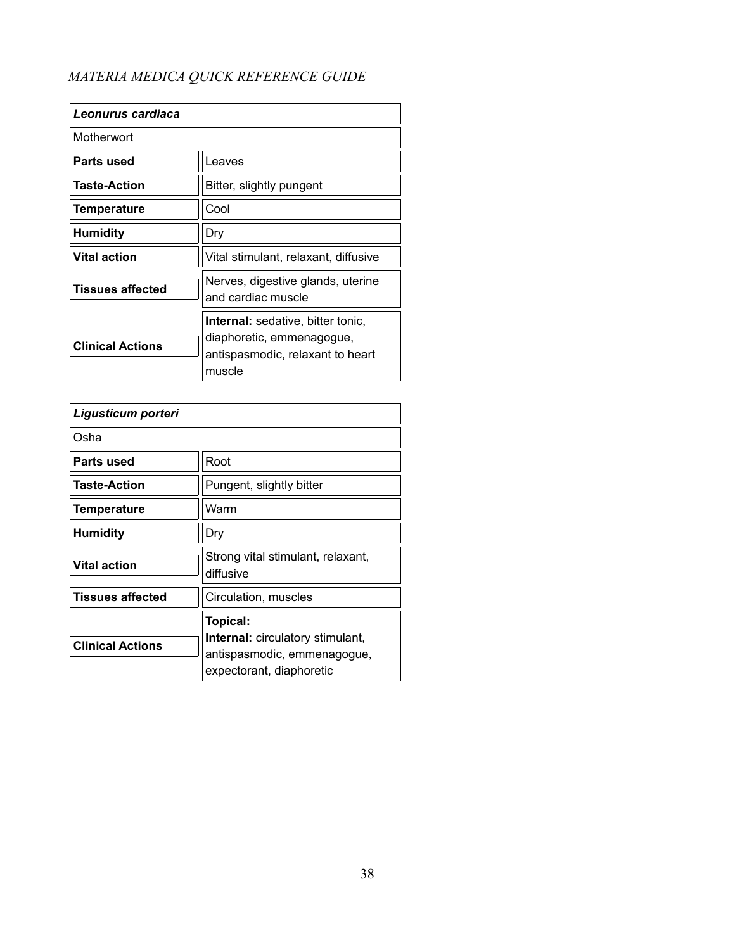| Leonurus cardiaca       |                                                                                                                     |
|-------------------------|---------------------------------------------------------------------------------------------------------------------|
| Motherwort              |                                                                                                                     |
| Parts used              | Leaves                                                                                                              |
| Taste-Action            | Bitter, slightly pungent                                                                                            |
| <b>Temperature</b>      | Cool                                                                                                                |
| <b>Humidity</b>         | Dry                                                                                                                 |
| <b>Vital action</b>     | Vital stimulant, relaxant, diffusive                                                                                |
| <b>Tissues affected</b> | Nerves, digestive glands, uterine<br>and cardiac muscle                                                             |
| <b>Clinical Actions</b> | <b>Internal:</b> sedative, bitter tonic,<br>diaphoretic, emmenagogue,<br>antispasmodic, relaxant to heart<br>muscle |

| Ligusticum porteri      |                                                                                                                |
|-------------------------|----------------------------------------------------------------------------------------------------------------|
| Osha                    |                                                                                                                |
| Parts used              | Root                                                                                                           |
| <b>Taste-Action</b>     | Pungent, slightly bitter                                                                                       |
| <b>Temperature</b>      | Warm                                                                                                           |
| <b>Humidity</b>         | Dry                                                                                                            |
| <b>Vital action</b>     | Strong vital stimulant, relaxant,<br>diffusive                                                                 |
| <b>Tissues affected</b> | Circulation, muscles                                                                                           |
| <b>Clinical Actions</b> | Topical:<br><b>Internal:</b> circulatory stimulant,<br>antispasmodic, emmenagogue,<br>expectorant, diaphoretic |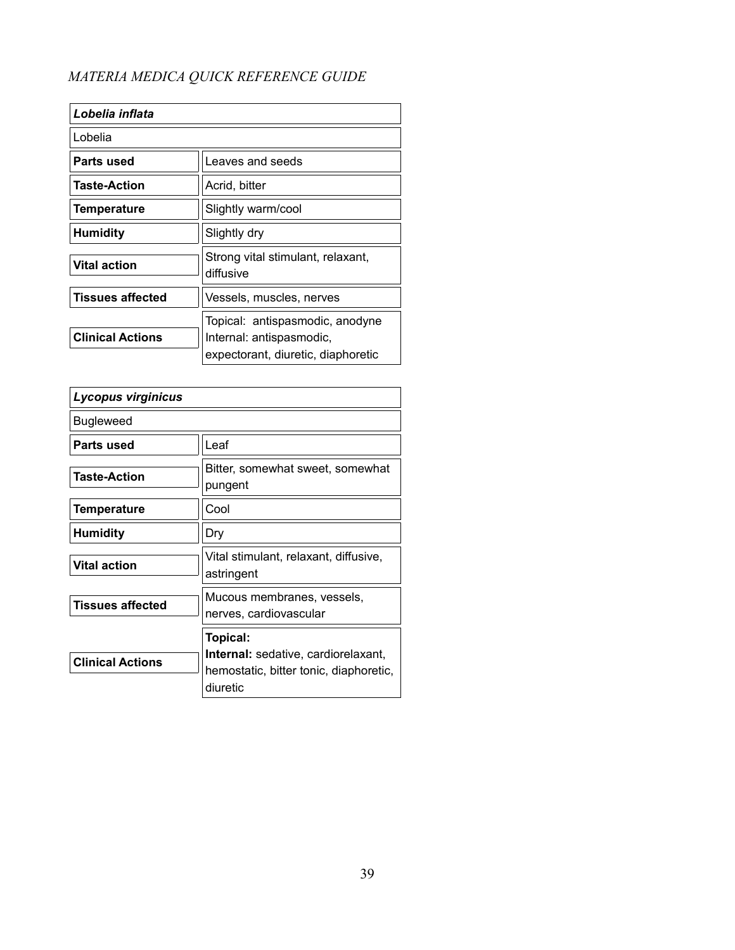| Lobelia inflata         |                                                                                                   |
|-------------------------|---------------------------------------------------------------------------------------------------|
| Lobelia                 |                                                                                                   |
| Parts used              | Leaves and seeds                                                                                  |
| <b>Taste-Action</b>     | Acrid, bitter                                                                                     |
| <b>Temperature</b>      | Slightly warm/cool                                                                                |
| <b>Humidity</b>         | Slightly dry                                                                                      |
| <b>Vital action</b>     | Strong vital stimulant, relaxant,<br>diffusive                                                    |
| <b>Tissues affected</b> | Vessels, muscles, nerves                                                                          |
| <b>Clinical Actions</b> | Topical: antispasmodic, anodyne<br>Internal: antispasmodic,<br>expectorant, diuretic, diaphoretic |

| Lycopus virginicus      |                                                                                                              |
|-------------------------|--------------------------------------------------------------------------------------------------------------|
| Bugleweed               |                                                                                                              |
| Parts used              | Leaf                                                                                                         |
| <b>Taste-Action</b>     | Bitter, somewhat sweet, somewhat<br>pungent                                                                  |
| <b>Temperature</b>      | Cool                                                                                                         |
| <b>Humidity</b>         | Dry                                                                                                          |
| <b>Vital action</b>     | Vital stimulant, relaxant, diffusive,<br>astringent                                                          |
| <b>Tissues affected</b> | Mucous membranes, vessels,<br>nerves, cardiovascular                                                         |
| <b>Clinical Actions</b> | Topical:<br><b>Internal:</b> sedative, cardiorelaxant,<br>hemostatic, bitter tonic, diaphoretic,<br>diuretic |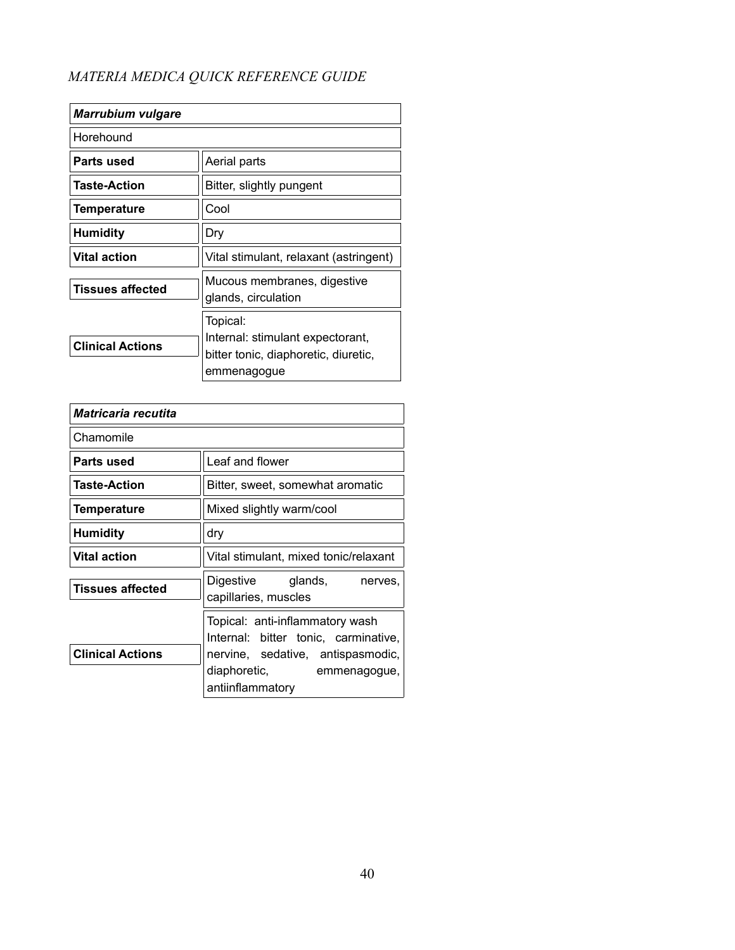| <b>Marrubium vulgare</b> |                                                                                                     |
|--------------------------|-----------------------------------------------------------------------------------------------------|
| Horehound                |                                                                                                     |
| Parts used               | Aerial parts                                                                                        |
| <b>Taste-Action</b>      | Bitter, slightly pungent                                                                            |
| <b>Temperature</b>       | Cool                                                                                                |
| <b>Humidity</b>          | Dry                                                                                                 |
| <b>Vital action</b>      | Vital stimulant, relaxant (astringent)                                                              |
| <b>Tissues affected</b>  | Mucous membranes, digestive<br>glands, circulation                                                  |
| <b>Clinical Actions</b>  | Topical:<br>Internal: stimulant expectorant,<br>bitter tonic, diaphoretic, diuretic,<br>emmenagogue |

| Matricaria recutita     |                                                                                                                                                                  |
|-------------------------|------------------------------------------------------------------------------------------------------------------------------------------------------------------|
| Chamomile               |                                                                                                                                                                  |
| Parts used              | Leaf and flower                                                                                                                                                  |
| <b>Taste-Action</b>     | Bitter, sweet, somewhat aromatic                                                                                                                                 |
| Temperature             | Mixed slightly warm/cool                                                                                                                                         |
| <b>Humidity</b>         | dry                                                                                                                                                              |
| <b>Vital action</b>     | Vital stimulant, mixed tonic/relaxant                                                                                                                            |
| <b>Tissues affected</b> | Digestive glands,<br>nerves,<br>capillaries, muscles                                                                                                             |
| <b>Clinical Actions</b> | Topical: anti-inflammatory wash<br>Internal: bitter tonic, carminative,<br>nervine, sedative, antispasmodic,<br>diaphoretic,<br>emmenagogue,<br>antiinflammatory |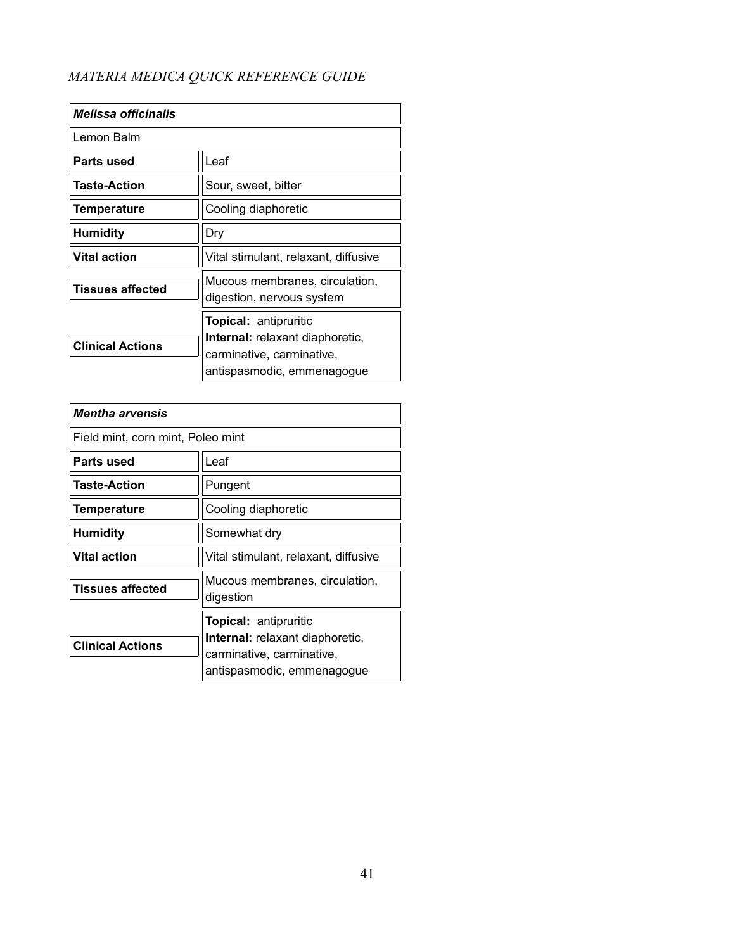| <b>Melissa officinalis</b> |                                                                                                                                   |
|----------------------------|-----------------------------------------------------------------------------------------------------------------------------------|
| Lemon Balm                 |                                                                                                                                   |
| Parts used                 | Leaf                                                                                                                              |
| <b>Taste-Action</b>        | Sour, sweet, bitter                                                                                                               |
| <b>Temperature</b>         | Cooling diaphoretic                                                                                                               |
| <b>Humidity</b>            | Dry                                                                                                                               |
| <b>Vital action</b>        | Vital stimulant, relaxant, diffusive                                                                                              |
| <b>Tissues affected</b>    | Mucous membranes, circulation,<br>digestion, nervous system                                                                       |
| <b>Clinical Actions</b>    | <b>Topical: antipruritic</b><br><b>Internal:</b> relaxant diaphoretic,<br>carminative, carminative,<br>antispasmodic, emmenagogue |

| <i><b>Mentha arvensis</b></i>     |                                                                                                                                   |
|-----------------------------------|-----------------------------------------------------------------------------------------------------------------------------------|
| Field mint, corn mint, Poleo mint |                                                                                                                                   |
| Parts used                        | Leaf                                                                                                                              |
| <b>Taste-Action</b>               | Pungent                                                                                                                           |
| <b>Temperature</b>                | Cooling diaphoretic                                                                                                               |
| <b>Humidity</b>                   | Somewhat dry                                                                                                                      |
| Vital action                      | Vital stimulant, relaxant, diffusive                                                                                              |
| <b>Tissues affected</b>           | Mucous membranes, circulation,<br>digestion                                                                                       |
| <b>Clinical Actions</b>           | <b>Topical: antipruritic</b><br><b>Internal:</b> relaxant diaphoretic,<br>carminative, carminative,<br>antispasmodic, emmenagogue |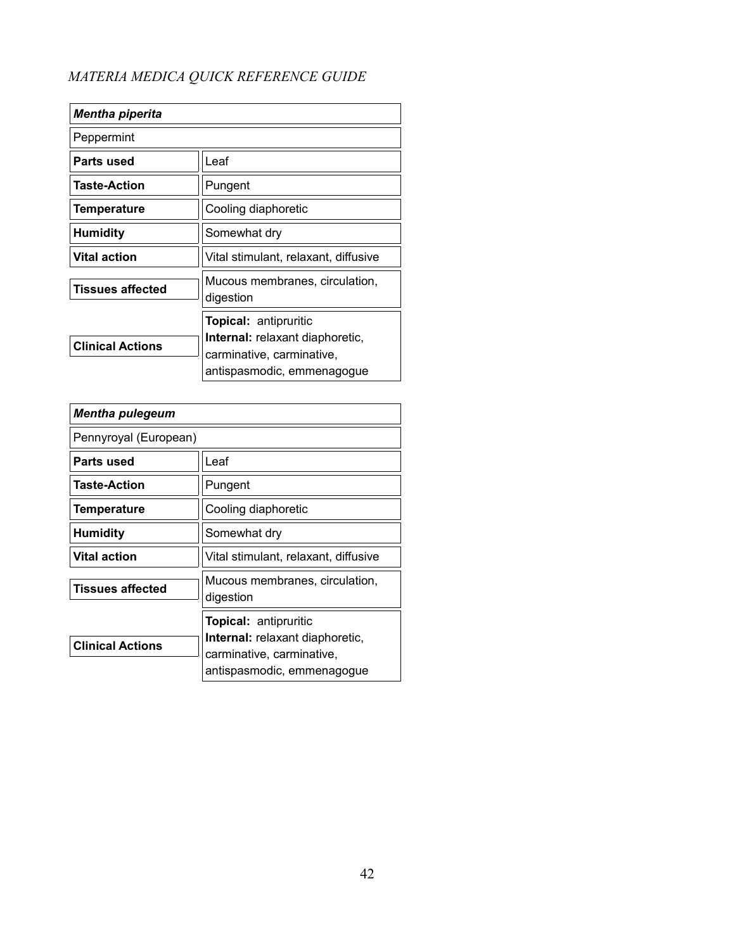| <b>Mentha piperita</b>  |                                                                                                                                   |
|-------------------------|-----------------------------------------------------------------------------------------------------------------------------------|
| Peppermint              |                                                                                                                                   |
| Parts used              | Leaf                                                                                                                              |
| <b>Taste-Action</b>     | Pungent                                                                                                                           |
| Temperature             | Cooling diaphoretic                                                                                                               |
| <b>Humidity</b>         | Somewhat dry                                                                                                                      |
| <b>Vital action</b>     | Vital stimulant, relaxant, diffusive                                                                                              |
| <b>Tissues affected</b> | Mucous membranes, circulation,<br>digestion                                                                                       |
| <b>Clinical Actions</b> | <b>Topical: antipruritic</b><br><b>Internal:</b> relaxant diaphoretic,<br>carminative, carminative,<br>antispasmodic, emmenagogue |

| <b>Mentha pulegeum</b>  |                                                                                                                                   |
|-------------------------|-----------------------------------------------------------------------------------------------------------------------------------|
| Pennyroyal (European)   |                                                                                                                                   |
| Parts used              | Leaf                                                                                                                              |
| <b>Taste-Action</b>     | Pungent                                                                                                                           |
| <b>Temperature</b>      | Cooling diaphoretic                                                                                                               |
| <b>Humidity</b>         | Somewhat dry                                                                                                                      |
| Vital action            | Vital stimulant, relaxant, diffusive                                                                                              |
| <b>Tissues affected</b> | Mucous membranes, circulation,<br>digestion                                                                                       |
| <b>Clinical Actions</b> | <b>Topical: antipruritic</b><br><b>Internal:</b> relaxant diaphoretic,<br>carminative, carminative,<br>antispasmodic, emmenagogue |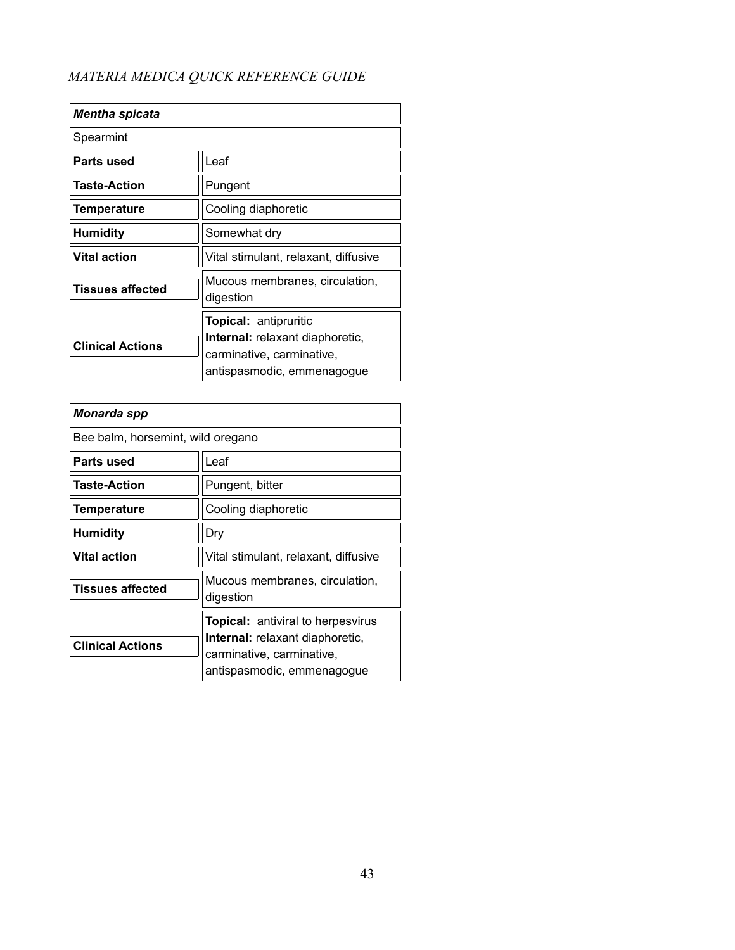| <b>Mentha spicata</b>   |                                                                                                                                   |
|-------------------------|-----------------------------------------------------------------------------------------------------------------------------------|
| Spearmint               |                                                                                                                                   |
| Parts used              | Leaf                                                                                                                              |
| Taste-Action            | Pungent                                                                                                                           |
| <b>Temperature</b>      | Cooling diaphoretic                                                                                                               |
| <b>Humidity</b>         | Somewhat dry                                                                                                                      |
| <b>Vital action</b>     | Vital stimulant, relaxant, diffusive                                                                                              |
| <b>Tissues affected</b> | Mucous membranes, circulation,<br>digestion                                                                                       |
| <b>Clinical Actions</b> | <b>Topical: antipruritic</b><br><b>Internal:</b> relaxant diaphoretic,<br>carminative, carminative,<br>antispasmodic, emmenagogue |

| Monarda spp                       |                                                                                                                                               |
|-----------------------------------|-----------------------------------------------------------------------------------------------------------------------------------------------|
| Bee balm, horsemint, wild oregano |                                                                                                                                               |
| Parts used                        | Leaf                                                                                                                                          |
| Taste-Action                      | Pungent, bitter                                                                                                                               |
| <b>Temperature</b>                | Cooling diaphoretic                                                                                                                           |
| <b>Humidity</b>                   | Dry                                                                                                                                           |
| Vital action                      | Vital stimulant, relaxant, diffusive                                                                                                          |
| <b>Tissues affected</b>           | Mucous membranes, circulation,<br>digestion                                                                                                   |
| <b>Clinical Actions</b>           | <b>Topical:</b> antiviral to herpesvirus<br><b>Internal:</b> relaxant diaphoretic,<br>carminative, carminative,<br>antispasmodic, emmenagogue |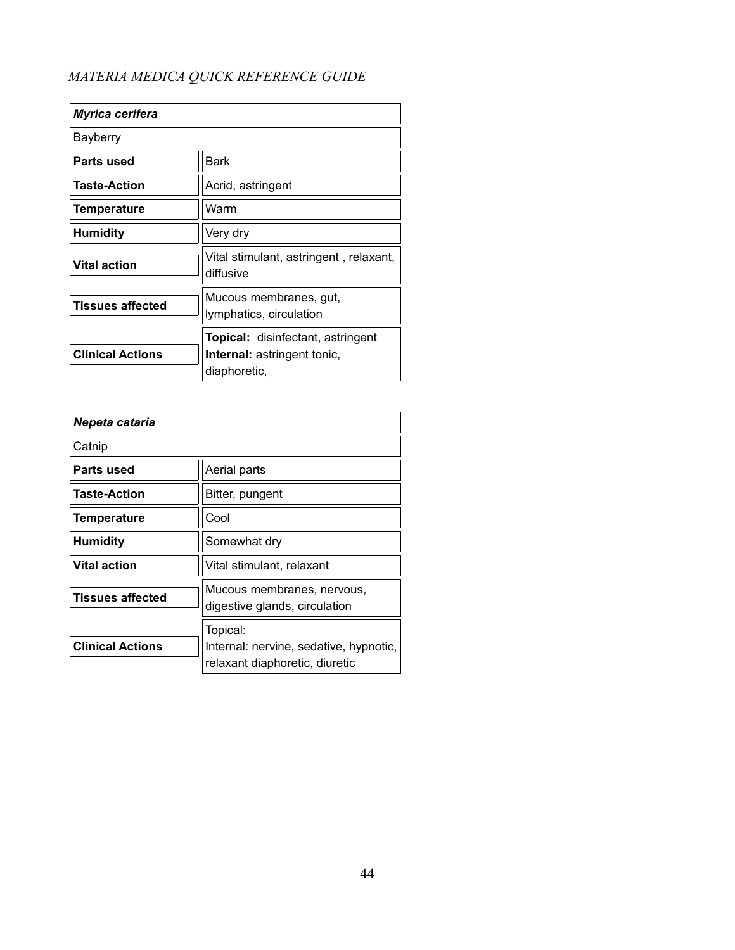| Myrica cerifera         |                                                      |
|-------------------------|------------------------------------------------------|
| Bayberry                |                                                      |
| Parts used              | Bark                                                 |
| Taste-Action            | Acrid, astringent                                    |
| <b>Temperature</b>      | Warm                                                 |
| Humidity                | Very dry                                             |
| <b>Vital action</b>     | Vital stimulant, astringent , relaxant,<br>diffusive |
| <b>Tissues affected</b> | Mucous membranes, gut,<br>lymphatics, circulation    |
|                         | Topical: disinfectant, astringent                    |
| <b>Clinical Actions</b> | <b>Internal:</b> astringent tonic,<br>diaphoretic,   |

| Nepeta cataria          |                                                                                      |
|-------------------------|--------------------------------------------------------------------------------------|
| Catnip                  |                                                                                      |
| Parts used              | Aerial parts                                                                         |
| <b>Taste-Action</b>     | Bitter, pungent                                                                      |
| <b>Temperature</b>      | Cool                                                                                 |
| <b>Humidity</b>         | Somewhat dry                                                                         |
| <b>Vital action</b>     | Vital stimulant, relaxant                                                            |
| <b>Tissues affected</b> | Mucous membranes, nervous,<br>digestive glands, circulation                          |
| <b>Clinical Actions</b> | Topical:<br>Internal: nervine, sedative, hypnotic,<br>relaxant diaphoretic, diuretic |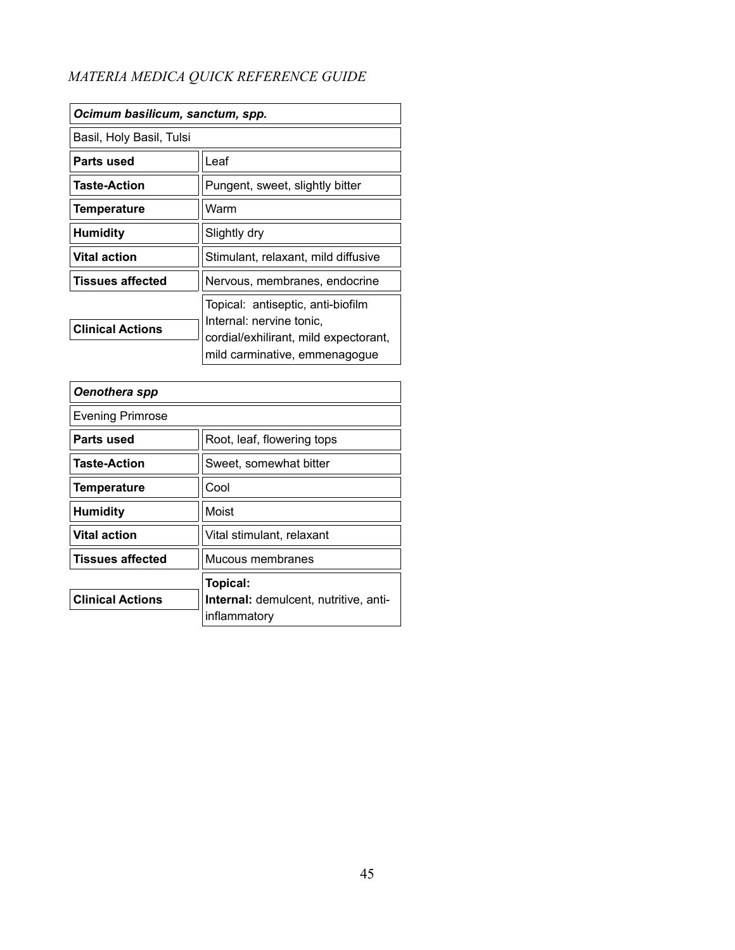| Ocimum basilicum, sanctum, spp. |                                                                                                                                         |
|---------------------------------|-----------------------------------------------------------------------------------------------------------------------------------------|
| Basil, Holy Basil, Tulsi        |                                                                                                                                         |
| Parts used                      | Leaf                                                                                                                                    |
| <b>Taste-Action</b>             | Pungent, sweet, slightly bitter                                                                                                         |
| <b>Temperature</b>              | Warm                                                                                                                                    |
| <b>Humidity</b>                 | Slightly dry                                                                                                                            |
| <b>Vital action</b>             | Stimulant, relaxant, mild diffusive                                                                                                     |
| <b>Tissues affected</b>         | Nervous, membranes, endocrine                                                                                                           |
| <b>Clinical Actions</b>         | Topical: antiseptic, anti-biofilm<br>Internal: nervine tonic,<br>cordial/exhilirant, mild expectorant,<br>mild carminative, emmenagogue |

| Oenothera spp           |                                              |
|-------------------------|----------------------------------------------|
| <b>Evening Primrose</b> |                                              |
| Parts used              | Root, leaf, flowering tops                   |
| <b>Taste-Action</b>     | Sweet, somewhat bitter                       |
| Temperature             | Cool                                         |
| <b>Humidity</b>         | Moist                                        |
| <b>Vital action</b>     | Vital stimulant, relaxant                    |
| <b>Tissues affected</b> | Mucous membranes                             |
|                         | Topical:                                     |
| <b>Clinical Actions</b> | <b>Internal:</b> demulcent, nutritive, anti- |
|                         | inflammatory                                 |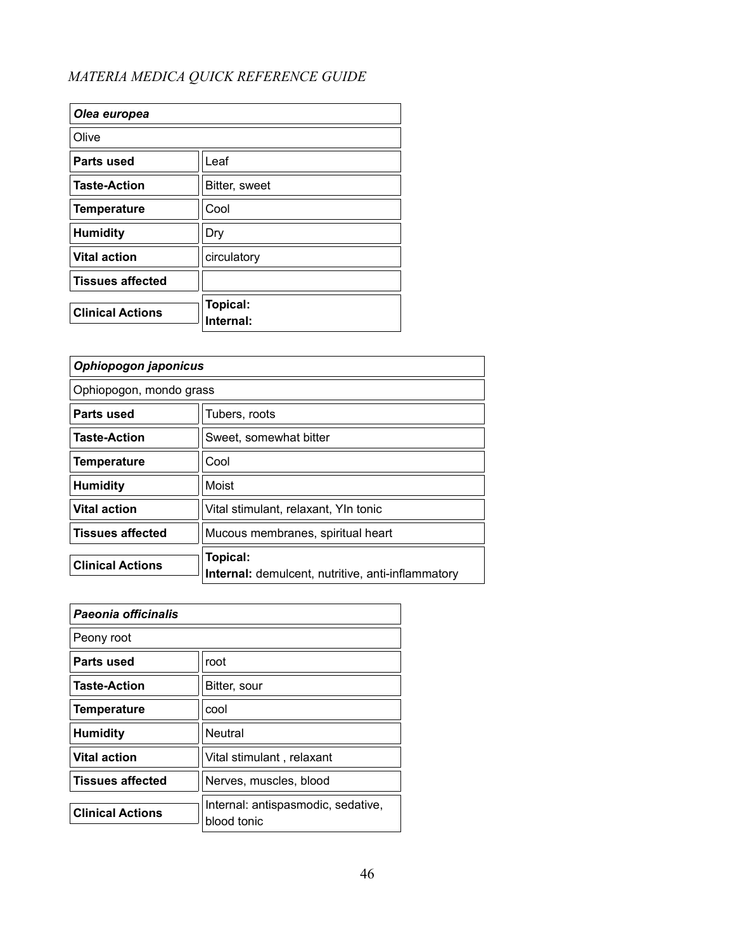| Olea europea            |                       |
|-------------------------|-----------------------|
| Olive                   |                       |
| Parts used              | Leaf                  |
| <b>Taste-Action</b>     | Bitter, sweet         |
| <b>Temperature</b>      | Cool                  |
| <b>Humidity</b>         | Dry                   |
| <b>Vital action</b>     | circulatory           |
| <b>Tissues affected</b> |                       |
| <b>Clinical Actions</b> | Topical:<br>Internal: |

| Ophiopogon japonicus    |                                                                      |
|-------------------------|----------------------------------------------------------------------|
| Ophiopogon, mondo grass |                                                                      |
| Parts used              | Tubers, roots                                                        |
| <b>Taste-Action</b>     | Sweet, somewhat bitter                                               |
| <b>Temperature</b>      | Cool                                                                 |
| <b>Humidity</b>         | Moist                                                                |
| <b>Vital action</b>     | Vital stimulant, relaxant, YIn tonic                                 |
| <b>Tissues affected</b> | Mucous membranes, spiritual heart                                    |
| <b>Clinical Actions</b> | Topical:<br><b>Internal:</b> demulcent, nutritive, anti-inflammatory |

| Paeonia officinalis     |                                                   |
|-------------------------|---------------------------------------------------|
| Peony root              |                                                   |
| Parts used              | root                                              |
| <b>Taste-Action</b>     | Bitter, sour                                      |
| <b>Temperature</b>      | cool                                              |
| <b>Humidity</b>         | Neutral                                           |
| <b>Vital action</b>     | Vital stimulant, relaxant                         |
| <b>Tissues affected</b> | Nerves, muscles, blood                            |
| <b>Clinical Actions</b> | Internal: antispasmodic, sedative,<br>blood tonic |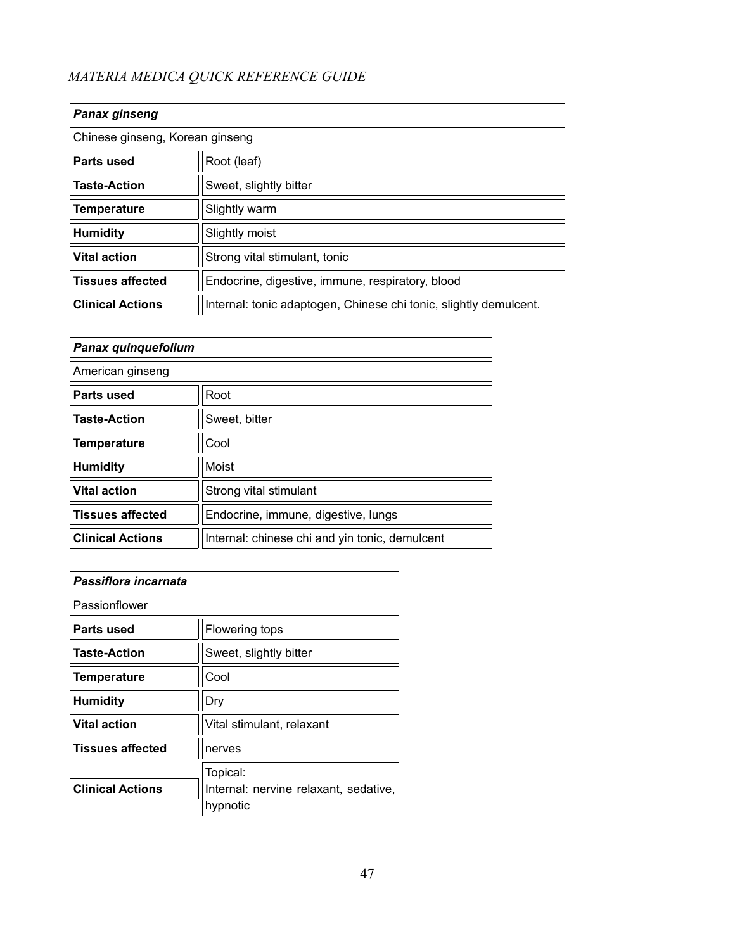| <b>Panax ginseng</b>            |                                                                   |
|---------------------------------|-------------------------------------------------------------------|
| Chinese ginseng, Korean ginseng |                                                                   |
| Parts used                      | Root (leaf)                                                       |
| <b>Taste-Action</b>             | Sweet, slightly bitter                                            |
| <b>Temperature</b>              | Slightly warm                                                     |
| <b>Humidity</b>                 | Slightly moist                                                    |
| <b>Vital action</b>             | Strong vital stimulant, tonic                                     |
| <b>Tissues affected</b>         | Endocrine, digestive, immune, respiratory, blood                  |
| <b>Clinical Actions</b>         | Internal: tonic adaptogen, Chinese chi tonic, slightly demulcent. |

| Panax quinquefolium     |                                                |
|-------------------------|------------------------------------------------|
| American ginseng        |                                                |
| Parts used              | Root                                           |
| <b>Taste-Action</b>     | Sweet, bitter                                  |
| <b>Temperature</b>      | Cool                                           |
| <b>Humidity</b>         | Moist                                          |
| <b>Vital action</b>     | Strong vital stimulant                         |
| <b>Tissues affected</b> | Endocrine, immune, digestive, lungs            |
| <b>Clinical Actions</b> | Internal: chinese chi and yin tonic, demulcent |

| Passiflora incarnata    |                                                   |
|-------------------------|---------------------------------------------------|
| Passionflower           |                                                   |
| Parts used              | Flowering tops                                    |
| <b>Taste-Action</b>     | Sweet, slightly bitter                            |
| <b>Temperature</b>      | Cool                                              |
| <b>Humidity</b>         | Dry                                               |
| <b>Vital action</b>     | Vital stimulant, relaxant                         |
| <b>Tissues affected</b> | nerves                                            |
|                         | Topical:                                          |
| <b>Clinical Actions</b> | Internal: nervine relaxant, sedative,<br>hypnotic |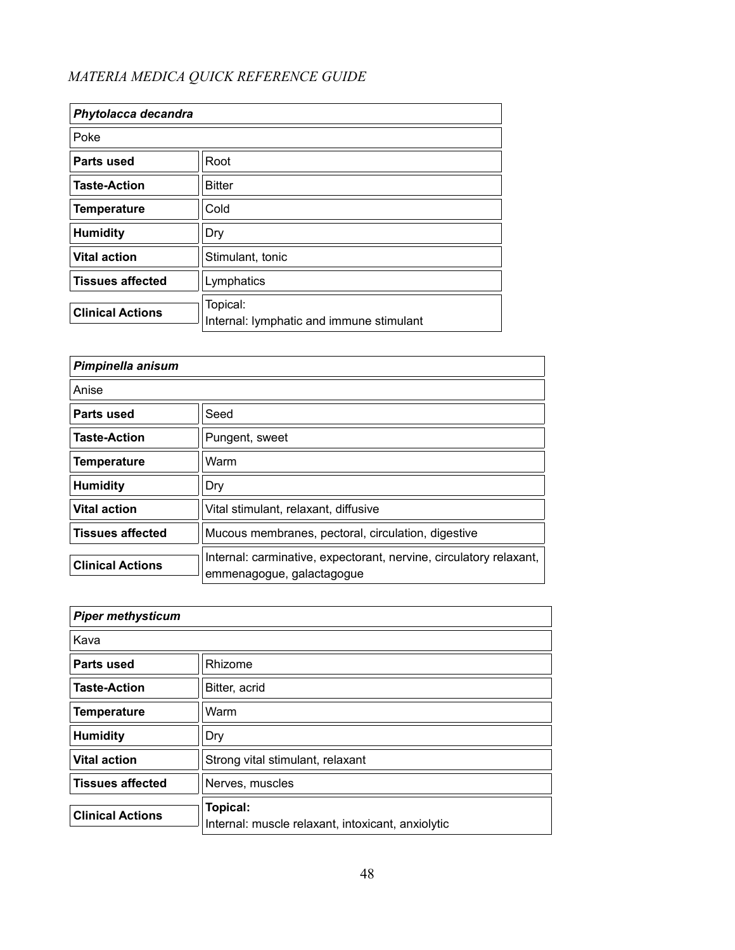| Phytolacca decandra     |                                                      |
|-------------------------|------------------------------------------------------|
| Poke                    |                                                      |
| Parts used              | Root                                                 |
| <b>Taste-Action</b>     | <b>Bitter</b>                                        |
| <b>Temperature</b>      | Cold                                                 |
| <b>Humidity</b>         | Dry                                                  |
| <b>Vital action</b>     | Stimulant, tonic                                     |
| <b>Tissues affected</b> | Lymphatics                                           |
| <b>Clinical Actions</b> | Topical:<br>Internal: lymphatic and immune stimulant |

| Pimpinella anisum       |                                                                                                 |
|-------------------------|-------------------------------------------------------------------------------------------------|
| Anise                   |                                                                                                 |
| Parts used              | Seed                                                                                            |
| <b>Taste-Action</b>     | Pungent, sweet                                                                                  |
| <b>Temperature</b>      | Warm                                                                                            |
| <b>Humidity</b>         | Dry                                                                                             |
| <b>Vital action</b>     | Vital stimulant, relaxant, diffusive                                                            |
| <b>Tissues affected</b> | Mucous membranes, pectoral, circulation, digestive                                              |
| <b>Clinical Actions</b> | Internal: carminative, expectorant, nervine, circulatory relaxant,<br>emmenagogue, galactagogue |

| <b>Piper methysticum</b> |                                                               |
|--------------------------|---------------------------------------------------------------|
| Kava                     |                                                               |
| Parts used               | Rhizome                                                       |
| <b>Taste-Action</b>      | Bitter, acrid                                                 |
| <b>Temperature</b>       | Warm                                                          |
| <b>Humidity</b>          | Dry                                                           |
| <b>Vital action</b>      | Strong vital stimulant, relaxant                              |
| <b>Tissues affected</b>  | Nerves, muscles                                               |
| <b>Clinical Actions</b>  | Topical:<br>Internal: muscle relaxant, intoxicant, anxiolytic |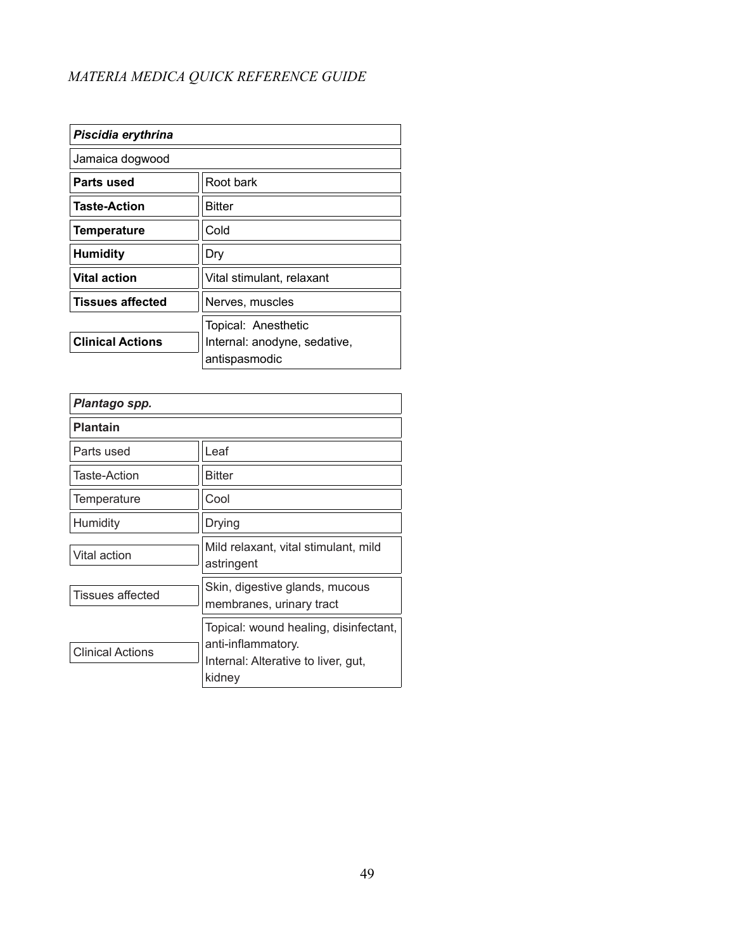| Piscidia erythrina      |                              |
|-------------------------|------------------------------|
| Jamaica dogwood         |                              |
| Parts used              | Root bark                    |
| <b>Taste-Action</b>     | Bitter                       |
| Temperature             | Cold                         |
| <b>Humidity</b>         | Dry                          |
| <b>Vital action</b>     | Vital stimulant, relaxant    |
| <b>Tissues affected</b> | Nerves, muscles              |
|                         | Topical: Anesthetic          |
| <b>Clinical Actions</b> | Internal: anodyne, sedative, |
|                         | antispasmodic                |

| Plantago spp.           |                                                                                                              |
|-------------------------|--------------------------------------------------------------------------------------------------------------|
| <b>Plantain</b>         |                                                                                                              |
| Parts used              | Leaf                                                                                                         |
| Taste-Action            | <b>Bitter</b>                                                                                                |
| Temperature             | Cool                                                                                                         |
| Humidity                | Drying                                                                                                       |
| Vital action            | Mild relaxant, vital stimulant, mild<br>astringent                                                           |
| <b>Tissues affected</b> | Skin, digestive glands, mucous<br>membranes, urinary tract                                                   |
| <b>Clinical Actions</b> | Topical: wound healing, disinfectant,<br>anti-inflammatory.<br>Internal: Alterative to liver, gut,<br>kidney |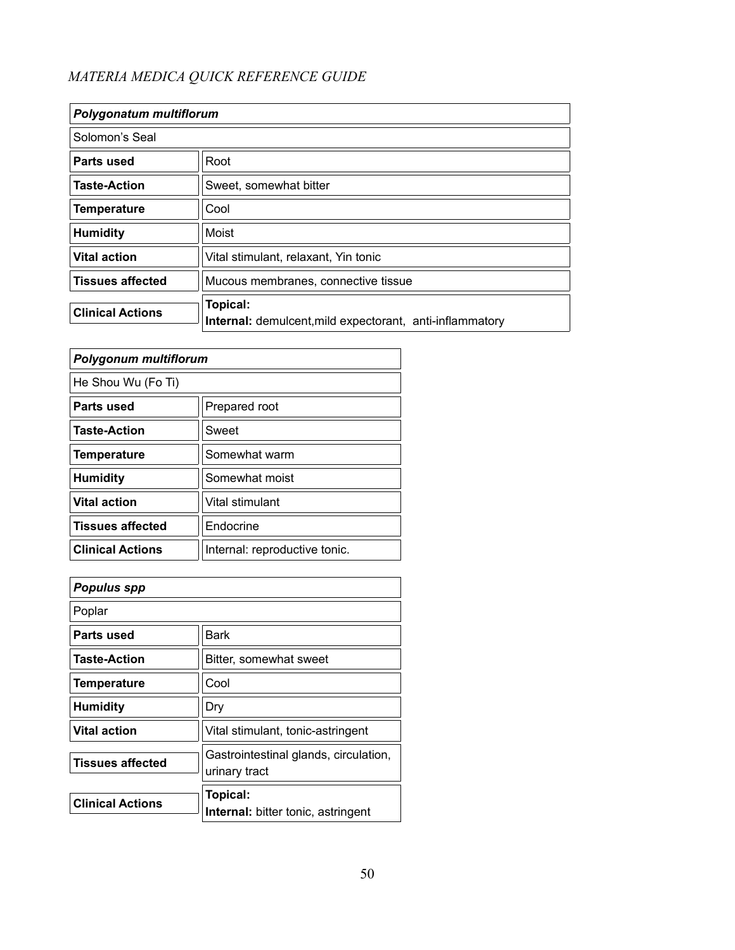| Polygonatum multiflorum |                                                                             |
|-------------------------|-----------------------------------------------------------------------------|
| Solomon's Seal          |                                                                             |
| Parts used              | Root                                                                        |
| <b>Taste-Action</b>     | Sweet, somewhat bitter                                                      |
| <b>Temperature</b>      | Cool                                                                        |
| <b>Humidity</b>         | Moist                                                                       |
| <b>Vital action</b>     | Vital stimulant, relaxant, Yin tonic                                        |
| <b>Tissues affected</b> | Mucous membranes, connective tissue                                         |
| <b>Clinical Actions</b> | Topical:<br><b>Internal:</b> demulcent, mild expectorant, anti-inflammatory |

| <b>Polygonum multiflorum</b> |                               |
|------------------------------|-------------------------------|
| He Shou Wu (Fo Ti)           |                               |
| Parts used                   | Prepared root                 |
| <b>Taste-Action</b>          | Sweet                         |
| <b>Temperature</b>           | Somewhat warm                 |
| <b>Humidity</b>              | Somewhat moist                |
| <b>Vital action</b>          | Vital stimulant               |
| <b>Tissues affected</b>      | Endocrine                     |
| <b>Clinical Actions</b>      | Internal: reproductive tonic. |

| <b>Populus spp</b>      |                                                        |
|-------------------------|--------------------------------------------------------|
| Poplar                  |                                                        |
| Parts used              | Bark                                                   |
| <b>Taste-Action</b>     | Bitter, somewhat sweet                                 |
| <b>Temperature</b>      | Cool                                                   |
| <b>Humidity</b>         | Dry                                                    |
| <b>Vital action</b>     | Vital stimulant, tonic-astringent                      |
| <b>Tissues affected</b> | Gastrointestinal glands, circulation,<br>urinary tract |
| <b>Clinical Actions</b> | Topical:<br><b>Internal:</b> bitter tonic, astringent  |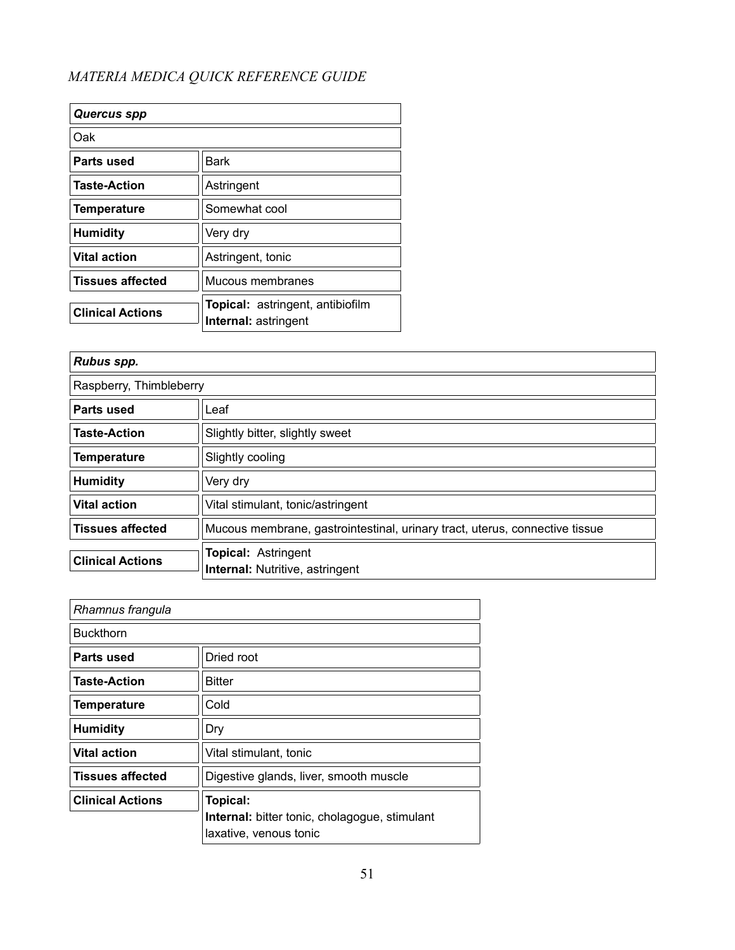| <b>Quercus spp</b>      |                                                                 |
|-------------------------|-----------------------------------------------------------------|
| Oak                     |                                                                 |
| Parts used              | <b>Bark</b>                                                     |
| <b>Taste-Action</b>     | Astringent                                                      |
| <b>Temperature</b>      | Somewhat cool                                                   |
| <b>Humidity</b>         | Very dry                                                        |
| <b>Vital action</b>     | Astringent, tonic                                               |
| <b>Tissues affected</b> | Mucous membranes                                                |
| <b>Clinical Actions</b> | <b>Topical:</b> astringent, antibiofilm<br>Internal: astringent |

| Rubus spp.              |                                                                             |
|-------------------------|-----------------------------------------------------------------------------|
| Raspberry, Thimbleberry |                                                                             |
| Parts used              | Leaf                                                                        |
| <b>Taste-Action</b>     | Slightly bitter, slightly sweet                                             |
| <b>Temperature</b>      | Slightly cooling                                                            |
| <b>Humidity</b>         | Very dry                                                                    |
| <b>Vital action</b>     | Vital stimulant, tonic/astringent                                           |
| <b>Tissues affected</b> | Mucous membrane, gastrointestinal, urinary tract, uterus, connective tissue |
| <b>Clinical Actions</b> | <b>Topical: Astringent</b><br><b>Internal: Nutritive, astringent</b>        |

| Rhamnus frangula        |                                                                  |
|-------------------------|------------------------------------------------------------------|
| <b>Buckthorn</b>        |                                                                  |
| Parts used              | Dried root                                                       |
| <b>Taste-Action</b>     | Bitter                                                           |
| <b>Temperature</b>      | Cold                                                             |
| <b>Humidity</b>         | Dry                                                              |
| <b>Vital action</b>     | Vital stimulant, tonic                                           |
| <b>Tissues affected</b> | Digestive glands, liver, smooth muscle                           |
| <b>Clinical Actions</b> | Topical:<br><b>Internal:</b> bitter tonic, cholagogue, stimulant |
|                         | laxative, venous tonic                                           |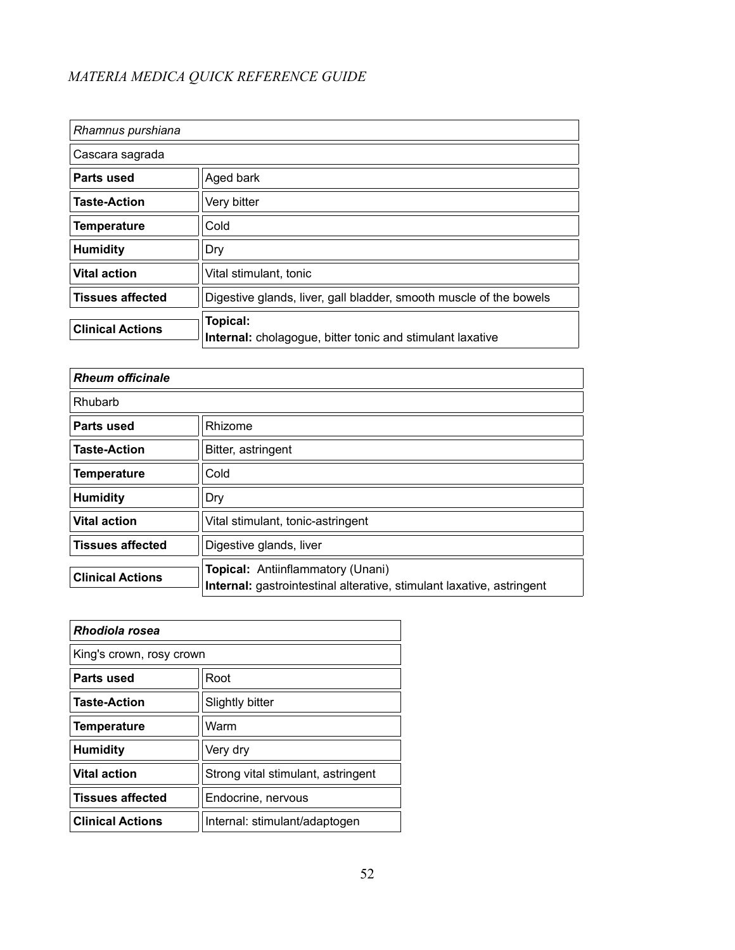| Rhamnus purshiana       |                                                                              |
|-------------------------|------------------------------------------------------------------------------|
| Cascara sagrada         |                                                                              |
| Parts used              | Aged bark                                                                    |
| <b>Taste-Action</b>     | Very bitter                                                                  |
| <b>Temperature</b>      | Cold                                                                         |
| <b>Humidity</b>         | Dry                                                                          |
| <b>Vital action</b>     | Vital stimulant, tonic                                                       |
| <b>Tissues affected</b> | Digestive glands, liver, gall bladder, smooth muscle of the bowels           |
| <b>Clinical Actions</b> | Topical:<br><b>Internal:</b> cholagogue, bitter tonic and stimulant laxative |

| <b>Rheum officinale</b> |                                                                                                                   |  |
|-------------------------|-------------------------------------------------------------------------------------------------------------------|--|
| Rhubarb                 |                                                                                                                   |  |
| Parts used              | Rhizome                                                                                                           |  |
| <b>Taste-Action</b>     | Bitter, astringent                                                                                                |  |
| <b>Temperature</b>      | Cold                                                                                                              |  |
| <b>Humidity</b>         | Dry                                                                                                               |  |
| <b>Vital action</b>     | Vital stimulant, tonic-astringent                                                                                 |  |
| <b>Tissues affected</b> | Digestive glands, liver                                                                                           |  |
| <b>Clinical Actions</b> | <b>Topical: Antiinflammatory (Unani)</b><br>Internal: gastrointestinal alterative, stimulant laxative, astringent |  |

| Rhodiola rosea           |                                    |
|--------------------------|------------------------------------|
| King's crown, rosy crown |                                    |
| Parts used               | Root                               |
| <b>Taste-Action</b>      | Slightly bitter                    |
| <b>Temperature</b>       | Warm                               |
| <b>Humidity</b>          | Very dry                           |
| <b>Vital action</b>      | Strong vital stimulant, astringent |
| <b>Tissues affected</b>  | Endocrine, nervous                 |
| <b>Clinical Actions</b>  | Internal: stimulant/adaptogen      |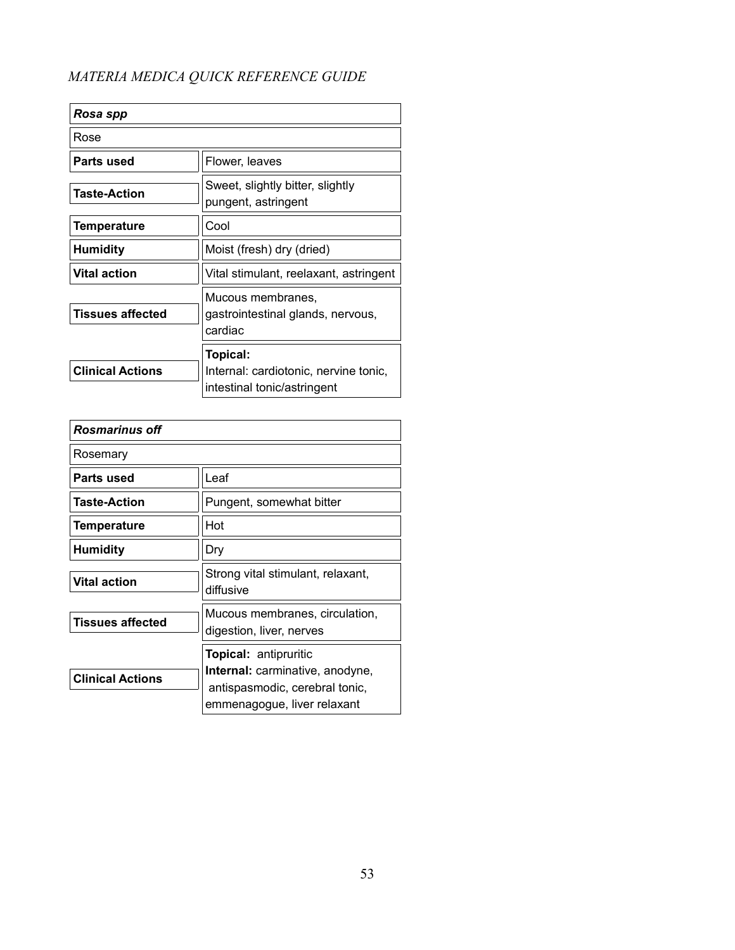| Rosa spp                |                                                                                  |
|-------------------------|----------------------------------------------------------------------------------|
| Rose                    |                                                                                  |
| Parts used              | Flower, leaves                                                                   |
| <b>Taste-Action</b>     | Sweet, slightly bitter, slightly<br>pungent, astringent                          |
| <b>Temperature</b>      | Cool                                                                             |
| <b>Humidity</b>         | Moist (fresh) dry (dried)                                                        |
| <b>Vital action</b>     | Vital stimulant, reelaxant, astringent                                           |
| <b>Tissues affected</b> | Mucous membranes,<br>gastrointestinal glands, nervous,<br>cardiac                |
| <b>Clinical Actions</b> | Topical:<br>Internal: cardiotonic, nervine tonic,<br>intestinal tonic/astringent |

| <b>Rosmarinus off</b>   |                                                                                                                                  |
|-------------------------|----------------------------------------------------------------------------------------------------------------------------------|
| Rosemary                |                                                                                                                                  |
| Parts used              | Leaf                                                                                                                             |
| <b>Taste-Action</b>     | Pungent, somewhat bitter                                                                                                         |
| <b>Temperature</b>      | Hot                                                                                                                              |
| <b>Humidity</b>         | Dry                                                                                                                              |
| <b>Vital action</b>     | Strong vital stimulant, relaxant,<br>diffusive                                                                                   |
| <b>Tissues affected</b> | Mucous membranes, circulation,<br>digestion, liver, nerves                                                                       |
| <b>Clinical Actions</b> | <b>Topical: antipruritic</b><br>Internal: carminative, anodyne,<br>antispasmodic, cerebral tonic,<br>emmenagogue, liver relaxant |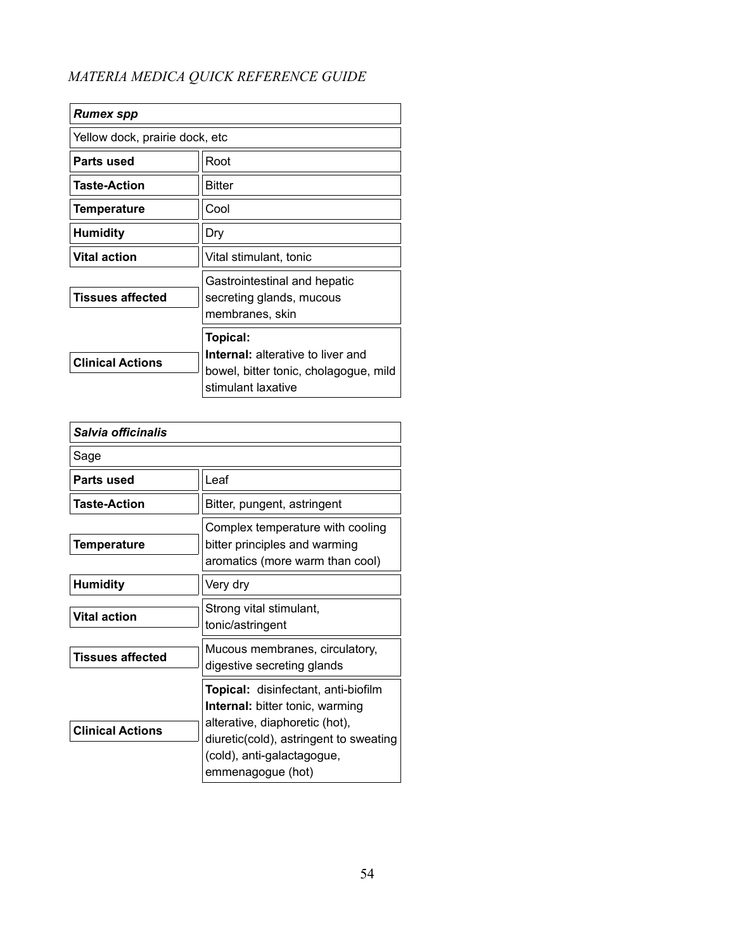| <b>Rumex spp</b>               |                                                                                                                     |
|--------------------------------|---------------------------------------------------------------------------------------------------------------------|
| Yellow dock, prairie dock, etc |                                                                                                                     |
| Parts used                     | Root                                                                                                                |
| <b>Taste-Action</b>            | <b>Bitter</b>                                                                                                       |
| Temperature                    | Cool                                                                                                                |
| <b>Humidity</b>                | Dry                                                                                                                 |
| <b>Vital action</b>            | Vital stimulant, tonic                                                                                              |
| <b>Tissues affected</b>        | Gastrointestinal and hepatic<br>secreting glands, mucous<br>membranes, skin                                         |
| <b>Clinical Actions</b>        | Topical:<br><b>Internal:</b> alterative to liver and<br>bowel, bitter tonic, cholagogue, mild<br>stimulant laxative |

| Salvia officinalis      |                                                                                                                                                                                                                     |
|-------------------------|---------------------------------------------------------------------------------------------------------------------------------------------------------------------------------------------------------------------|
| Sage                    |                                                                                                                                                                                                                     |
| Parts used              | Leaf                                                                                                                                                                                                                |
| <b>Taste-Action</b>     | Bitter, pungent, astringent                                                                                                                                                                                         |
| <b>Temperature</b>      | Complex temperature with cooling<br>bitter principles and warming<br>aromatics (more warm than cool)                                                                                                                |
| <b>Humidity</b>         | Very dry                                                                                                                                                                                                            |
| <b>Vital action</b>     | Strong vital stimulant,<br>tonic/astringent                                                                                                                                                                         |
| <b>Tissues affected</b> | Mucous membranes, circulatory,<br>digestive secreting glands                                                                                                                                                        |
| <b>Clinical Actions</b> | <b>Topical:</b> disinfectant, anti-biofilm<br><b>Internal:</b> bitter tonic, warming<br>alterative, diaphoretic (hot),<br>diuretic(cold), astringent to sweating<br>(cold), anti-galactagogue,<br>emmenagogue (hot) |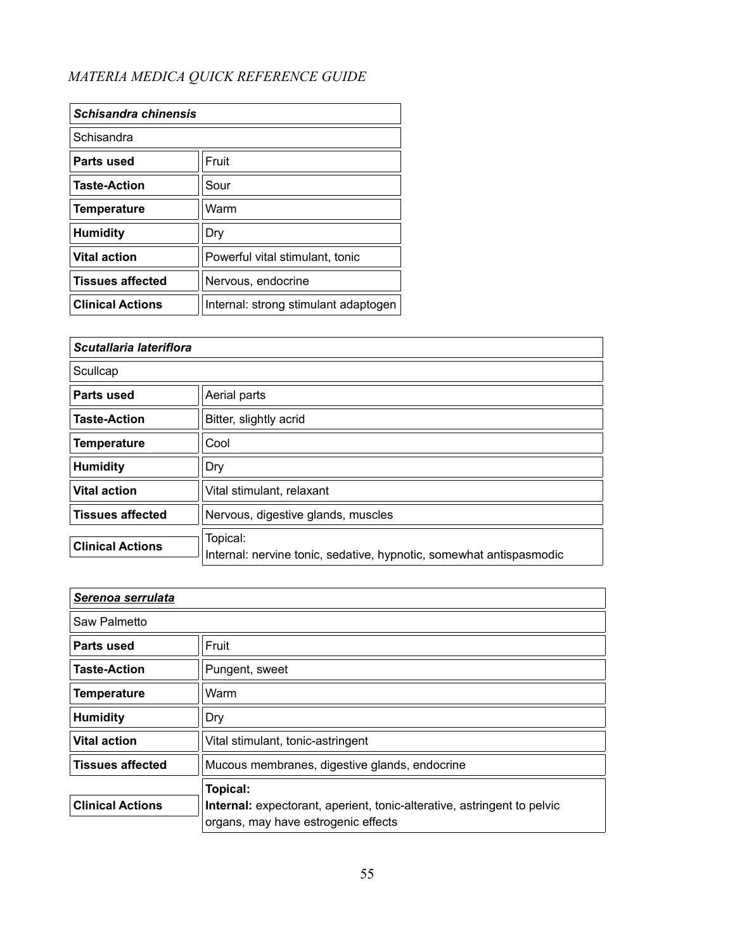| Schisandra chinensis    |                                      |
|-------------------------|--------------------------------------|
| Schisandra              |                                      |
| Parts used              | Fruit                                |
| <b>Taste-Action</b>     | Sour                                 |
| <b>Temperature</b>      | Warm                                 |
| <b>Humidity</b>         | Dry                                  |
| <b>Vital action</b>     | Powerful vital stimulant, tonic      |
| <b>Tissues affected</b> | Nervous, endocrine                   |
| <b>Clinical Actions</b> | Internal: strong stimulant adaptogen |

| Scutallaria lateriflora |                                                                                 |  |
|-------------------------|---------------------------------------------------------------------------------|--|
| Scullcap                |                                                                                 |  |
| Parts used              | Aerial parts                                                                    |  |
| <b>Taste-Action</b>     | Bitter, slightly acrid                                                          |  |
| <b>Temperature</b>      | Cool                                                                            |  |
| <b>Humidity</b>         | Dry                                                                             |  |
| <b>Vital action</b>     | Vital stimulant, relaxant                                                       |  |
| <b>Tissues affected</b> | Nervous, digestive glands, muscles                                              |  |
| <b>Clinical Actions</b> | Topical:<br>Internal: nervine tonic, sedative, hypnotic, somewhat antispasmodic |  |

| Serenoa serrulata       |                                                                                                                |  |
|-------------------------|----------------------------------------------------------------------------------------------------------------|--|
| Saw Palmetto            |                                                                                                                |  |
| Parts used              | Fruit                                                                                                          |  |
| <b>Taste-Action</b>     | Pungent, sweet                                                                                                 |  |
| <b>Temperature</b>      | Warm                                                                                                           |  |
| <b>Humidity</b>         | Dry                                                                                                            |  |
| <b>Vital action</b>     | Vital stimulant, tonic-astringent                                                                              |  |
| <b>Tissues affected</b> | Mucous membranes, digestive glands, endocrine                                                                  |  |
|                         | Topical:                                                                                                       |  |
| <b>Clinical Actions</b> | Internal: expectorant, aperient, tonic-alterative, astringent to pelvic<br>organs, may have estrogenic effects |  |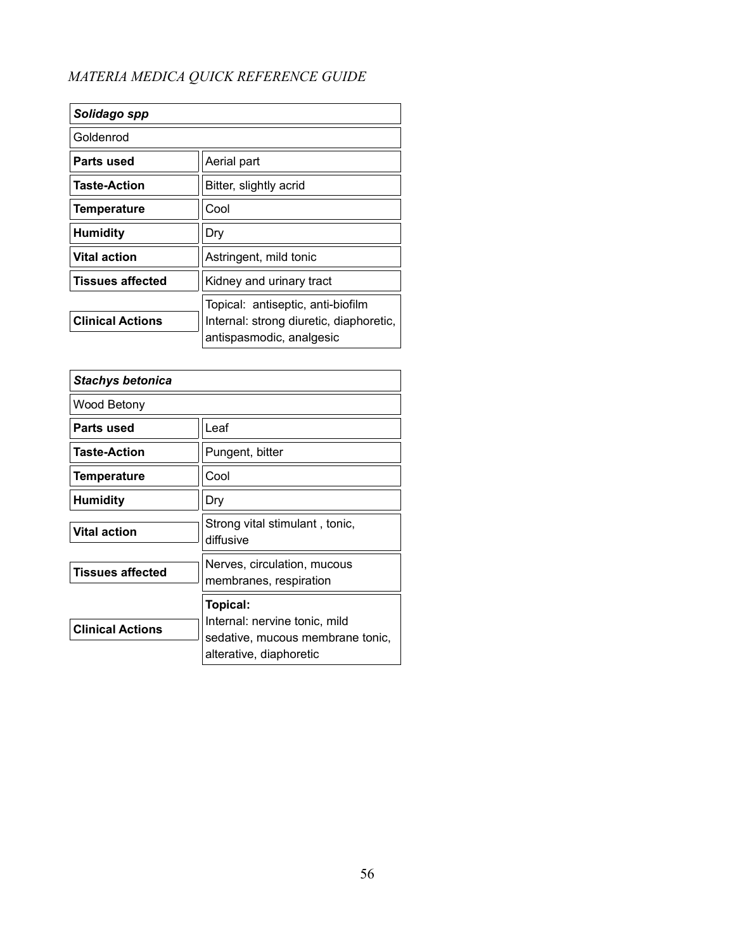| Solidago spp            |                                                                                                          |
|-------------------------|----------------------------------------------------------------------------------------------------------|
| Goldenrod               |                                                                                                          |
| Parts used              | Aerial part                                                                                              |
| <b>Taste-Action</b>     | Bitter, slightly acrid                                                                                   |
| <b>Temperature</b>      | Cool                                                                                                     |
| <b>Humidity</b>         | Dry                                                                                                      |
| <b>Vital action</b>     | Astringent, mild tonic                                                                                   |
| <b>Tissues affected</b> | Kidney and urinary tract                                                                                 |
| <b>Clinical Actions</b> | Topical: antiseptic, anti-biofilm<br>Internal: strong diuretic, diaphoretic,<br>antispasmodic, analgesic |

| <b>Stachys betonica</b> |                                                                                                          |
|-------------------------|----------------------------------------------------------------------------------------------------------|
| Wood Betony             |                                                                                                          |
| Parts used              | Leaf                                                                                                     |
| <b>Taste-Action</b>     | Pungent, bitter                                                                                          |
| <b>Temperature</b>      | Cool                                                                                                     |
| <b>Humidity</b>         | Dry                                                                                                      |
| <b>Vital action</b>     | Strong vital stimulant, tonic,<br>diffusive                                                              |
| <b>Tissues affected</b> | Nerves, circulation, mucous<br>membranes, respiration                                                    |
| <b>Clinical Actions</b> | Topical:<br>Internal: nervine tonic, mild<br>sedative, mucous membrane tonic,<br>alterative, diaphoretic |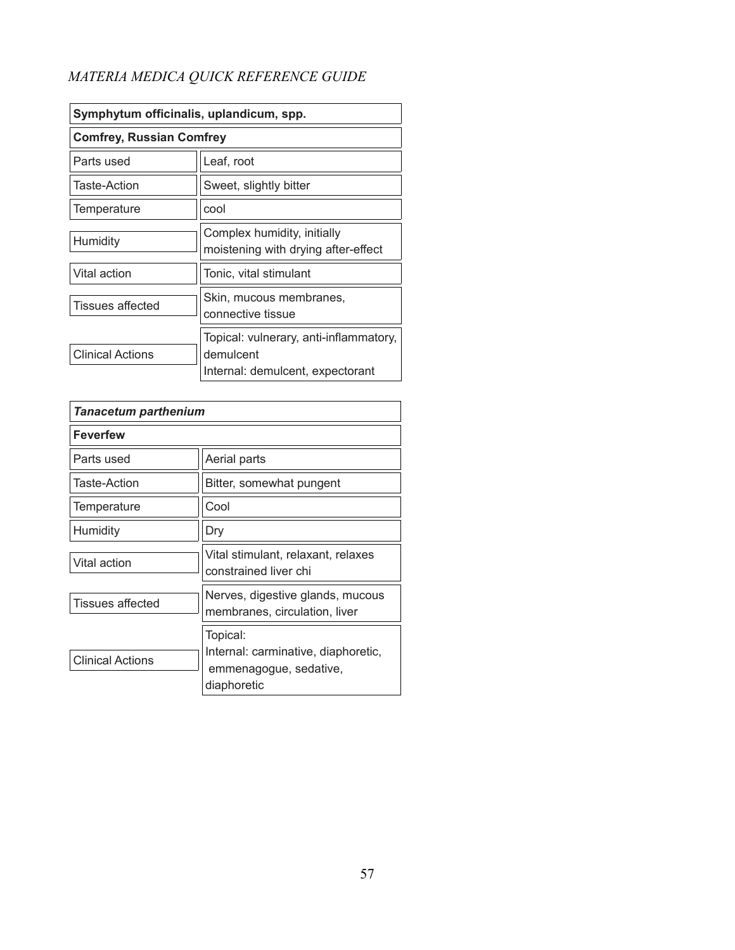| Symphytum officinalis, uplandicum, spp. |                                                                                         |
|-----------------------------------------|-----------------------------------------------------------------------------------------|
| <b>Comfrey, Russian Comfrey</b>         |                                                                                         |
| Parts used                              | Leaf, root                                                                              |
| Taste-Action                            | Sweet, slightly bitter                                                                  |
| Temperature                             | cool                                                                                    |
| Humidity                                | Complex humidity, initially<br>moistening with drying after-effect                      |
| Vital action                            | Tonic, vital stimulant                                                                  |
| <b>Tissues affected</b>                 | Skin, mucous membranes,<br>connective tissue                                            |
| <b>Clinical Actions</b>                 | Topical: vulnerary, anti-inflammatory,<br>demulcent<br>Internal: demulcent, expectorant |

| <b>Tanacetum parthenium</b> |                                                                                          |
|-----------------------------|------------------------------------------------------------------------------------------|
| <b>Feverfew</b>             |                                                                                          |
| Parts used                  | Aerial parts                                                                             |
| Taste-Action                | Bitter, somewhat pungent                                                                 |
| Temperature                 | Cool                                                                                     |
| Humidity                    | Dry                                                                                      |
| Vital action                | Vital stimulant, relaxant, relaxes<br>constrained liver chi                              |
| <b>Tissues affected</b>     | Nerves, digestive glands, mucous<br>membranes, circulation, liver                        |
| <b>Clinical Actions</b>     | Topical:<br>Internal: carminative, diaphoretic,<br>emmenagogue, sedative,<br>diaphoretic |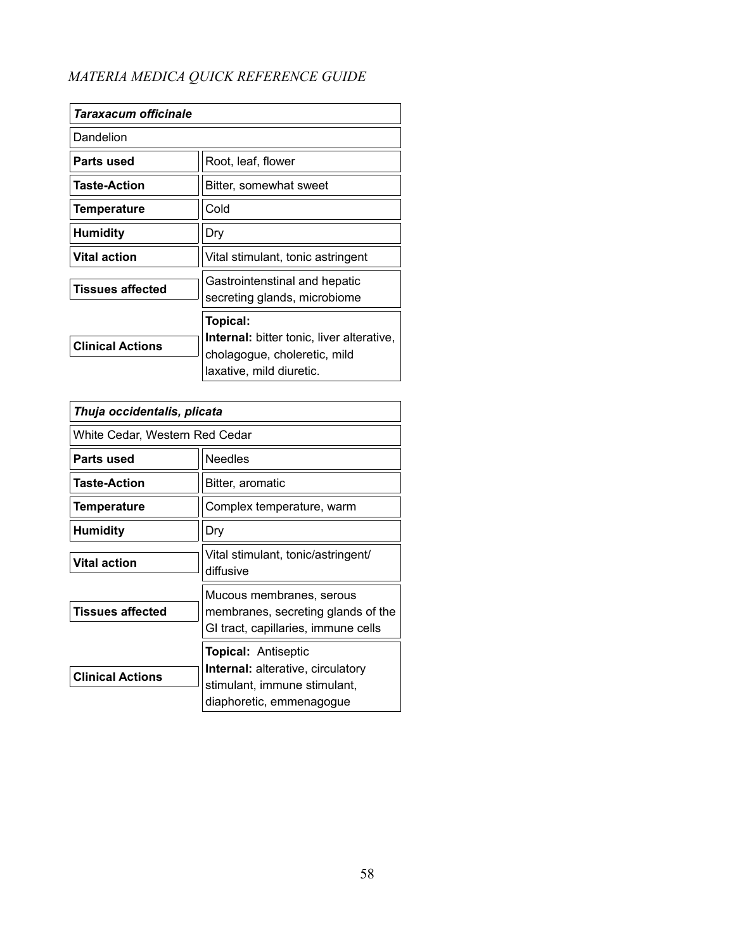| Taraxacum officinale    |                                                                                                                          |
|-------------------------|--------------------------------------------------------------------------------------------------------------------------|
| Dandelion               |                                                                                                                          |
| Parts used              | Root, leaf, flower                                                                                                       |
| <b>Taste-Action</b>     | Bitter, somewhat sweet                                                                                                   |
| <b>Temperature</b>      | Cold                                                                                                                     |
| Humidity                | Dry                                                                                                                      |
| <b>Vital action</b>     | Vital stimulant, tonic astringent                                                                                        |
| <b>Tissues affected</b> | Gastrointenstinal and hepatic<br>secreting glands, microbiome                                                            |
| <b>Clinical Actions</b> | Topical:<br><b>Internal:</b> bitter tonic, liver alterative,<br>cholagogue, choleretic, mild<br>laxative, mild diuretic. |

| Thuja occidentalis, plicata    |                                                                                                                                    |
|--------------------------------|------------------------------------------------------------------------------------------------------------------------------------|
| White Cedar, Western Red Cedar |                                                                                                                                    |
| Parts used                     | <b>Needles</b>                                                                                                                     |
| <b>Taste-Action</b>            | Bitter, aromatic                                                                                                                   |
| <b>Temperature</b>             | Complex temperature, warm                                                                                                          |
| <b>Humidity</b>                | Dry                                                                                                                                |
| <b>Vital action</b>            | Vital stimulant, tonic/astringent/<br>diffusive                                                                                    |
| <b>Tissues affected</b>        | Mucous membranes, serous<br>membranes, secreting glands of the<br>GI tract, capillaries, immune cells                              |
| <b>Clinical Actions</b>        | <b>Topical: Antiseptic</b><br><b>Internal:</b> alterative, circulatory<br>stimulant, immune stimulant,<br>diaphoretic, emmenagogue |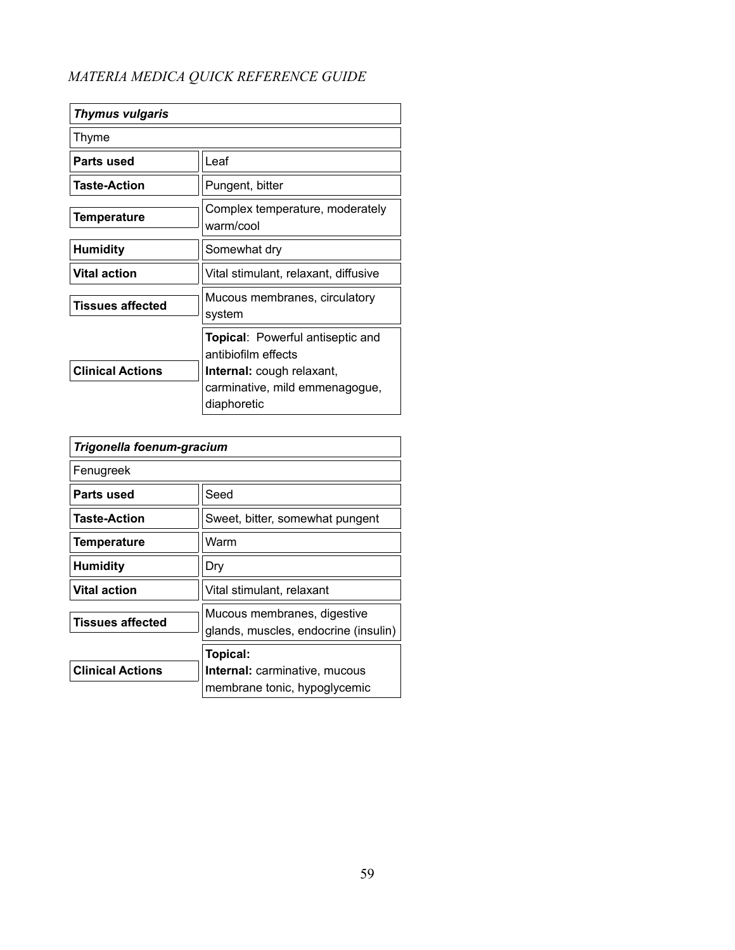| <b>Thymus vulgaris</b>  |                                                                                   |
|-------------------------|-----------------------------------------------------------------------------------|
| Thyme                   |                                                                                   |
| Parts used              | Leaf                                                                              |
| <b>Taste-Action</b>     | Pungent, bitter                                                                   |
| <b>Temperature</b>      | Complex temperature, moderately<br>warm/cool                                      |
| <b>Humidity</b>         | Somewhat dry                                                                      |
| <b>Vital action</b>     | Vital stimulant, relaxant, diffusive                                              |
| Tissues affected        | Mucous membranes, circulatory<br>system                                           |
|                         | <b>Topical: Powerful antiseptic and</b><br>antibiofilm effects                    |
| <b>Clinical Actions</b> | <b>Internal:</b> cough relaxant,<br>carminative, mild emmenagogue,<br>diaphoretic |

| Trigonella foenum-gracium |                                                                     |
|---------------------------|---------------------------------------------------------------------|
| Fenugreek                 |                                                                     |
| Parts used                | Seed                                                                |
| <b>Taste-Action</b>       | Sweet, bitter, somewhat pungent                                     |
| <b>Temperature</b>        | Warm                                                                |
| <b>Humidity</b>           | Dry                                                                 |
| <b>Vital action</b>       | Vital stimulant, relaxant                                           |
| <b>Tissues affected</b>   | Mucous membranes, digestive<br>glands, muscles, endocrine (insulin) |
|                           | Topical:                                                            |
| <b>Clinical Actions</b>   | <b>Internal:</b> carminative, mucous                                |
|                           | membrane tonic, hypoglycemic                                        |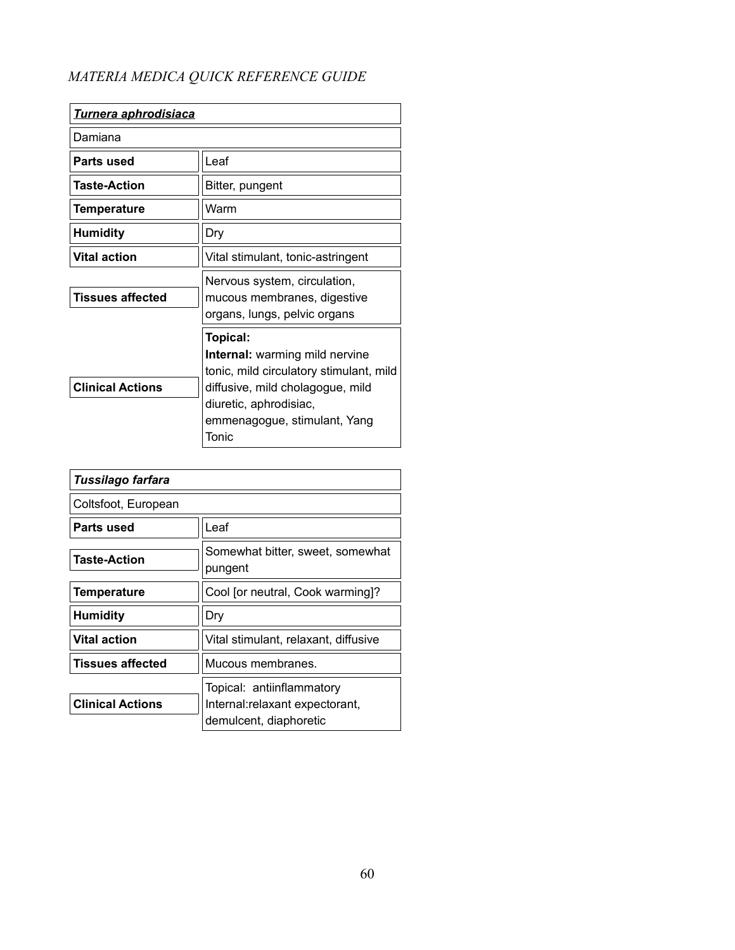| <u>Turnera aphrodisiaca</u> |                                                                                                                                                                                              |
|-----------------------------|----------------------------------------------------------------------------------------------------------------------------------------------------------------------------------------------|
| Damiana                     |                                                                                                                                                                                              |
| Parts used                  | Leaf                                                                                                                                                                                         |
| <b>Taste-Action</b>         | Bitter, pungent                                                                                                                                                                              |
| Temperature                 | Warm                                                                                                                                                                                         |
| <b>Humidity</b>             | Dry                                                                                                                                                                                          |
| <b>Vital action</b>         | Vital stimulant, tonic-astringent                                                                                                                                                            |
| <b>Tissues affected</b>     | Nervous system, circulation,<br>mucous membranes, digestive<br>organs, lungs, pelvic organs                                                                                                  |
| <b>Clinical Actions</b>     | Topical:<br>Internal: warming mild nervine<br>tonic, mild circulatory stimulant, mild<br>diffusive, mild cholagogue, mild<br>diuretic, aphrodisiac,<br>emmenagogue, stimulant, Yang<br>Tonic |

| Tussilago farfara       |                                                                                        |
|-------------------------|----------------------------------------------------------------------------------------|
| Coltsfoot, European     |                                                                                        |
| Parts used              | Leaf                                                                                   |
| <b>Taste-Action</b>     | Somewhat bitter, sweet, somewhat<br>pungent                                            |
| <b>Temperature</b>      | Cool [or neutral, Cook warming]?                                                       |
| <b>Humidity</b>         | Dry                                                                                    |
| <b>Vital action</b>     | Vital stimulant, relaxant, diffusive                                                   |
| <b>Tissues affected</b> | Mucous membranes.                                                                      |
| <b>Clinical Actions</b> | Topical: antiinflammatory<br>Internal: relaxant expectorant,<br>demulcent, diaphoretic |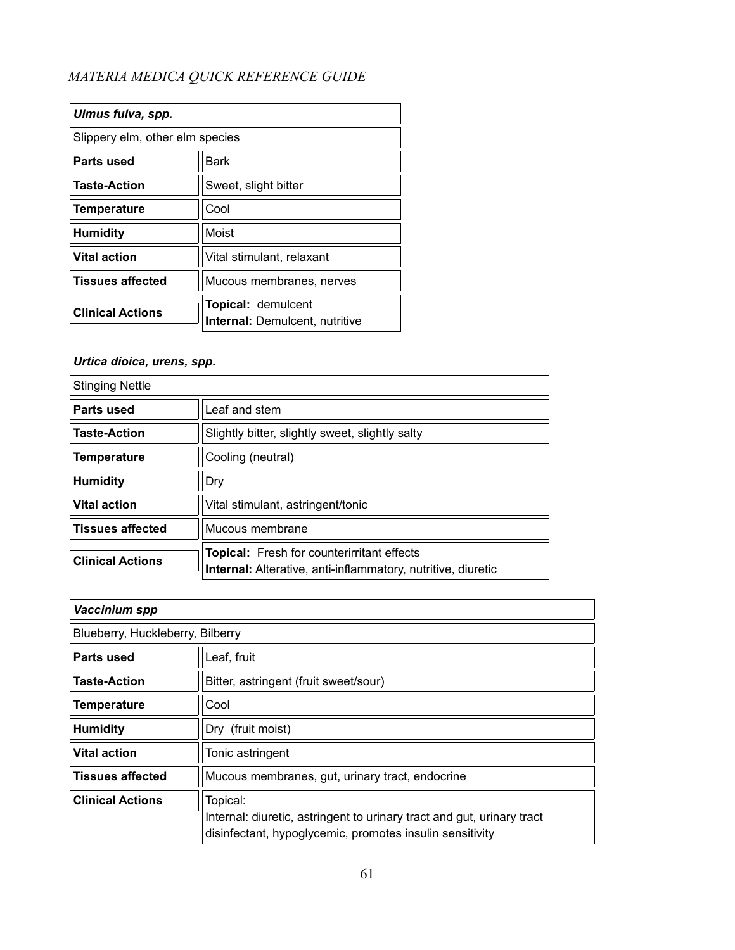| Ulmus fulva, spp.               |                                                                    |
|---------------------------------|--------------------------------------------------------------------|
| Slippery elm, other elm species |                                                                    |
| Parts used                      | Bark                                                               |
| <b>Taste-Action</b>             | Sweet, slight bitter                                               |
| <b>Temperature</b>              | Cool                                                               |
| <b>Humidity</b>                 | Moist                                                              |
| <b>Vital action</b>             | Vital stimulant, relaxant                                          |
| <b>Tissues affected</b>         | Mucous membranes, nerves                                           |
| <b>Clinical Actions</b>         | <b>Topical: demulcent</b><br><b>Internal: Demulcent, nutritive</b> |

| Urtica dioica, urens, spp. |                                                                                                                          |
|----------------------------|--------------------------------------------------------------------------------------------------------------------------|
| <b>Stinging Nettle</b>     |                                                                                                                          |
| Parts used                 | Leaf and stem                                                                                                            |
| <b>Taste-Action</b>        | Slightly bitter, slightly sweet, slightly salty                                                                          |
| <b>Temperature</b>         | Cooling (neutral)                                                                                                        |
| <b>Humidity</b>            | Dry                                                                                                                      |
| <b>Vital action</b>        | Vital stimulant, astringent/tonic                                                                                        |
| <b>Tissues affected</b>    | Mucous membrane                                                                                                          |
| <b>Clinical Actions</b>    | <b>Topical:</b> Fresh for counterirritant effects<br><b>Internal:</b> Alterative, anti-inflammatory, nutritive, diuretic |

| Vaccinium spp                    |                                                                                                                                    |
|----------------------------------|------------------------------------------------------------------------------------------------------------------------------------|
| Blueberry, Huckleberry, Bilberry |                                                                                                                                    |
| Parts used                       | Leaf, fruit                                                                                                                        |
| <b>Taste-Action</b>              | Bitter, astringent (fruit sweet/sour)                                                                                              |
| <b>Temperature</b>               | Cool                                                                                                                               |
| <b>Humidity</b>                  | Dry (fruit moist)                                                                                                                  |
| <b>Vital action</b>              | Tonic astringent                                                                                                                   |
| <b>Tissues affected</b>          | Mucous membranes, gut, urinary tract, endocrine                                                                                    |
| <b>Clinical Actions</b>          | Topical:                                                                                                                           |
|                                  | Internal: diuretic, astringent to urinary tract and gut, urinary tract<br>disinfectant, hypoglycemic, promotes insulin sensitivity |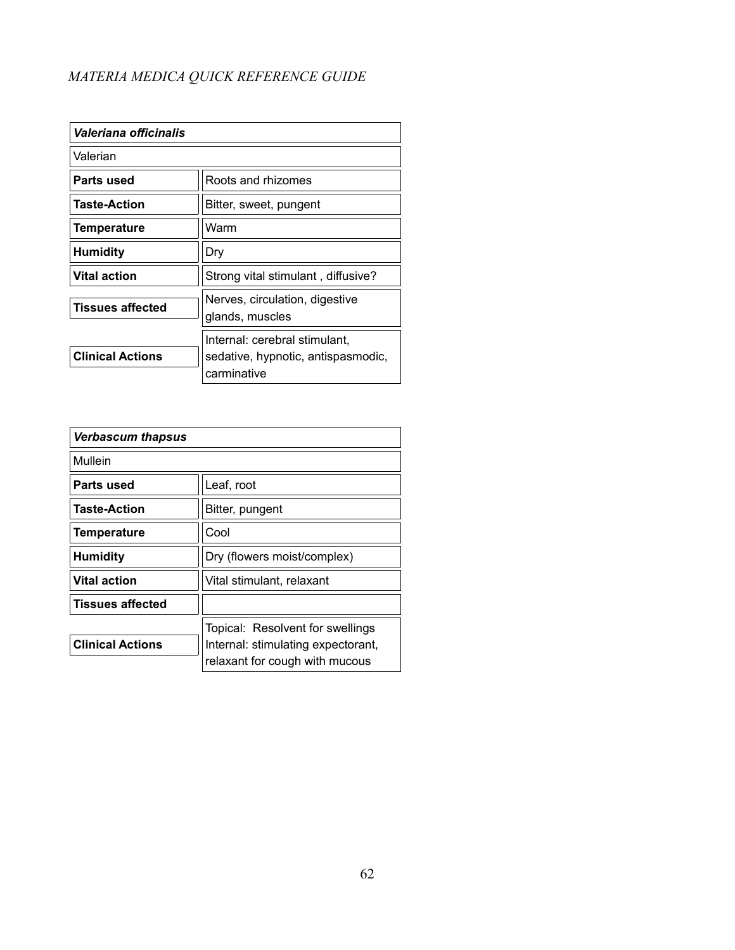| Valeriana officinalis   |                                                                                    |
|-------------------------|------------------------------------------------------------------------------------|
| Valerian                |                                                                                    |
| Parts used              | Roots and rhizomes                                                                 |
| <b>Taste-Action</b>     | Bitter, sweet, pungent                                                             |
| <b>Temperature</b>      | Warm                                                                               |
| <b>Humidity</b>         | Dry                                                                                |
| <b>Vital action</b>     | Strong vital stimulant, diffusive?                                                 |
| <b>Tissues affected</b> | Nerves, circulation, digestive<br>glands, muscles                                  |
| <b>Clinical Actions</b> | Internal: cerebral stimulant,<br>sedative, hypnotic, antispasmodic,<br>carminative |

| <b>Verbascum thapsus</b> |                                                                        |
|--------------------------|------------------------------------------------------------------------|
| Mullein                  |                                                                        |
| Parts used               | Leaf, root                                                             |
| <b>Taste-Action</b>      | Bitter, pungent                                                        |
| <b>Temperature</b>       | Cool                                                                   |
| <b>Humidity</b>          | Dry (flowers moist/complex)                                            |
| Vital action             | Vital stimulant, relaxant                                              |
| <b>Tissues affected</b>  |                                                                        |
| <b>Clinical Actions</b>  | Topical: Resolvent for swellings<br>Internal: stimulating expectorant, |
|                          | relaxant for cough with mucous                                         |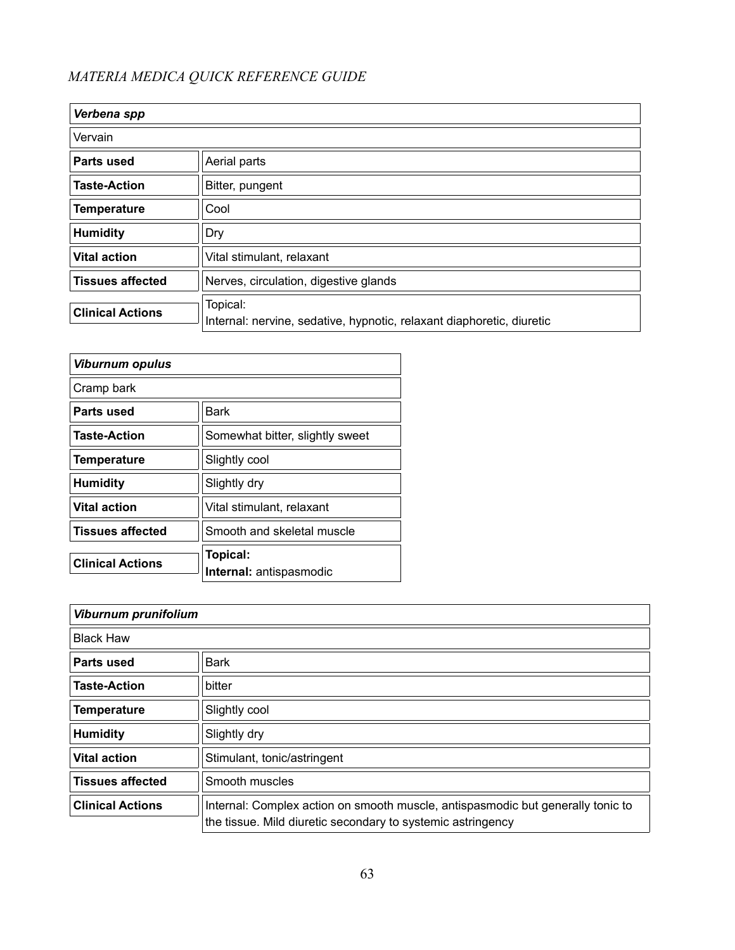| Verbena spp             |                                                                                   |
|-------------------------|-----------------------------------------------------------------------------------|
| Vervain                 |                                                                                   |
| Parts used              | Aerial parts                                                                      |
| <b>Taste-Action</b>     | Bitter, pungent                                                                   |
| Temperature             | Cool                                                                              |
| <b>Humidity</b>         | Dry                                                                               |
| <b>Vital action</b>     | Vital stimulant, relaxant                                                         |
| <b>Tissues affected</b> | Nerves, circulation, digestive glands                                             |
| <b>Clinical Actions</b> | Topical:<br>Internal: nervine, sedative, hypnotic, relaxant diaphoretic, diuretic |

| <b>Viburnum opulus</b>  |                                     |
|-------------------------|-------------------------------------|
| Cramp bark              |                                     |
| Parts used              | <b>Bark</b>                         |
| <b>Taste-Action</b>     | Somewhat bitter, slightly sweet     |
| Temperature             | Slightly cool                       |
| <b>Humidity</b>         | Slightly dry                        |
| <b>Vital action</b>     | Vital stimulant, relaxant           |
| <b>Tissues affected</b> | Smooth and skeletal muscle          |
| <b>Clinical Actions</b> | Topical:<br>Internal: antispasmodic |

| Viburnum prunifolium    |                                                                                                                                                |
|-------------------------|------------------------------------------------------------------------------------------------------------------------------------------------|
| <b>Black Haw</b>        |                                                                                                                                                |
| Parts used              | <b>Bark</b>                                                                                                                                    |
| <b>Taste-Action</b>     | bitter                                                                                                                                         |
| <b>Temperature</b>      | Slightly cool                                                                                                                                  |
| <b>Humidity</b>         | Slightly dry                                                                                                                                   |
| <b>Vital action</b>     | Stimulant, tonic/astringent                                                                                                                    |
| <b>Tissues affected</b> | Smooth muscles                                                                                                                                 |
| <b>Clinical Actions</b> | Internal: Complex action on smooth muscle, antispasmodic but generally tonic to<br>the tissue. Mild diuretic secondary to systemic astringency |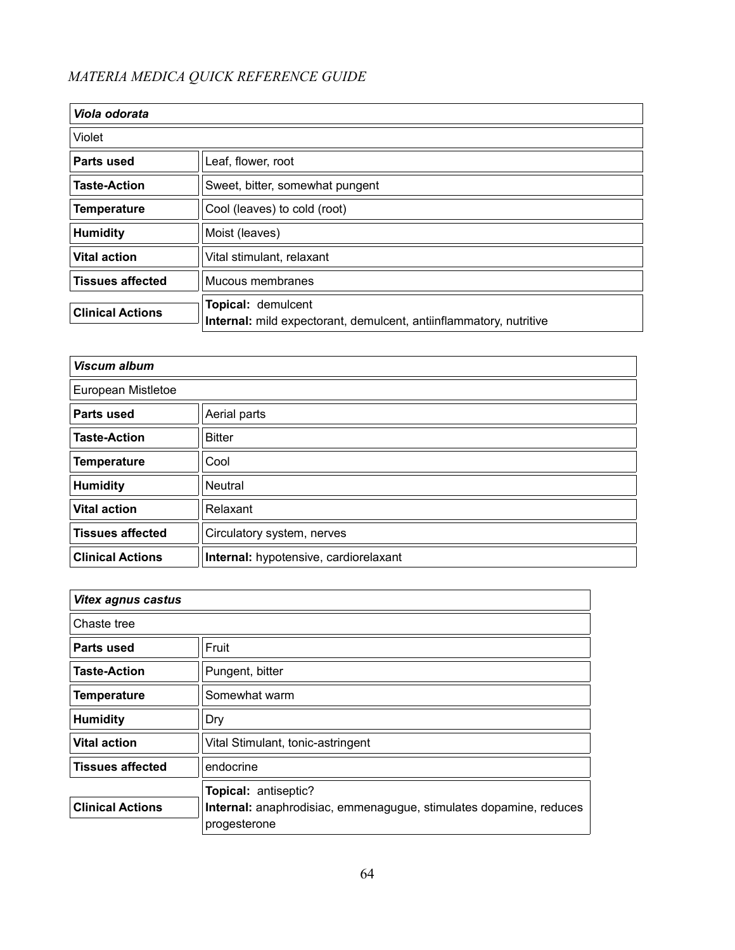| Viola odorata           |                                                                                          |
|-------------------------|------------------------------------------------------------------------------------------|
| Violet                  |                                                                                          |
| Parts used              | Leaf, flower, root                                                                       |
| <b>Taste-Action</b>     | Sweet, bitter, somewhat pungent                                                          |
| <b>Temperature</b>      | Cool (leaves) to cold (root)                                                             |
| <b>Humidity</b>         | Moist (leaves)                                                                           |
| <b>Vital action</b>     | Vital stimulant, relaxant                                                                |
| <b>Tissues affected</b> | Mucous membranes                                                                         |
| <b>Clinical Actions</b> | Topical: demulcent<br>Internal: mild expectorant, demulcent, antiinflammatory, nutritive |

| <b>Viscum album</b>     |                                       |
|-------------------------|---------------------------------------|
| European Mistletoe      |                                       |
| <b>Parts used</b>       | Aerial parts                          |
| <b>Taste-Action</b>     | <b>Bitter</b>                         |
| <b>Temperature</b>      | Cool                                  |
| <b>Humidity</b>         | Neutral                               |
| <b>Vital action</b>     | Relaxant                              |
| <b>Tissues affected</b> | Circulatory system, nerves            |
| <b>Clinical Actions</b> | Internal: hypotensive, cardiorelaxant |

| <b>Vitex agnus castus</b> |                                                                    |
|---------------------------|--------------------------------------------------------------------|
| Chaste tree               |                                                                    |
| Parts used                | Fruit                                                              |
| <b>Taste-Action</b>       | Pungent, bitter                                                    |
| <b>Temperature</b>        | Somewhat warm                                                      |
| <b>Humidity</b>           | Dry                                                                |
| <b>Vital action</b>       | Vital Stimulant, tonic-astringent                                  |
| <b>Tissues affected</b>   | endocrine                                                          |
|                           | Topical: antiseptic?                                               |
| <b>Clinical Actions</b>   | Internal: anaphrodisiac, emmenagugue, stimulates dopamine, reduces |
|                           | progesterone                                                       |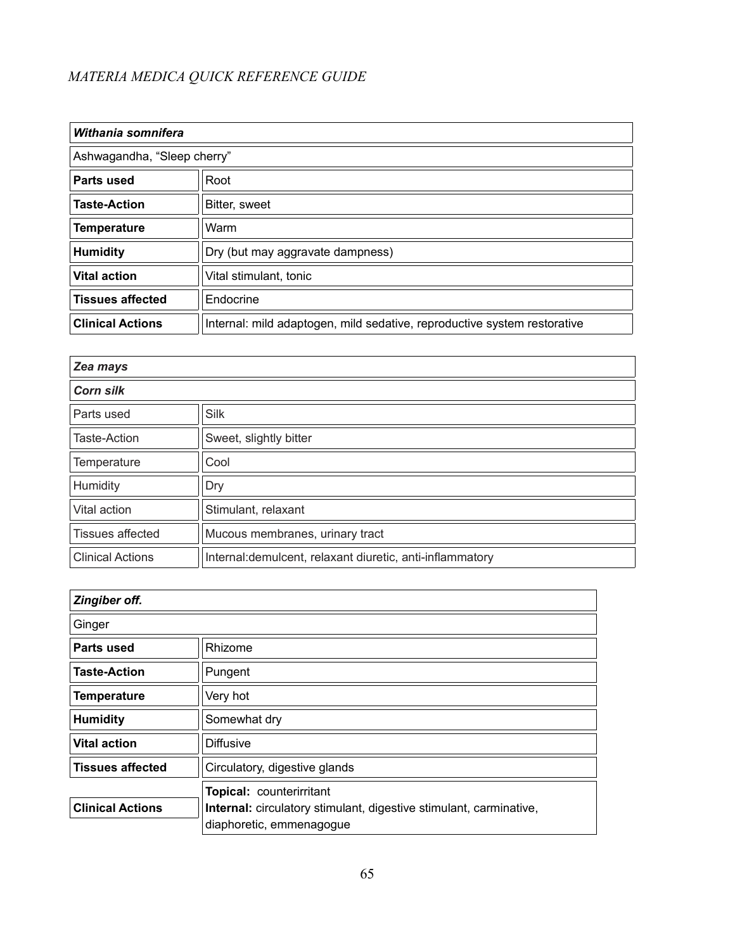| Withania somnifera          |                                                                          |
|-----------------------------|--------------------------------------------------------------------------|
| Ashwagandha, "Sleep cherry" |                                                                          |
| Parts used                  | Root                                                                     |
| <b>Taste-Action</b>         | Bitter, sweet                                                            |
| <b>Temperature</b>          | Warm                                                                     |
| <b>Humidity</b>             | Dry (but may aggravate dampness)                                         |
| <b>Vital action</b>         | Vital stimulant, tonic                                                   |
| <b>Tissues affected</b>     | Endocrine                                                                |
| <b>Clinical Actions</b>     | Internal: mild adaptogen, mild sedative, reproductive system restorative |

| Zea mays                |                                                           |
|-------------------------|-----------------------------------------------------------|
| <b>Corn silk</b>        |                                                           |
| Parts used              | <b>Silk</b>                                               |
| <b>Taste-Action</b>     | Sweet, slightly bitter                                    |
| Temperature             | Cool                                                      |
| Humidity                | Dry                                                       |
| Vital action            | Stimulant, relaxant                                       |
| <b>Tissues affected</b> | Mucous membranes, urinary tract                           |
| <b>Clinical Actions</b> | Internal: demulcent, relaxant diuretic, anti-inflammatory |

| Zingiber off.           |                                                                           |
|-------------------------|---------------------------------------------------------------------------|
| Ginger                  |                                                                           |
| <b>Parts used</b>       | Rhizome                                                                   |
| <b>Taste-Action</b>     | Pungent                                                                   |
| <b>Temperature</b>      | Very hot                                                                  |
| <b>Humidity</b>         | Somewhat dry                                                              |
| <b>Vital action</b>     | Diffusive                                                                 |
| <b>Tissues affected</b> | Circulatory, digestive glands                                             |
|                         | <b>Topical: counterirritant</b>                                           |
| <b>Clinical Actions</b> | <b>Internal:</b> circulatory stimulant, digestive stimulant, carminative, |
|                         | diaphoretic, emmenagogue                                                  |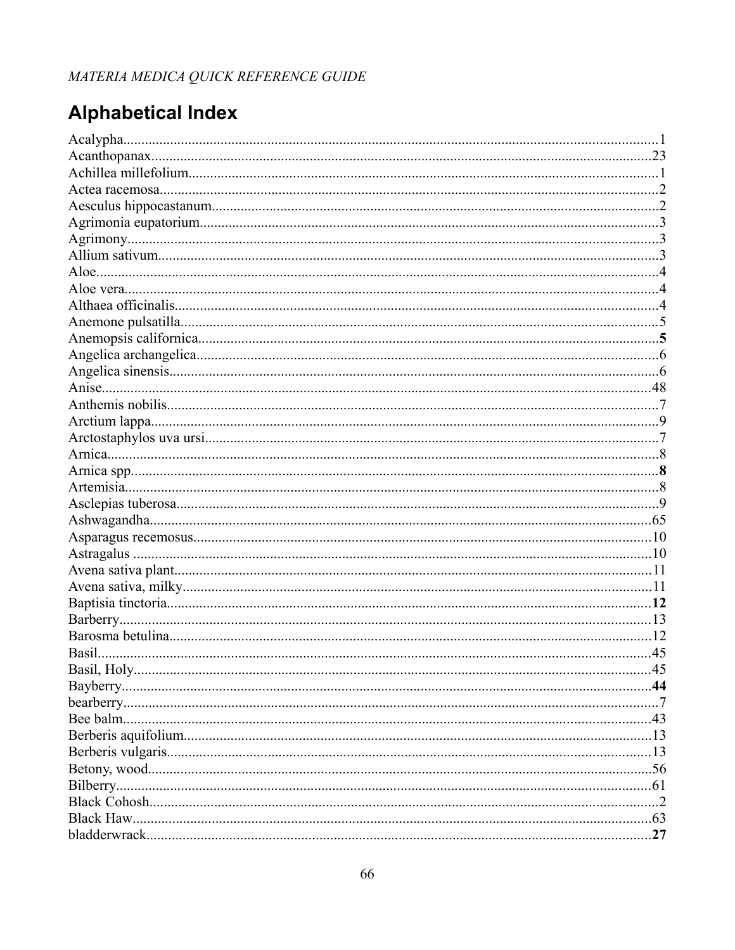# **Alphabetical Index**

|              | .45 |
|--------------|-----|
| Basil, Holv. | 45  |
|              |     |
|              |     |
|              |     |
|              |     |
|              |     |
|              |     |
|              |     |
|              |     |
|              |     |
|              |     |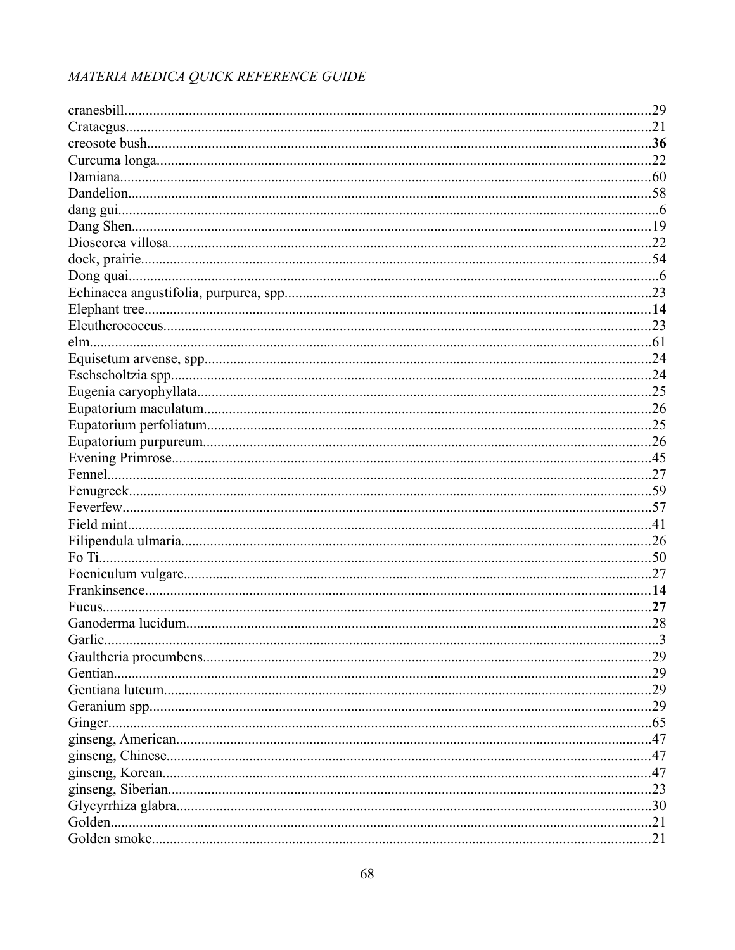| .29 |
|-----|
|     |
|     |
|     |
|     |
|     |
|     |
|     |
|     |
|     |
|     |
|     |
|     |
|     |
|     |
|     |
|     |
|     |
|     |
|     |
|     |
|     |
|     |
|     |
|     |
|     |
|     |
|     |
|     |
|     |
|     |
|     |
|     |
|     |
|     |
|     |
|     |
|     |
|     |
|     |
|     |
|     |
|     |
|     |
|     |
|     |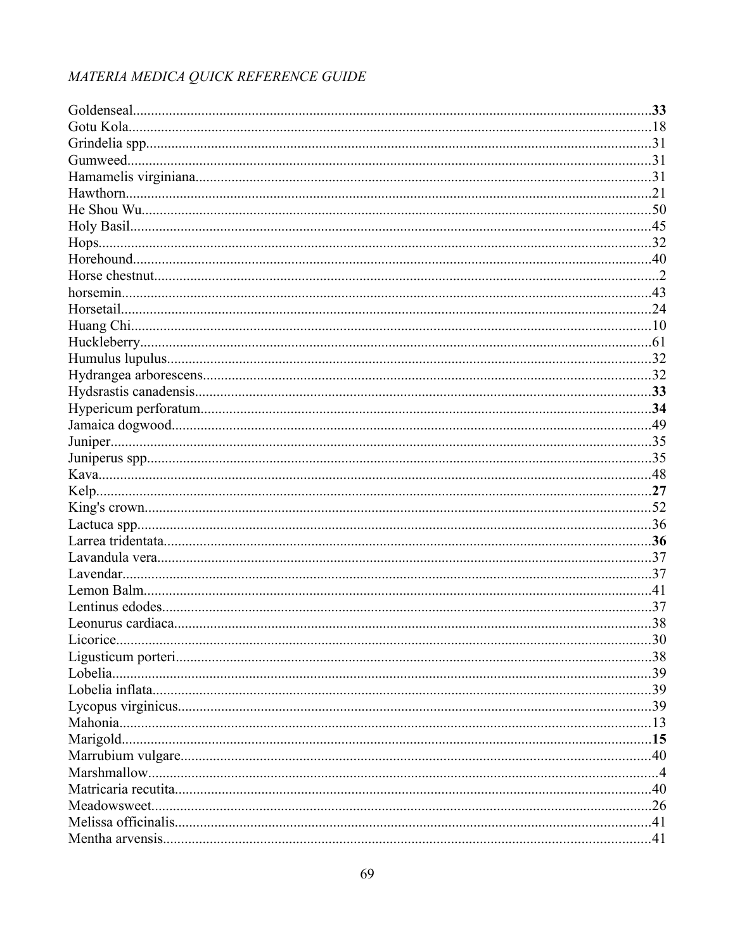| .30 |
|-----|
|     |
|     |
|     |
|     |
|     |
|     |
|     |
|     |
|     |
|     |
|     |
|     |
|     |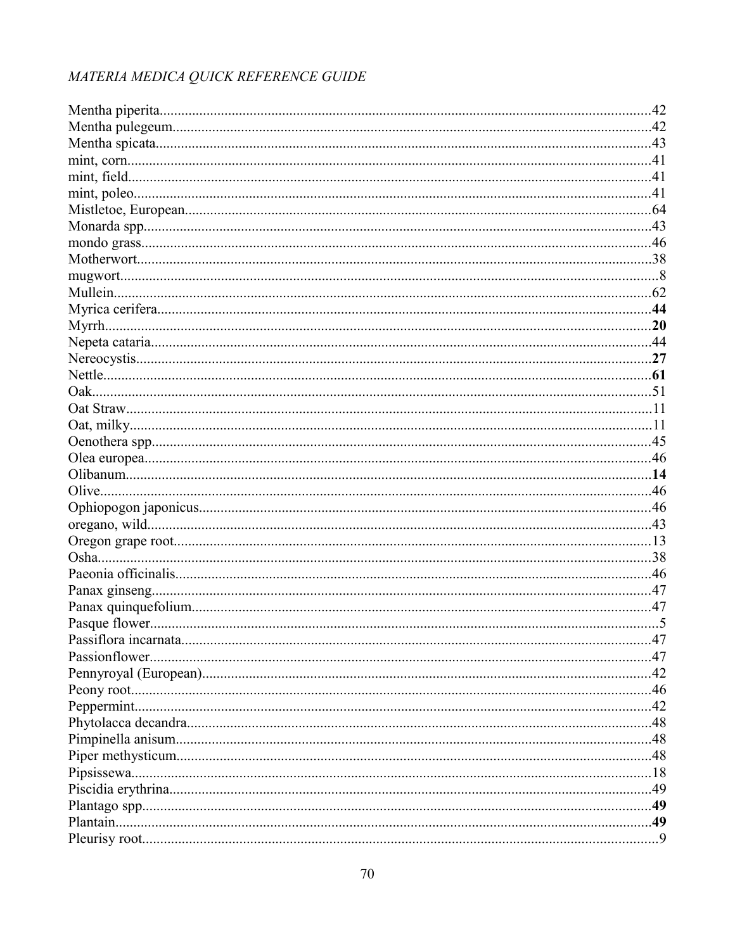| .47 |
|-----|
|     |
|     |
|     |
|     |
|     |
|     |
|     |
|     |
|     |
|     |
|     |
|     |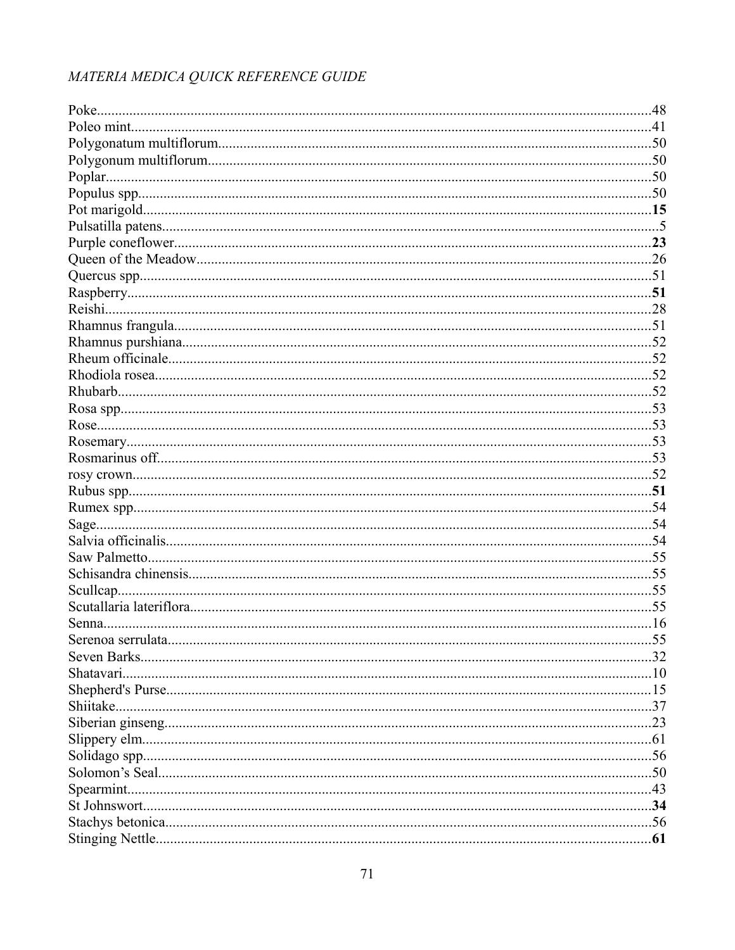|          | .48 |
|----------|-----|
|          |     |
|          |     |
|          |     |
|          |     |
|          |     |
|          |     |
|          |     |
|          |     |
|          |     |
|          |     |
|          |     |
|          |     |
|          |     |
|          |     |
|          |     |
|          |     |
|          |     |
|          |     |
|          |     |
|          |     |
|          |     |
|          |     |
|          |     |
|          |     |
|          |     |
|          |     |
|          |     |
|          |     |
|          |     |
|          |     |
|          |     |
|          | .55 |
|          |     |
|          |     |
|          |     |
| Shiitake |     |
|          |     |
|          |     |
|          |     |
|          |     |
|          |     |
|          |     |
|          |     |
|          |     |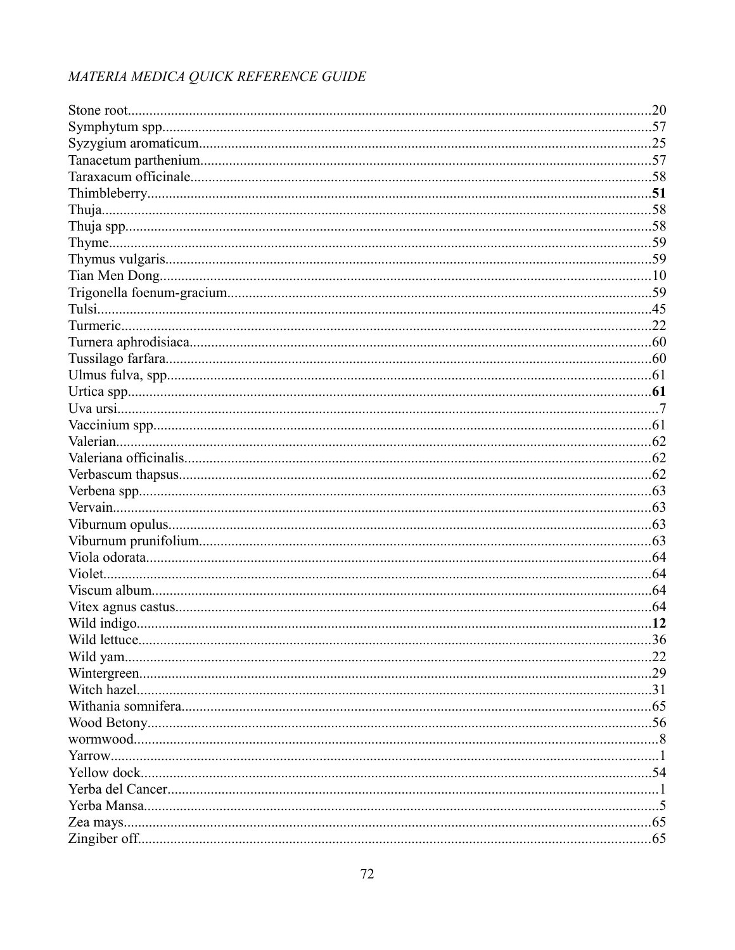| .36 |
|-----|
|     |
|     |
|     |
|     |
|     |
|     |
|     |
|     |
|     |
|     |
|     |
|     |
|     |